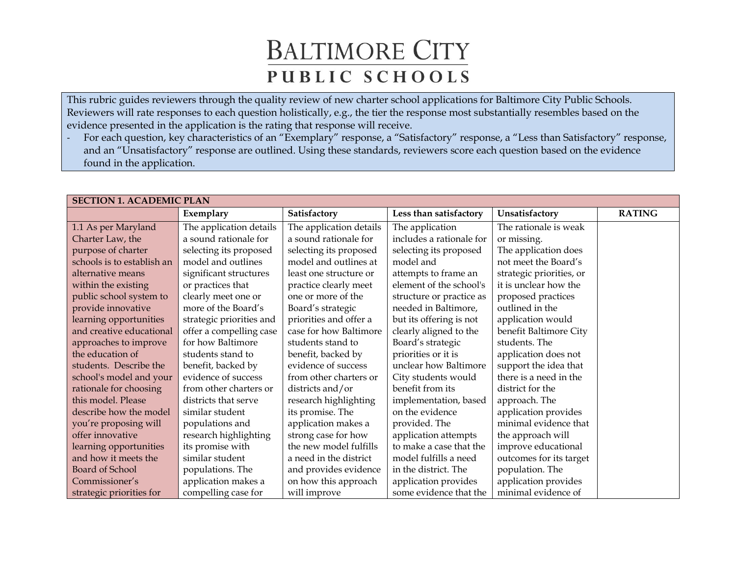This rubric guides reviewers through the quality review of new charter school applications for Baltimore City Public Schools. Reviewers will rate responses to each question holistically, e.g., the tier the response most substantially resembles based on the evidence presented in the application is the rating that response will receive.

- For each question, key characteristics of an "Exemplary" response, a "Satisfactory" response, a "Less than Satisfactory" response, and an "Unsatisfactory" response are outlined. Using these standards, reviewers score each question based on the evidence found in the application.

| <b>SECTION 1. ACADEMIC PLAN</b> |                          |                         |                          |                          |               |  |  |
|---------------------------------|--------------------------|-------------------------|--------------------------|--------------------------|---------------|--|--|
|                                 | Exemplary                | Satisfactory            | Less than satisfactory   | Unsatisfactory           | <b>RATING</b> |  |  |
| 1.1 As per Maryland             | The application details  | The application details | The application          | The rationale is weak    |               |  |  |
| Charter Law, the                | a sound rationale for    | a sound rationale for   | includes a rationale for | or missing.              |               |  |  |
| purpose of charter              | selecting its proposed   | selecting its proposed  | selecting its proposed   | The application does     |               |  |  |
| schools is to establish an      | model and outlines       | model and outlines at   | model and                | not meet the Board's     |               |  |  |
| alternative means               | significant structures   | least one structure or  | attempts to frame an     | strategic priorities, or |               |  |  |
| within the existing             | or practices that        | practice clearly meet   | element of the school's  | it is unclear how the    |               |  |  |
| public school system to         | clearly meet one or      | one or more of the      | structure or practice as | proposed practices       |               |  |  |
| provide innovative              | more of the Board's      | Board's strategic       | needed in Baltimore,     | outlined in the          |               |  |  |
| learning opportunities          | strategic priorities and | priorities and offer a  | but its offering is not  | application would        |               |  |  |
| and creative educational        | offer a compelling case  | case for how Baltimore  | clearly aligned to the   | benefit Baltimore City   |               |  |  |
| approaches to improve           | for how Baltimore        | students stand to       | Board's strategic        | students. The            |               |  |  |
| the education of                | students stand to        | benefit, backed by      | priorities or it is      | application does not     |               |  |  |
| students. Describe the          | benefit, backed by       | evidence of success     | unclear how Baltimore    | support the idea that    |               |  |  |
| school's model and your         | evidence of success      | from other charters or  | City students would      | there is a need in the   |               |  |  |
| rationale for choosing          | from other charters or   | districts and/or        | benefit from its         | district for the         |               |  |  |
| this model. Please              | districts that serve     | research highlighting   | implementation, based    | approach. The            |               |  |  |
| describe how the model          | similar student          | its promise. The        | on the evidence          | application provides     |               |  |  |
| you're proposing will           | populations and          | application makes a     | provided. The            | minimal evidence that    |               |  |  |
| offer innovative                | research highlighting    | strong case for how     | application attempts     | the approach will        |               |  |  |
| learning opportunities          | its promise with         | the new model fulfills  | to make a case that the  | improve educational      |               |  |  |
| and how it meets the            | similar student          | a need in the district  | model fulfills a need    | outcomes for its target  |               |  |  |
| <b>Board of School</b>          | populations. The         | and provides evidence   | in the district. The     | population. The          |               |  |  |
| Commissioner's                  | application makes a      | on how this approach    | application provides     | application provides     |               |  |  |
| strategic priorities for        | compelling case for      | will improve            | some evidence that the   | minimal evidence of      |               |  |  |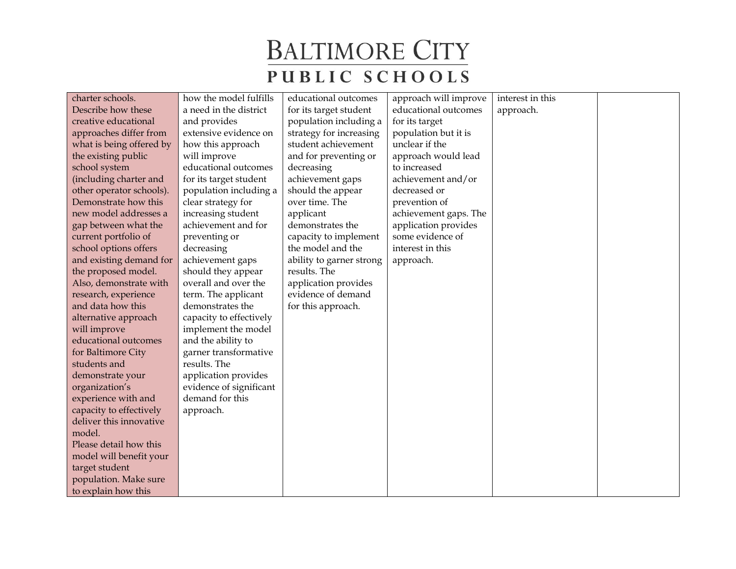| charter schools.         | how the model fulfills  | educational outcomes     | approach will improve | interest in this |  |
|--------------------------|-------------------------|--------------------------|-----------------------|------------------|--|
| Describe how these       | a need in the district  | for its target student   | educational outcomes  | approach.        |  |
| creative educational     | and provides            | population including a   | for its target        |                  |  |
| approaches differ from   | extensive evidence on   | strategy for increasing  | population but it is  |                  |  |
| what is being offered by | how this approach       | student achievement      | unclear if the        |                  |  |
| the existing public      | will improve            | and for preventing or    | approach would lead   |                  |  |
| school system            | educational outcomes    | decreasing               | to increased          |                  |  |
| (including charter and   | for its target student  | achievement gaps         | achievement and/or    |                  |  |
| other operator schools). | population including a  | should the appear        | decreased or          |                  |  |
| Demonstrate how this     | clear strategy for      | over time. The           | prevention of         |                  |  |
| new model addresses a    | increasing student      | applicant                | achievement gaps. The |                  |  |
| gap between what the     | achievement and for     | demonstrates the         | application provides  |                  |  |
| current portfolio of     | preventing or           | capacity to implement    | some evidence of      |                  |  |
| school options offers    | decreasing              | the model and the        | interest in this      |                  |  |
| and existing demand for  | achievement gaps        | ability to garner strong | approach.             |                  |  |
| the proposed model.      | should they appear      | results. The             |                       |                  |  |
| Also, demonstrate with   | overall and over the    | application provides     |                       |                  |  |
| research, experience     | term. The applicant     | evidence of demand       |                       |                  |  |
| and data how this        | demonstrates the        | for this approach.       |                       |                  |  |
| alternative approach     | capacity to effectively |                          |                       |                  |  |
| will improve             | implement the model     |                          |                       |                  |  |
| educational outcomes     | and the ability to      |                          |                       |                  |  |
| for Baltimore City       | garner transformative   |                          |                       |                  |  |
| students and             | results. The            |                          |                       |                  |  |
| demonstrate your         | application provides    |                          |                       |                  |  |
| organization's           | evidence of significant |                          |                       |                  |  |
| experience with and      | demand for this         |                          |                       |                  |  |
| capacity to effectively  | approach.               |                          |                       |                  |  |
| deliver this innovative  |                         |                          |                       |                  |  |
| model.                   |                         |                          |                       |                  |  |
| Please detail how this   |                         |                          |                       |                  |  |
| model will benefit your  |                         |                          |                       |                  |  |
| target student           |                         |                          |                       |                  |  |
| population. Make sure    |                         |                          |                       |                  |  |
| to explain how this      |                         |                          |                       |                  |  |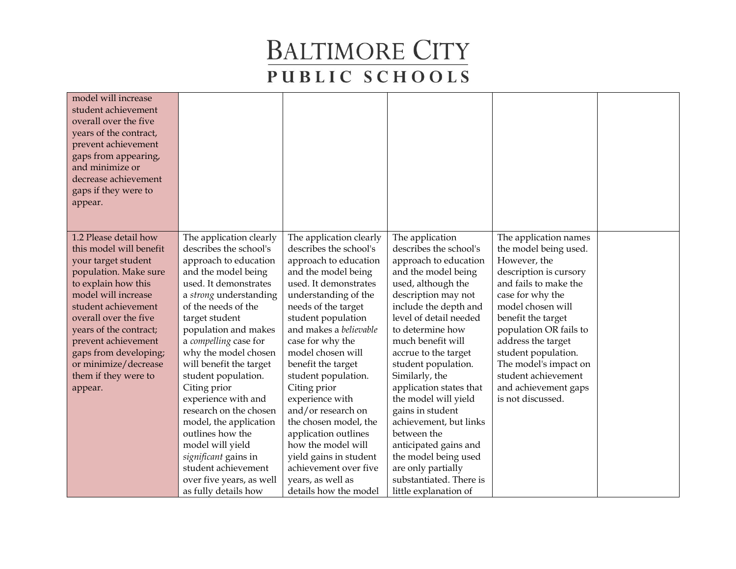| model will increase<br>student achievement<br>overall over the five<br>years of the contract,<br>prevent achievement<br>gaps from appearing,<br>and minimize or<br>decrease achievement<br>gaps if they were to<br>appear. |                                                   |                                                   |                                                 |                                                |  |
|----------------------------------------------------------------------------------------------------------------------------------------------------------------------------------------------------------------------------|---------------------------------------------------|---------------------------------------------------|-------------------------------------------------|------------------------------------------------|--|
| 1.2 Please detail how<br>this model will benefit                                                                                                                                                                           | The application clearly<br>describes the school's | The application clearly<br>describes the school's | The application<br>describes the school's       | The application names<br>the model being used. |  |
| your target student                                                                                                                                                                                                        | approach to education                             | approach to education                             | approach to education                           | However, the                                   |  |
| population. Make sure                                                                                                                                                                                                      | and the model being                               | and the model being                               | and the model being                             | description is cursory                         |  |
| to explain how this                                                                                                                                                                                                        | used. It demonstrates                             | used. It demonstrates                             | used, although the                              | and fails to make the                          |  |
| model will increase                                                                                                                                                                                                        | a strong understanding                            | understanding of the                              | description may not                             | case for why the                               |  |
| student achievement                                                                                                                                                                                                        | of the needs of the                               | needs of the target                               | include the depth and                           | model chosen will                              |  |
| overall over the five                                                                                                                                                                                                      | target student                                    | student population                                | level of detail needed                          | benefit the target                             |  |
| years of the contract;                                                                                                                                                                                                     | population and makes                              | and makes a believable                            | to determine how                                | population OR fails to                         |  |
| prevent achievement                                                                                                                                                                                                        | a compelling case for                             | case for why the                                  | much benefit will                               | address the target                             |  |
| gaps from developing;                                                                                                                                                                                                      | why the model chosen                              | model chosen will                                 | accrue to the target                            | student population.                            |  |
| or minimize/decrease                                                                                                                                                                                                       | will benefit the target                           | benefit the target                                | student population.                             | The model's impact on                          |  |
| them if they were to                                                                                                                                                                                                       | student population.                               | student population.                               | Similarly, the                                  | student achievement                            |  |
| appear.                                                                                                                                                                                                                    | Citing prior<br>experience with and               | Citing prior<br>experience with                   | application states that<br>the model will yield | and achievement gaps<br>is not discussed.      |  |
|                                                                                                                                                                                                                            | research on the chosen                            | and/or research on                                | gains in student                                |                                                |  |
|                                                                                                                                                                                                                            | model, the application                            | the chosen model, the                             | achievement, but links                          |                                                |  |
|                                                                                                                                                                                                                            | outlines how the                                  | application outlines                              | between the                                     |                                                |  |
|                                                                                                                                                                                                                            | model will yield                                  | how the model will                                | anticipated gains and                           |                                                |  |
|                                                                                                                                                                                                                            | significant gains in                              | yield gains in student                            | the model being used                            |                                                |  |
|                                                                                                                                                                                                                            | student achievement                               | achievement over five                             | are only partially                              |                                                |  |
|                                                                                                                                                                                                                            | over five years, as well                          | years, as well as                                 | substantiated. There is                         |                                                |  |
|                                                                                                                                                                                                                            | as fully details how                              | details how the model                             | little explanation of                           |                                                |  |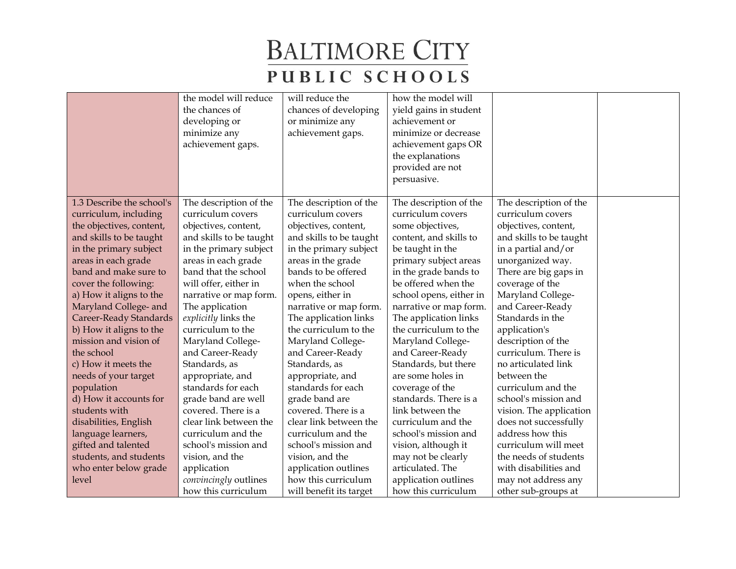|                           | the model will reduce   | will reduce the         | how the model will      |                         |  |
|---------------------------|-------------------------|-------------------------|-------------------------|-------------------------|--|
|                           | the chances of          | chances of developing   | yield gains in student  |                         |  |
|                           | developing or           | or minimize any         | achievement or          |                         |  |
|                           | minimize any            | achievement gaps.       | minimize or decrease    |                         |  |
|                           | achievement gaps.       |                         | achievement gaps OR     |                         |  |
|                           |                         |                         | the explanations        |                         |  |
|                           |                         |                         | provided are not        |                         |  |
|                           |                         |                         | persuasive.             |                         |  |
|                           |                         |                         |                         |                         |  |
| 1.3 Describe the school's | The description of the  | The description of the  | The description of the  | The description of the  |  |
| curriculum, including     | curriculum covers       | curriculum covers       | curriculum covers       | curriculum covers       |  |
| the objectives, content,  | objectives, content,    | objectives, content,    | some objectives,        | objectives, content,    |  |
| and skills to be taught   | and skills to be taught | and skills to be taught | content, and skills to  | and skills to be taught |  |
| in the primary subject    | in the primary subject  | in the primary subject  | be taught in the        | in a partial and/or     |  |
| areas in each grade       | areas in each grade     | areas in the grade      | primary subject areas   | unorganized way.        |  |
| band and make sure to     | band that the school    | bands to be offered     | in the grade bands to   | There are big gaps in   |  |
| cover the following:      | will offer, either in   | when the school         | be offered when the     | coverage of the         |  |
| a) How it aligns to the   | narrative or map form.  | opens, either in        | school opens, either in | Maryland College-       |  |
| Maryland College- and     | The application         | narrative or map form.  | narrative or map form.  | and Career-Ready        |  |
| Career-Ready Standards    | explicitly links the    | The application links   | The application links   | Standards in the        |  |
| b) How it aligns to the   | curriculum to the       | the curriculum to the   | the curriculum to the   | application's           |  |
| mission and vision of     | Maryland College-       | Maryland College-       | Maryland College-       | description of the      |  |
| the school                | and Career-Ready        | and Career-Ready        | and Career-Ready        | curriculum. There is    |  |
| c) How it meets the       | Standards, as           | Standards, as           | Standards, but there    | no articulated link     |  |
| needs of your target      | appropriate, and        | appropriate, and        | are some holes in       | between the             |  |
| population                | standards for each      | standards for each      | coverage of the         | curriculum and the      |  |
| d) How it accounts for    | grade band are well     | grade band are          | standards. There is a   | school's mission and    |  |
| students with             | covered. There is a     | covered. There is a     | link between the        | vision. The application |  |
| disabilities, English     | clear link between the  | clear link between the  | curriculum and the      | does not successfully   |  |
| language learners,        | curriculum and the      | curriculum and the      | school's mission and    | address how this        |  |
| gifted and talented       | school's mission and    | school's mission and    | vision, although it     | curriculum will meet    |  |
| students, and students    | vision, and the         | vision, and the         | may not be clearly      | the needs of students   |  |
| who enter below grade     | application             | application outlines    | articulated. The        | with disabilities and   |  |
| level                     | convincingly outlines   | how this curriculum     | application outlines    | may not address any     |  |
|                           | how this curriculum     | will benefit its target | how this curriculum     | other sub-groups at     |  |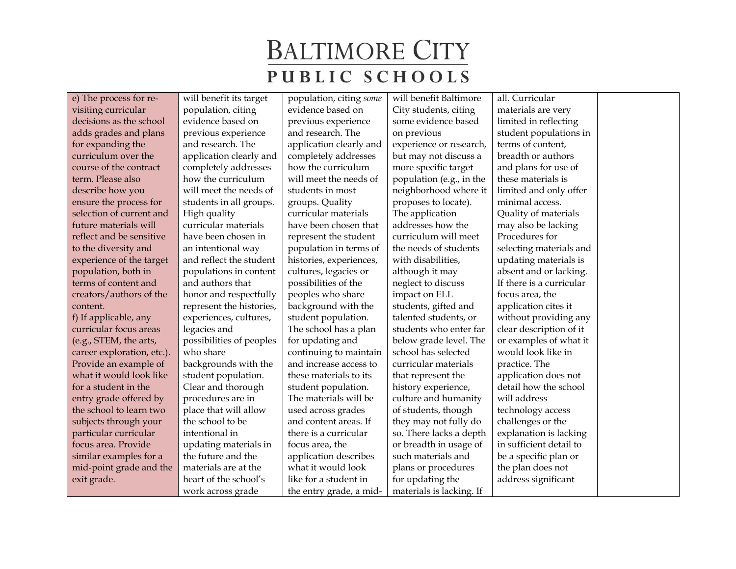e) The process for revisiting curricular decisions as the school adds grades and plans for expanding the curriculum over the course of the contract term. Please also describe how you ensure the process for selection of current and future materials will reflect and be sensitive to the diversity and experience of the target population, both in terms of content and creators/authors of the content. f) If applicable, any curricular focus areas (e.g., STEM, the arts, career exploration, etc.). Provide an example of what it would look like for a student in the entry grade offered by the school to learn two subjects through your particular curricular focus area. Provide similar examples for a mid-point grade and the exit grade.

will benefit its target population, citing evidence based on previous experience and research. The application clearly and completely addresses how the curriculum will meet the needs of students in all groups. High quality curricular materials have been chosen in an intentional way and reflect the student populations in content and authors that honor and respectfully represent the histories, experiences, cultures, legacies and possibilities of peoples who share backgrounds with the student population. Clear and thorough procedures are in place that will allow the school to be intentional in updating materials in the future and the materials are at the heart of the school's work across grade

population, citing *some* evidence based on previous experience and research. The application clearly and completely addresses how the curriculum will meet the needs of students in most groups. Quality curricular materials have been chosen that represent the student population in terms of histories, experiences, cultures, legacies or possibilities of the peoples who share background with the student population. The school has a plan for updating and continuing to maintain and increase access to these materials to its student population. The materials will be used across grades and content areas. If there is a curricular focus area, the application describes what it would look like for a student in the entry grade, a mid-

will benefit Baltimore City students, citing some evidence based on previous experience or research, but may not discuss a more specific target population (e.g., in the neighborhood where it proposes to locate). The application addresses how the curriculum will meet the needs of students with disabilities, although it may neglect to discuss impact on ELL students, gifted and talented students, or students who enter far below grade level. The school has selected curricular materials that represent the history experience, culture and humanity of students, though they may not fully do so. There lacks a depth or breadth in usage of such materials and plans or procedures for updating the materials is lacking. If

all. Curricular materials are very limited in reflecting student populations in terms of content, breadth or authors and plans for use of these materials is limited and only offer minimal access. Quality of materials may also be lacking Procedures for selecting materials and updating materials is absent and or lacking. If there is a curricular focus area, the application cites it without providing any clear description of it or examples of what it would look like in practice. The application does not detail how the school will address technology access challenges or the explanation is lacking in sufficient detail to be a specific plan or the plan does not address significant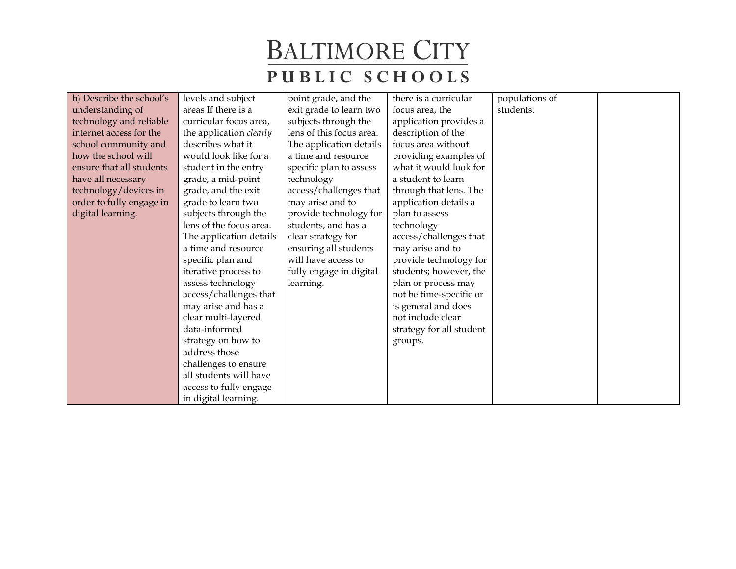| h) Describe the school's | levels and subject             | point grade, and the     | there is a curricular    | populations of |  |
|--------------------------|--------------------------------|--------------------------|--------------------------|----------------|--|
| understanding of         | areas If there is a            | exit grade to learn two  | focus area, the          | students.      |  |
| technology and reliable  | curricular focus area,         | subjects through the     | application provides a   |                |  |
| internet access for the  | the application <i>clearly</i> | lens of this focus area. | description of the       |                |  |
| school community and     | describes what it              | The application details  | focus area without       |                |  |
| how the school will      | would look like for a          | a time and resource      | providing examples of    |                |  |
| ensure that all students | student in the entry           | specific plan to assess  | what it would look for   |                |  |
| have all necessary       | grade, a mid-point             | technology               | a student to learn       |                |  |
| technology/devices in    | grade, and the exit            | access/challenges that   | through that lens. The   |                |  |
| order to fully engage in | grade to learn two             | may arise and to         | application details a    |                |  |
| digital learning.        | subjects through the           | provide technology for   | plan to assess           |                |  |
|                          | lens of the focus area.        | students, and has a      | technology               |                |  |
|                          | The application details        | clear strategy for       | access/challenges that   |                |  |
|                          | a time and resource            | ensuring all students    | may arise and to         |                |  |
|                          | specific plan and              | will have access to      | provide technology for   |                |  |
|                          | iterative process to           | fully engage in digital  | students; however, the   |                |  |
|                          | assess technology              | learning.                | plan or process may      |                |  |
|                          | access/challenges that         |                          | not be time-specific or  |                |  |
|                          | may arise and has a            |                          | is general and does      |                |  |
|                          | clear multi-layered            |                          | not include clear        |                |  |
|                          | data-informed                  |                          | strategy for all student |                |  |
|                          | strategy on how to             |                          | groups.                  |                |  |
|                          | address those                  |                          |                          |                |  |
|                          | challenges to ensure           |                          |                          |                |  |
|                          | all students will have         |                          |                          |                |  |
|                          | access to fully engage         |                          |                          |                |  |
|                          | in digital learning.           |                          |                          |                |  |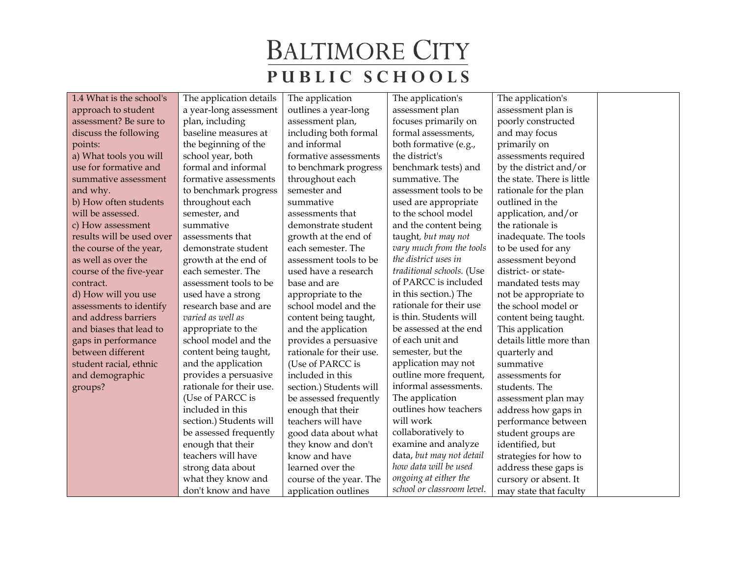| 1.4 What is the school's  | The application details  | The application          | The application's          | The application's          |
|---------------------------|--------------------------|--------------------------|----------------------------|----------------------------|
| approach to student       | a year-long assessment   | outlines a year-long     | assessment plan            | assessment plan is         |
| assessment? Be sure to    | plan, including          | assessment plan,         | focuses primarily on       | poorly constructed         |
| discuss the following     | baseline measures at     | including both formal    | formal assessments,        | and may focus              |
| points:                   | the beginning of the     | and informal             | both formative (e.g.,      | primarily on               |
| a) What tools you will    | school year, both        | formative assessments    | the district's             | assessments required       |
| use for formative and     | formal and informal      | to benchmark progress    | benchmark tests) and       | by the district and/or     |
| summative assessment      | formative assessments    | throughout each          | summative. The             | the state. There is little |
| and why.                  | to benchmark progress    | semester and             | assessment tools to be     | rationale for the plan     |
| b) How often students     | throughout each          | summative                | used are appropriate       | outlined in the            |
| will be assessed.         | semester, and            | assessments that         | to the school model        | application, and/or        |
| c) How assessment         | summative                | demonstrate student      | and the content being      | the rationale is           |
| results will be used over | assessments that         | growth at the end of     | taught, but may not        | inadequate. The tools      |
| the course of the year,   | demonstrate student      | each semester. The       | vary much from the tools   | to be used for any         |
| as well as over the       | growth at the end of     | assessment tools to be   | the district uses in       | assessment beyond          |
| course of the five-year   | each semester. The       | used have a research     | traditional schools. (Use  | district- or state-        |
| contract.                 | assessment tools to be   | base and are             | of PARCC is included       | mandated tests may         |
| d) How will you use       | used have a strong       | appropriate to the       | in this section.) The      | not be appropriate to      |
| assessments to identify   | research base and are    | school model and the     | rationale for their use    | the school model or        |
| and address barriers      | varied as well as        | content being taught,    | is thin. Students will     | content being taught.      |
| and biases that lead to   | appropriate to the       | and the application      | be assessed at the end     | This application           |
| gaps in performance       | school model and the     | provides a persuasive    | of each unit and           | details little more than   |
| between different         | content being taught,    | rationale for their use. | semester, but the          | quarterly and              |
| student racial, ethnic    | and the application      | (Use of PARCC is         | application may not        | summative                  |
| and demographic           | provides a persuasive    | included in this         | outline more frequent,     | assessments for            |
| groups?                   | rationale for their use. | section.) Students will  | informal assessments.      | students. The              |
|                           | (Use of PARCC is         | be assessed frequently   | The application            | assessment plan may        |
|                           | included in this         | enough that their        | outlines how teachers      | address how gaps in        |
|                           | section.) Students will  | teachers will have       | will work                  | performance between        |
|                           | be assessed frequently   | good data about what     | collaboratively to         | student groups are         |
|                           | enough that their        | they know and don't      | examine and analyze        | identified, but            |
|                           | teachers will have       | know and have            | data, but may not detail   | strategies for how to      |
|                           | strong data about        | learned over the         | how data will be used      | address these gaps is      |
|                           | what they know and       | course of the year. The  | ongoing at either the      | cursory or absent. It      |
|                           | don't know and have      | application outlines     | school or classroom level. | may state that faculty     |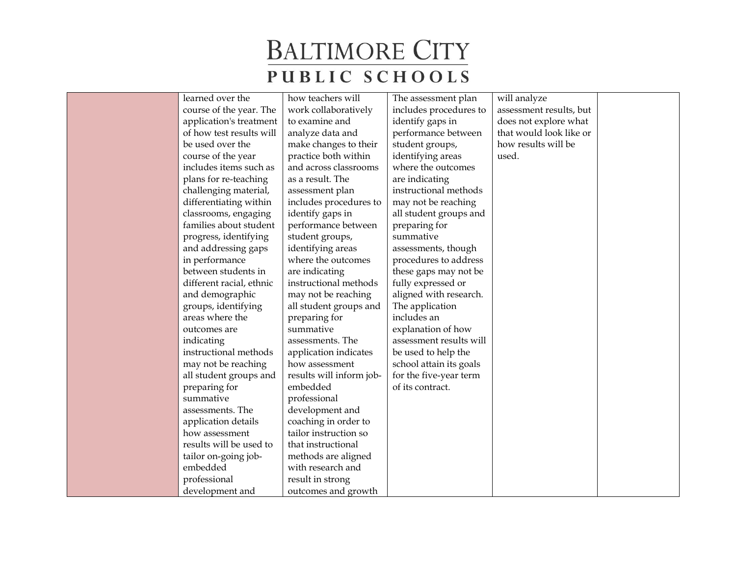| learned over the         | how teachers will        | The assessment plan     | will analyze            |  |
|--------------------------|--------------------------|-------------------------|-------------------------|--|
| course of the year. The  | work collaboratively     | includes procedures to  | assessment results, but |  |
| application's treatment  | to examine and           | identify gaps in        | does not explore what   |  |
| of how test results will | analyze data and         | performance between     | that would look like or |  |
| be used over the         | make changes to their    | student groups,         | how results will be     |  |
| course of the year       | practice both within     | identifying areas       | used.                   |  |
| includes items such as   | and across classrooms    | where the outcomes      |                         |  |
| plans for re-teaching    | as a result. The         | are indicating          |                         |  |
| challenging material,    | assessment plan          | instructional methods   |                         |  |
| differentiating within   | includes procedures to   | may not be reaching     |                         |  |
| classrooms, engaging     | identify gaps in         | all student groups and  |                         |  |
| families about student   | performance between      | preparing for           |                         |  |
| progress, identifying    | student groups,          | summative               |                         |  |
| and addressing gaps      | identifying areas        | assessments, though     |                         |  |
| in performance           | where the outcomes       | procedures to address   |                         |  |
| between students in      | are indicating           | these gaps may not be   |                         |  |
| different racial, ethnic | instructional methods    | fully expressed or      |                         |  |
| and demographic          | may not be reaching      | aligned with research.  |                         |  |
| groups, identifying      | all student groups and   | The application         |                         |  |
| areas where the          | preparing for            | includes an             |                         |  |
| outcomes are             | summative                | explanation of how      |                         |  |
| indicating               | assessments. The         | assessment results will |                         |  |
| instructional methods    | application indicates    | be used to help the     |                         |  |
| may not be reaching      | how assessment           | school attain its goals |                         |  |
| all student groups and   | results will inform job- | for the five-year term  |                         |  |
| preparing for            | embedded                 | of its contract.        |                         |  |
| summative                | professional             |                         |                         |  |
| assessments. The         | development and          |                         |                         |  |
| application details      | coaching in order to     |                         |                         |  |
| how assessment           | tailor instruction so    |                         |                         |  |
| results will be used to  | that instructional       |                         |                         |  |
| tailor on-going job-     | methods are aligned      |                         |                         |  |
| embedded                 | with research and        |                         |                         |  |
| professional             | result in strong         |                         |                         |  |
| development and          | outcomes and growth      |                         |                         |  |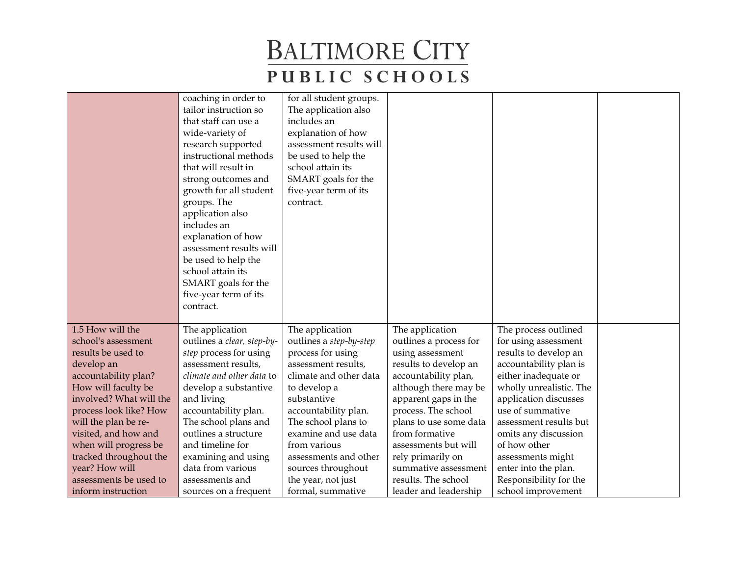|                                                | coaching in order to<br>tailor instruction so<br>that staff can use a<br>wide-variety of<br>research supported<br>instructional methods<br>that will result in<br>strong outcomes and | for all student groups.<br>The application also<br>includes an<br>explanation of how<br>assessment results will<br>be used to help the<br>school attain its<br>SMART goals for the |                                             |                                           |  |
|------------------------------------------------|---------------------------------------------------------------------------------------------------------------------------------------------------------------------------------------|------------------------------------------------------------------------------------------------------------------------------------------------------------------------------------|---------------------------------------------|-------------------------------------------|--|
|                                                | growth for all student<br>groups. The                                                                                                                                                 | five-year term of its<br>contract.                                                                                                                                                 |                                             |                                           |  |
|                                                | application also<br>includes an                                                                                                                                                       |                                                                                                                                                                                    |                                             |                                           |  |
|                                                | explanation of how                                                                                                                                                                    |                                                                                                                                                                                    |                                             |                                           |  |
|                                                | assessment results will                                                                                                                                                               |                                                                                                                                                                                    |                                             |                                           |  |
|                                                | be used to help the                                                                                                                                                                   |                                                                                                                                                                                    |                                             |                                           |  |
|                                                | school attain its                                                                                                                                                                     |                                                                                                                                                                                    |                                             |                                           |  |
|                                                | SMART goals for the<br>five-year term of its                                                                                                                                          |                                                                                                                                                                                    |                                             |                                           |  |
|                                                | contract.                                                                                                                                                                             |                                                                                                                                                                                    |                                             |                                           |  |
|                                                |                                                                                                                                                                                       |                                                                                                                                                                                    |                                             |                                           |  |
| 1.5 How will the                               | The application                                                                                                                                                                       | The application                                                                                                                                                                    | The application                             | The process outlined                      |  |
| school's assessment                            | outlines a clear, step-by-                                                                                                                                                            | outlines a step-by-step                                                                                                                                                            | outlines a process for                      | for using assessment                      |  |
| results be used to                             | step process for using                                                                                                                                                                | process for using                                                                                                                                                                  | using assessment                            | results to develop an                     |  |
| develop an                                     | assessment results,                                                                                                                                                                   | assessment results,                                                                                                                                                                | results to develop an                       | accountability plan is                    |  |
| accountability plan?                           | climate and other data to                                                                                                                                                             | climate and other data                                                                                                                                                             | accountability plan,                        | either inadequate or                      |  |
| How will faculty be<br>involved? What will the | develop a substantive                                                                                                                                                                 | to develop a<br>substantive                                                                                                                                                        | although there may be                       | wholly unrealistic. The                   |  |
| process look like? How                         | and living<br>accountability plan.                                                                                                                                                    | accountability plan.                                                                                                                                                               | apparent gaps in the<br>process. The school | application discusses<br>use of summative |  |
| will the plan be re-                           | The school plans and                                                                                                                                                                  | The school plans to                                                                                                                                                                | plans to use some data                      | assessment results but                    |  |
| visited, and how and                           | outlines a structure                                                                                                                                                                  | examine and use data                                                                                                                                                               | from formative                              | omits any discussion                      |  |
| when will progress be                          | and timeline for                                                                                                                                                                      | from various                                                                                                                                                                       | assessments but will                        | of how other                              |  |
| tracked throughout the                         | examining and using                                                                                                                                                                   | assessments and other                                                                                                                                                              | rely primarily on                           | assessments might                         |  |
| year? How will                                 | data from various                                                                                                                                                                     | sources throughout                                                                                                                                                                 | summative assessment                        | enter into the plan.                      |  |
| assessments be used to                         | assessments and                                                                                                                                                                       | the year, not just                                                                                                                                                                 | results. The school                         | Responsibility for the                    |  |
| inform instruction                             | sources on a frequent                                                                                                                                                                 | formal, summative                                                                                                                                                                  | leader and leadership                       | school improvement                        |  |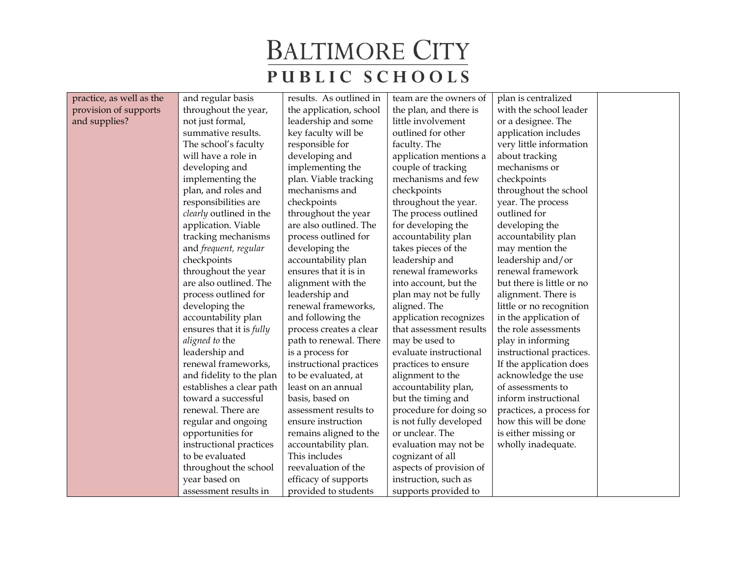| practice, as well as the | and regular basis               | results. As outlined in | team are the owners of  | plan is centralized       |  |
|--------------------------|---------------------------------|-------------------------|-------------------------|---------------------------|--|
| provision of supports    | throughout the year,            | the application, school | the plan, and there is  | with the school leader    |  |
| and supplies?            | not just formal,                | leadership and some     | little involvement      | or a designee. The        |  |
|                          | summative results.              | key faculty will be     | outlined for other      | application includes      |  |
|                          | The school's faculty            | responsible for         | faculty. The            | very little information   |  |
|                          | will have a role in             | developing and          | application mentions a  | about tracking            |  |
|                          | developing and                  | implementing the        | couple of tracking      | mechanisms or             |  |
|                          | implementing the                | plan. Viable tracking   | mechanisms and few      | checkpoints               |  |
|                          | plan, and roles and             | mechanisms and          | checkpoints             | throughout the school     |  |
|                          | responsibilities are            | checkpoints             | throughout the year.    | year. The process         |  |
|                          | clearly outlined in the         | throughout the year     | The process outlined    | outlined for              |  |
|                          | application. Viable             | are also outlined. The  | for developing the      | developing the            |  |
|                          | tracking mechanisms             | process outlined for    | accountability plan     | accountability plan       |  |
|                          | and frequent, regular           | developing the          | takes pieces of the     | may mention the           |  |
|                          | checkpoints                     | accountability plan     | leadership and          | leadership and/or         |  |
|                          | throughout the year             | ensures that it is in   | renewal frameworks      | renewal framework         |  |
|                          | are also outlined. The          | alignment with the      | into account, but the   | but there is little or no |  |
|                          | process outlined for            | leadership and          | plan may not be fully   | alignment. There is       |  |
|                          | developing the                  | renewal frameworks,     | aligned. The            | little or no recognition  |  |
|                          | accountability plan             | and following the       | application recognizes  | in the application of     |  |
|                          | ensures that it is <i>fully</i> | process creates a clear | that assessment results | the role assessments      |  |
|                          | aligned to the                  | path to renewal. There  | may be used to          | play in informing         |  |
|                          | leadership and                  | is a process for        | evaluate instructional  | instructional practices.  |  |
|                          | renewal frameworks,             | instructional practices | practices to ensure     | If the application does   |  |
|                          | and fidelity to the plan        | to be evaluated, at     | alignment to the        | acknowledge the use       |  |
|                          | establishes a clear path        | least on an annual      | accountability plan,    | of assessments to         |  |
|                          | toward a successful             | basis, based on         | but the timing and      | inform instructional      |  |
|                          | renewal. There are              | assessment results to   | procedure for doing so  | practices, a process for  |  |
|                          | regular and ongoing             | ensure instruction      | is not fully developed  | how this will be done     |  |
|                          | opportunities for               | remains aligned to the  | or unclear. The         | is either missing or      |  |
|                          | instructional practices         | accountability plan.    | evaluation may not be   | wholly inadequate.        |  |
|                          | to be evaluated                 | This includes           | cognizant of all        |                           |  |
|                          | throughout the school           | reevaluation of the     | aspects of provision of |                           |  |
|                          | year based on                   | efficacy of supports    | instruction, such as    |                           |  |
|                          | assessment results in           | provided to students    | supports provided to    |                           |  |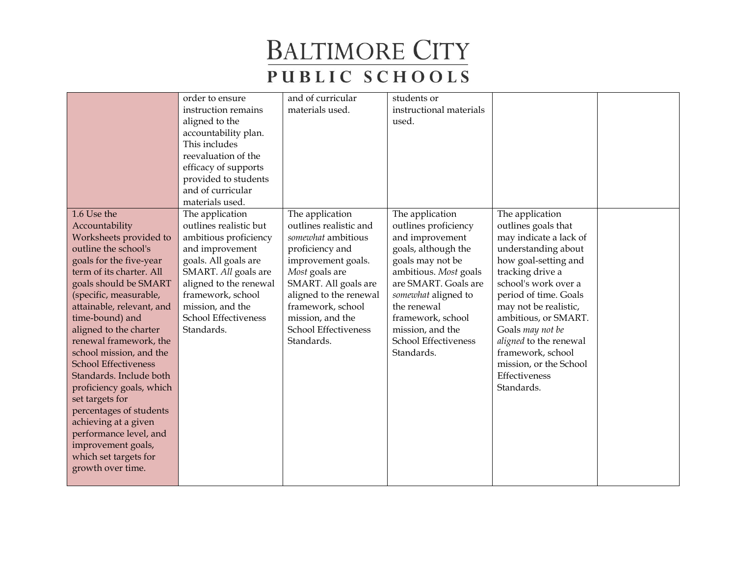|                             | order to ensure        | and of curricular      | students or             |                        |  |
|-----------------------------|------------------------|------------------------|-------------------------|------------------------|--|
|                             | instruction remains    | materials used.        | instructional materials |                        |  |
|                             | aligned to the         |                        | used.                   |                        |  |
|                             | accountability plan.   |                        |                         |                        |  |
|                             | This includes          |                        |                         |                        |  |
|                             | reevaluation of the    |                        |                         |                        |  |
|                             | efficacy of supports   |                        |                         |                        |  |
|                             | provided to students   |                        |                         |                        |  |
|                             | and of curricular      |                        |                         |                        |  |
|                             | materials used.        |                        |                         |                        |  |
| 1.6 Use the                 | The application        | The application        | The application         | The application        |  |
| Accountability              | outlines realistic but | outlines realistic and | outlines proficiency    | outlines goals that    |  |
| Worksheets provided to      | ambitious proficiency  | somewhat ambitious     | and improvement         | may indicate a lack of |  |
| outline the school's        | and improvement        | proficiency and        | goals, although the     | understanding about    |  |
| goals for the five-year     | goals. All goals are   | improvement goals.     | goals may not be        | how goal-setting and   |  |
| term of its charter. All    | SMART. All goals are   | Most goals are         | ambitious. Most goals   | tracking drive a       |  |
| goals should be SMART       | aligned to the renewal | SMART. All goals are   | are SMART. Goals are    | school's work over a   |  |
| (specific, measurable,      | framework, school      | aligned to the renewal | somewhat aligned to     | period of time. Goals  |  |
| attainable, relevant, and   | mission, and the       | framework, school      | the renewal             | may not be realistic,  |  |
| time-bound) and             | School Effectiveness   | mission, and the       | framework, school       | ambitious, or SMART.   |  |
| aligned to the charter      | Standards.             | School Effectiveness   | mission, and the        | Goals may not be       |  |
| renewal framework, the      |                        | Standards.             | School Effectiveness    | aligned to the renewal |  |
| school mission, and the     |                        |                        | Standards.              | framework, school      |  |
| <b>School Effectiveness</b> |                        |                        |                         | mission, or the School |  |
| Standards. Include both     |                        |                        |                         | Effectiveness          |  |
| proficiency goals, which    |                        |                        |                         | Standards.             |  |
| set targets for             |                        |                        |                         |                        |  |
| percentages of students     |                        |                        |                         |                        |  |
| achieving at a given        |                        |                        |                         |                        |  |
| performance level, and      |                        |                        |                         |                        |  |
| improvement goals,          |                        |                        |                         |                        |  |
| which set targets for       |                        |                        |                         |                        |  |
| growth over time.           |                        |                        |                         |                        |  |
|                             |                        |                        |                         |                        |  |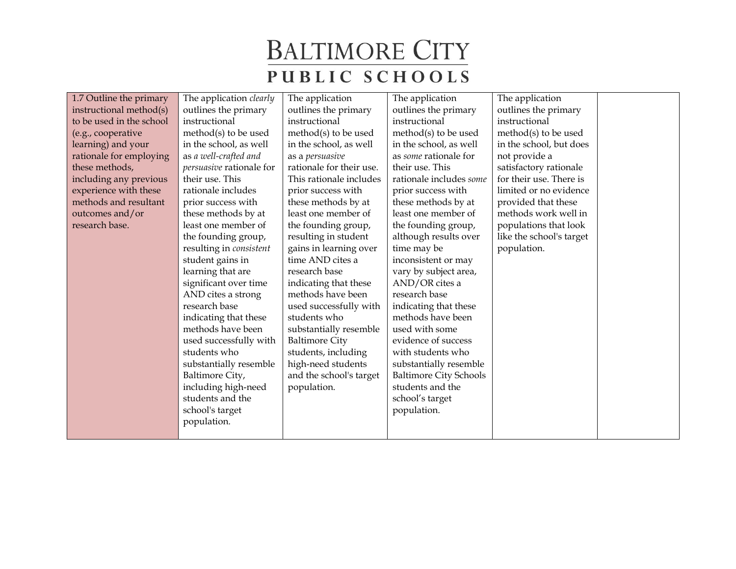| 1.7 Outline the primary  | The application <i>clearly</i> | The application          | The application               | The application          |  |
|--------------------------|--------------------------------|--------------------------|-------------------------------|--------------------------|--|
| instructional method(s)  | outlines the primary           | outlines the primary     | outlines the primary          | outlines the primary     |  |
| to be used in the school | instructional                  | instructional            | instructional                 | instructional            |  |
| (e.g., cooperative       | method(s) to be used           | method $(s)$ to be used  | method(s) to be used          | method $(s)$ to be used  |  |
| learning) and your       | in the school, as well         | in the school, as well   | in the school, as well        | in the school, but does  |  |
| rationale for employing  | as a well-crafted and          | as a persuasive          | as some rationale for         | not provide a            |  |
| these methods,           | persuasive rationale for       | rationale for their use. | their use. This               | satisfactory rationale   |  |
| including any previous   | their use. This                | This rationale includes  | rationale includes some       | for their use. There is  |  |
| experience with these    | rationale includes             | prior success with       | prior success with            | limited or no evidence   |  |
| methods and resultant    | prior success with             | these methods by at      | these methods by at           | provided that these      |  |
| outcomes and/or          | these methods by at            | least one member of      | least one member of           | methods work well in     |  |
| research base.           | least one member of            | the founding group,      | the founding group,           | populations that look    |  |
|                          | the founding group,            | resulting in student     | although results over         | like the school's target |  |
|                          | resulting in consistent        | gains in learning over   | time may be                   | population.              |  |
|                          | student gains in               | time AND cites a         | inconsistent or may           |                          |  |
|                          | learning that are              | research base            | vary by subject area,         |                          |  |
|                          | significant over time          | indicating that these    | AND/OR cites a                |                          |  |
|                          | AND cites a strong             | methods have been        | research base                 |                          |  |
|                          | research base                  | used successfully with   | indicating that these         |                          |  |
|                          | indicating that these          | students who             | methods have been             |                          |  |
|                          | methods have been              | substantially resemble   | used with some                |                          |  |
|                          | used successfully with         | <b>Baltimore City</b>    | evidence of success           |                          |  |
|                          | students who                   | students, including      | with students who             |                          |  |
|                          | substantially resemble         | high-need students       | substantially resemble        |                          |  |
|                          | Baltimore City,                | and the school's target  | <b>Baltimore City Schools</b> |                          |  |
|                          | including high-need            | population.              | students and the              |                          |  |
|                          | students and the               |                          | school's target               |                          |  |
|                          | school's target                |                          | population.                   |                          |  |
|                          | population.                    |                          |                               |                          |  |
|                          |                                |                          |                               |                          |  |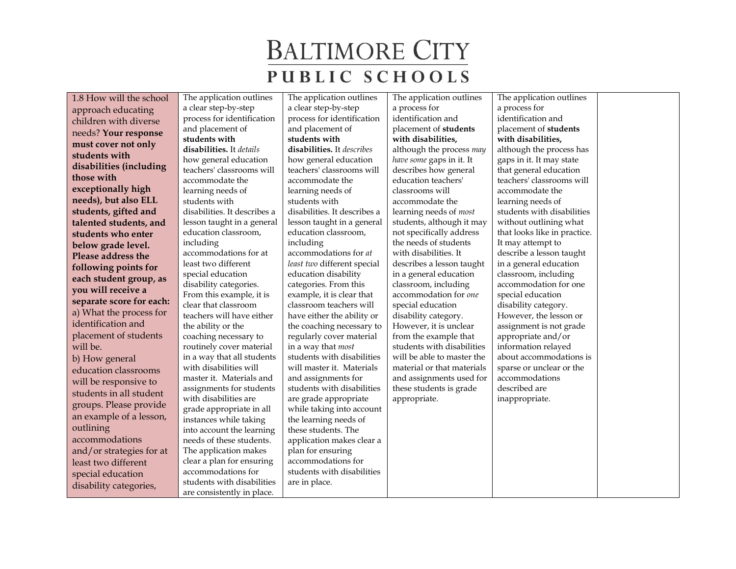1.8 How will the school approach educating children with diverse needs? **Your response must cover not only students with disabilities (including those with exceptionally high needs), but also ELL students, gifted and talented students, and students who enter below grade level. Please address the following points for each student group, as you will receive a separate score for each:** a) What the process for identification and placement of students will be. b) How general education classrooms will be responsive to students in all student groups. Please provide an example of a lesson,

outlining

accommodations and/or strategies for at least two different special education disability categories,

a clear step-by-step process for identification and placement of **students with disabilities.** It *details* how general education teachers' classrooms will accommodate the learning needs of students with disabilities. It describes a lesson taught in a general education classroom, including accommodations for at least two different special education disability categories. From this example, it is clear that classroom teachers will have either the ability or the coaching necessary to routinely cover material in a way that all students with disabilities will master it. Materials and assignments for students with disabilities are grade appropriate in all instances while taking into account the learning needs of these students. The application makes clear a plan for ensuring accommodations for students with disabilities are consistently in place.

The application outlines

The application outlines a clear step-by-step process for identification and placement of **students with disabilities.** It *describes* how general education teachers' classrooms will accommodate the learning needs of students with disabilities. It describes a lesson taught in a general education classroom, including accommodations for *at least two* different special education disability categories. From this example, it is clear that classroom teachers will have either the ability or the coaching necessary to regularly cover material in a way that *most* students with disabilities will master it. Materials and assignments for students with disabilities are grade appropriate while taking into account the learning needs of these students. The application makes clear a plan for ensuring accommodations for students with disabilities are in place.

The application outlines a process for identification and placement of **students with disabilities,** although the process *may have some* gaps in it. It describes how general education teachers' classrooms will accommodate the learning needs of *most*  students, although it may not specifically address the needs of students with disabilities. It describes a lesson taught in a general education classroom, including accommodation for *one* special education disability category. However, it is unclear from the example that students with disabilities will be able to master the material or that materials and assignments used for these students is grade appropriate.

The application outlines a process for identification and placement of **students with disabilities,** although the process has gaps in it. It may state that general education teachers' classrooms will accommodate the learning needs of students with disabilities without outlining what that looks like in practice. It may attempt to describe a lesson taught in a general education classroom, including accommodation for one special education disability category. However, the lesson or assignment is not grade appropriate and/or information relayed about accommodations is sparse or unclear or the accommodations described are inappropriate.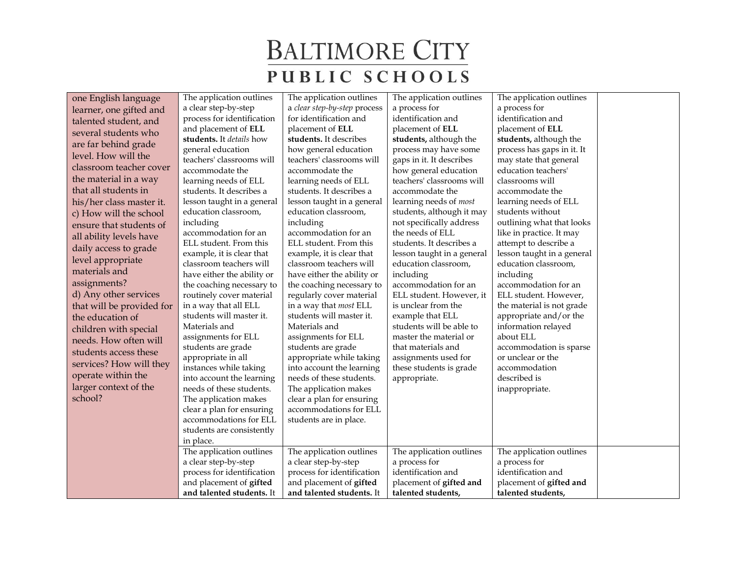| one English language      | The application outlines                          | The application outlines                           | The application outlines                     | The application outlines                      |  |
|---------------------------|---------------------------------------------------|----------------------------------------------------|----------------------------------------------|-----------------------------------------------|--|
| learner, one gifted and   | a clear step-by-step                              | a clear step-by-step process                       | a process for                                | a process for                                 |  |
| talented student, and     | process for identification                        | for identification and                             | identification and                           | identification and                            |  |
| several students who      | and placement of ELL                              | placement of ELL                                   | placement of ELL                             | placement of ELL                              |  |
| are far behind grade      | students. It details how                          | students. It describes                             | students, although the                       | students, although the                        |  |
| level. How will the       | general education                                 | how general education                              | process may have some                        | process has gaps in it. It                    |  |
|                           | teachers' classrooms will                         | teachers' classrooms will                          | gaps in it. It describes                     | may state that general                        |  |
| classroom teacher cover   | accommodate the                                   | accommodate the                                    | how general education                        | education teachers'                           |  |
| the material in a way     | learning needs of ELL                             | learning needs of ELL                              | teachers' classrooms will                    | classrooms will                               |  |
| that all students in      | students. It describes a                          | students. It describes a                           | accommodate the                              | accommodate the                               |  |
| his/her class master it.  | lesson taught in a general                        | lesson taught in a general                         | learning needs of most                       | learning needs of ELL                         |  |
| c) How will the school    | education classroom,                              | education classroom,                               | students, although it may                    | students without                              |  |
| ensure that students of   | including                                         | including                                          | not specifically address                     | outlining what that looks                     |  |
| all ability levels have   | accommodation for an                              | accommodation for an                               | the needs of ELL                             | like in practice. It may                      |  |
| daily access to grade     | ELL student. From this                            | ELL student. From this                             | students. It describes a                     | attempt to describe a                         |  |
| level appropriate         | example, it is clear that                         | example, it is clear that                          | lesson taught in a general                   | lesson taught in a general                    |  |
| materials and             | classroom teachers will                           | classroom teachers will                            | education classroom,                         | education classroom,                          |  |
| assignments?              | have either the ability or                        | have either the ability or                         | including                                    | including                                     |  |
|                           | the coaching necessary to                         | the coaching necessary to                          | accommodation for an                         | accommodation for an                          |  |
| d) Any other services     | routinely cover material                          | regularly cover material                           | ELL student. However, it                     | ELL student. However,                         |  |
| that will be provided for | in a way that all ELL<br>students will master it. | in a way that most ELL<br>students will master it. | is unclear from the                          | the material is not grade                     |  |
| the education of          | Materials and                                     | Materials and                                      | example that ELL<br>students will be able to | appropriate and/or the<br>information relayed |  |
| children with special     | assignments for ELL                               | assignments for ELL                                | master the material or                       | about ELL                                     |  |
| needs. How often will     | students are grade                                | students are grade                                 | that materials and                           | accommodation is sparse                       |  |
| students access these     | appropriate in all                                | appropriate while taking                           | assignments used for                         | or unclear or the                             |  |
| services? How will they   | instances while taking                            | into account the learning                          | these students is grade                      | accommodation                                 |  |
| operate within the        | into account the learning                         | needs of these students.                           | appropriate.                                 | described is                                  |  |
| larger context of the     | needs of these students.                          | The application makes                              |                                              | inappropriate.                                |  |
| school?                   | The application makes                             | clear a plan for ensuring                          |                                              |                                               |  |
|                           | clear a plan for ensuring                         | accommodations for ELL                             |                                              |                                               |  |
|                           | accommodations for ELL                            | students are in place.                             |                                              |                                               |  |
|                           | students are consistently                         |                                                    |                                              |                                               |  |
|                           | in place.                                         |                                                    |                                              |                                               |  |
|                           | The application outlines                          | The application outlines                           | The application outlines                     | The application outlines                      |  |
|                           | a clear step-by-step                              | a clear step-by-step                               | a process for                                | a process for                                 |  |
|                           | process for identification                        | process for identification                         | identification and                           | identification and                            |  |
|                           | and placement of gifted                           | and placement of gifted                            | placement of gifted and                      | placement of gifted and                       |  |
|                           | and talented students. It                         | and talented students. It                          | talented students,                           | talented students,                            |  |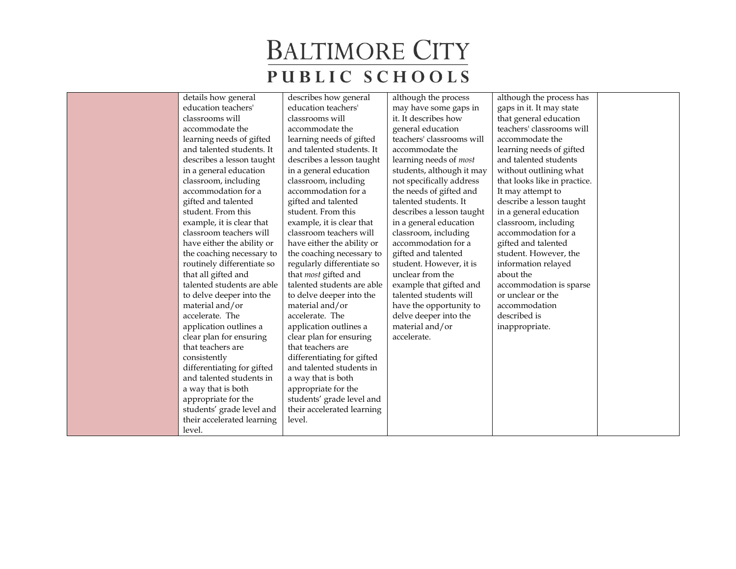| details how general        | describes how general      | although the process      | although the process has     |  |
|----------------------------|----------------------------|---------------------------|------------------------------|--|
| education teachers'        | education teachers'        | may have some gaps in     | gaps in it. It may state     |  |
| classrooms will            | classrooms will            | it. It describes how      | that general education       |  |
| accommodate the            | accommodate the            | general education         | teachers' classrooms will    |  |
| learning needs of gifted   | learning needs of gifted   | teachers' classrooms will | accommodate the              |  |
| and talented students. It  | and talented students. It  | accommodate the           | learning needs of gifted     |  |
| describes a lesson taught  | describes a lesson taught  | learning needs of most    | and talented students        |  |
| in a general education     | in a general education     | students, although it may | without outlining what       |  |
| classroom, including       | classroom, including       | not specifically address  | that looks like in practice. |  |
| accommodation for a        | accommodation for a        | the needs of gifted and   | It may attempt to            |  |
| gifted and talented        | gifted and talented        | talented students. It     | describe a lesson taught     |  |
| student. From this         | student. From this         | describes a lesson taught | in a general education       |  |
| example, it is clear that  | example, it is clear that  | in a general education    | classroom, including         |  |
| classroom teachers will    | classroom teachers will    | classroom, including      | accommodation for a          |  |
| have either the ability or | have either the ability or | accommodation for a       | gifted and talented          |  |
| the coaching necessary to  | the coaching necessary to  | gifted and talented       | student. However, the        |  |
| routinely differentiate so | regularly differentiate so | student. However, it is   | information relayed          |  |
| that all gifted and        | that most gifted and       | unclear from the          | about the                    |  |
| talented students are able | talented students are able | example that gifted and   | accommodation is sparse      |  |
| to delve deeper into the   | to delve deeper into the   | talented students will    | or unclear or the            |  |
| material and/or            | material and/or            | have the opportunity to   | accommodation                |  |
| accelerate. The            | accelerate. The            | delve deeper into the     | described is                 |  |
| application outlines a     | application outlines a     | material and/or           | inappropriate.               |  |
| clear plan for ensuring    | clear plan for ensuring    | accelerate.               |                              |  |
| that teachers are          | that teachers are          |                           |                              |  |
| consistently               | differentiating for gifted |                           |                              |  |
| differentiating for gifted | and talented students in   |                           |                              |  |
| and talented students in   | a way that is both         |                           |                              |  |
| a way that is both         | appropriate for the        |                           |                              |  |
| appropriate for the        | students' grade level and  |                           |                              |  |
| students' grade level and  | their accelerated learning |                           |                              |  |
| their accelerated learning | level.                     |                           |                              |  |
| level.                     |                            |                           |                              |  |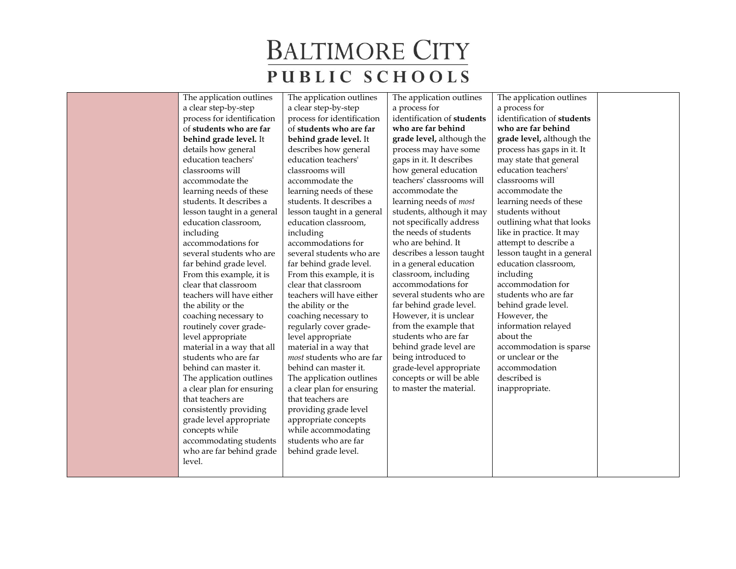| The application outlines   | The application outlines   | The application outlines      | The application outlines   |  |
|----------------------------|----------------------------|-------------------------------|----------------------------|--|
| a clear step-by-step       | a clear step-by-step       | a process for                 | a process for              |  |
| process for identification | process for identification | identification of students    | identification of students |  |
| of students who are far    | of students who are far    | who are far behind            | who are far behind         |  |
| behind grade level. It     | behind grade level. It     | grade level, although the     | grade level, although the  |  |
| details how general        | describes how general      | process may have some         | process has gaps in it. It |  |
| education teachers'        | education teachers'        | gaps in it. It describes      | may state that general     |  |
| classrooms will            | classrooms will            | how general education         | education teachers'        |  |
| accommodate the            | accommodate the            | teachers' classrooms will     | classrooms will            |  |
| learning needs of these    | learning needs of these    | accommodate the               | accommodate the            |  |
| students. It describes a   | students. It describes a   | learning needs of <i>most</i> | learning needs of these    |  |
| lesson taught in a general | lesson taught in a general | students, although it may     | students without           |  |
| education classroom,       | education classroom,       | not specifically address      | outlining what that looks  |  |
| including                  | including                  | the needs of students         | like in practice. It may   |  |
| accommodations for         | accommodations for         | who are behind. It            | attempt to describe a      |  |
| several students who are   | several students who are   | describes a lesson taught     | lesson taught in a general |  |
| far behind grade level.    | far behind grade level.    | in a general education        | education classroom,       |  |
| From this example, it is   | From this example, it is   | classroom, including          | including                  |  |
| clear that classroom       | clear that classroom       | accommodations for            | accommodation for          |  |
| teachers will have either  | teachers will have either  | several students who are      | students who are far       |  |
| the ability or the         | the ability or the         | far behind grade level.       | behind grade level.        |  |
| coaching necessary to      | coaching necessary to      | However, it is unclear        | However, the               |  |
| routinely cover grade-     | regularly cover grade-     | from the example that         | information relayed        |  |
| level appropriate          | level appropriate          | students who are far          | about the                  |  |
| material in a way that all | material in a way that     | behind grade level are        | accommodation is sparse    |  |
| students who are far       | most students who are far  | being introduced to           | or unclear or the          |  |
| behind can master it.      | behind can master it.      | grade-level appropriate       | accommodation              |  |
| The application outlines   | The application outlines   | concepts or will be able      | described is               |  |
| a clear plan for ensuring  | a clear plan for ensuring  | to master the material.       | inappropriate.             |  |
| that teachers are          | that teachers are          |                               |                            |  |
| consistently providing     | providing grade level      |                               |                            |  |
| grade level appropriate    | appropriate concepts       |                               |                            |  |
| concepts while             | while accommodating        |                               |                            |  |
| accommodating students     | students who are far       |                               |                            |  |
| who are far behind grade   | behind grade level.        |                               |                            |  |
| level.                     |                            |                               |                            |  |
|                            |                            |                               |                            |  |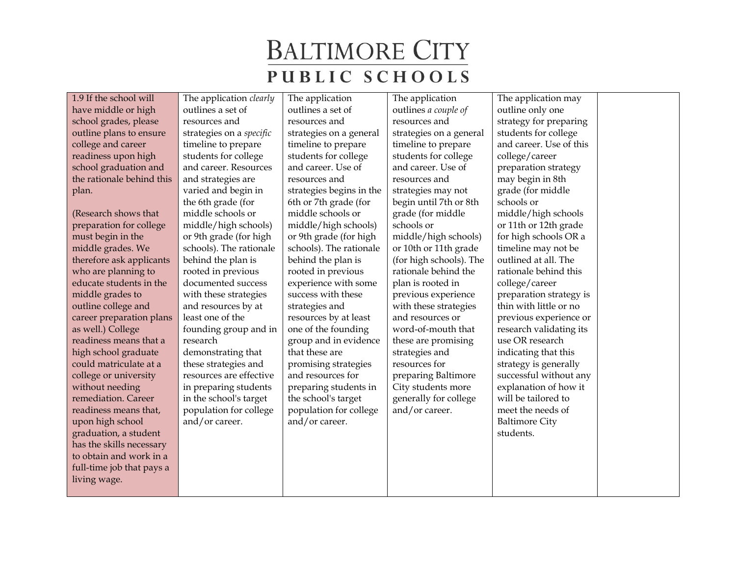1.9 If the school will have middle or high school grades, please outline plans to ensure college and career readiness upon high school graduation and the rationale behind this plan.

(Research shows that preparation for college must begin in the middle grades. We therefore ask applicants who are planning to educate students in the middle grades to outline college and career preparation plans as well.) College readiness means that a high school graduate could matriculate at a college or university without needing remediation. Career readiness means that, upon high school graduation, a student has the skills necessary to obtain and work in a full-time job that pays a living wage.

The application *clearly* outlines a set of resources and strategies on a *specific*  timeline to prepare students for college and career. Resources and strategies are varied and begin in the 6th grade (for middle schools or middle/high schools) or 9th grade (for high schools). The rationale behind the plan is rooted in previous documented success with these strategies and resources by at least one of the founding group and in research demonstrating that these strategies and resources are effective in preparing students in the school's target population for college and/or career.

The application outlines a set of resources and strategies on a general timeline to prepare students for college and career. Use of resources and strategies begins in the 6th or 7th grade (for middle schools or middle/high schools) or 9th grade (for high schools). The rationale behind the plan is rooted in previous experience with some success with these strategies and resources by at least one of the founding group and in evidence that these are promising strategies and resources for preparing students in the school's target population for college and/or career.

The application outlines *a couple of*  resources and strategies on a general timeline to prepare students for college and career. Use of resources and strategies may not begin until 7th or 8th grade (for middle schools or middle/high schools) or 10th or 11th grade (for high schools). The rationale behind the plan is rooted in previous experience with these strategies and resources or word-of-mouth that these are promising strategies and resources for preparing Baltimore City students more generally for college and/or career.

The application may outline only one strategy for preparing students for college and career. Use of this college/career preparation strategy may begin in 8th grade (for middle schools or middle/high schools or 11th or 12th grade for high schools OR a timeline may not be outlined at all. The rationale behind this college/career preparation strategy is thin with little or no previous experience or research validating its use OR research indicating that this strategy is generally successful without any explanation of how it will be tailored to meet the needs of Baltimore City students.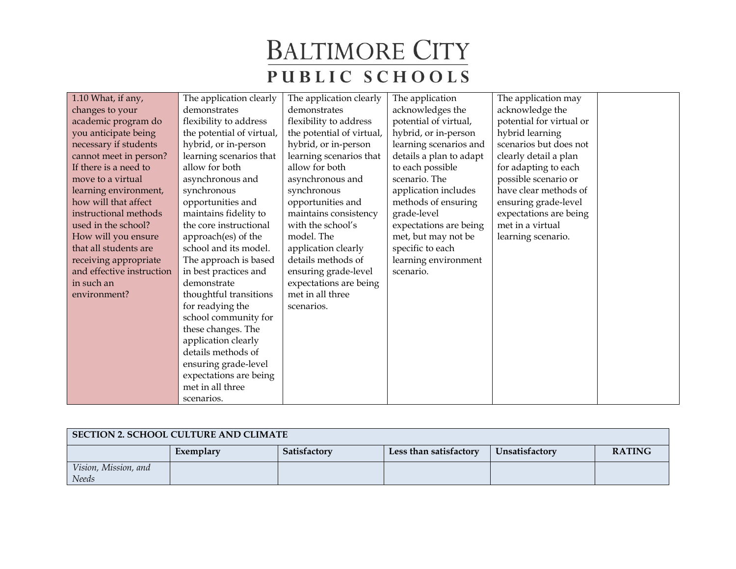| 1.10 What, if any,        | The application clearly   | The application clearly   | The application         | The application may      |  |
|---------------------------|---------------------------|---------------------------|-------------------------|--------------------------|--|
| changes to your           | demonstrates              | demonstrates              | acknowledges the        | acknowledge the          |  |
| academic program do       | flexibility to address    | flexibility to address    | potential of virtual,   | potential for virtual or |  |
| you anticipate being      | the potential of virtual, | the potential of virtual, | hybrid, or in-person    | hybrid learning          |  |
| necessary if students     | hybrid, or in-person      | hybrid, or in-person      | learning scenarios and  | scenarios but does not   |  |
| cannot meet in person?    | learning scenarios that   | learning scenarios that   | details a plan to adapt | clearly detail a plan    |  |
| If there is a need to     | allow for both            | allow for both            | to each possible        | for adapting to each     |  |
| move to a virtual         | asynchronous and          | asynchronous and          | scenario. The           | possible scenario or     |  |
| learning environment,     | synchronous               | synchronous               | application includes    | have clear methods of    |  |
| how will that affect      | opportunities and         | opportunities and         | methods of ensuring     | ensuring grade-level     |  |
| instructional methods     | maintains fidelity to     | maintains consistency     | grade-level             | expectations are being   |  |
| used in the school?       | the core instructional    | with the school's         | expectations are being  | met in a virtual         |  |
| How will you ensure       | approach(es) of the       | model. The                | met, but may not be     | learning scenario.       |  |
| that all students are     | school and its model.     | application clearly       | specific to each        |                          |  |
| receiving appropriate     | The approach is based     | details methods of        | learning environment    |                          |  |
| and effective instruction | in best practices and     | ensuring grade-level      | scenario.               |                          |  |
| in such an                | demonstrate               | expectations are being    |                         |                          |  |
| environment?              | thoughtful transitions    | met in all three          |                         |                          |  |
|                           | for readying the          | scenarios.                |                         |                          |  |
|                           | school community for      |                           |                         |                          |  |
|                           | these changes. The        |                           |                         |                          |  |
|                           | application clearly       |                           |                         |                          |  |
|                           | details methods of        |                           |                         |                          |  |
|                           | ensuring grade-level      |                           |                         |                          |  |
|                           | expectations are being    |                           |                         |                          |  |
|                           | met in all three          |                           |                         |                          |  |
|                           | scenarios.                |                           |                         |                          |  |

| SECTION 2. SCHOOL CULTURE AND CLIMATE |           |              |                        |                |               |  |
|---------------------------------------|-----------|--------------|------------------------|----------------|---------------|--|
|                                       | Exemplary | Satisfactory | Less than satisfactory | Unsatisfactory | <b>RATING</b> |  |
| Vision, Mission, and<br>Needs         |           |              |                        |                |               |  |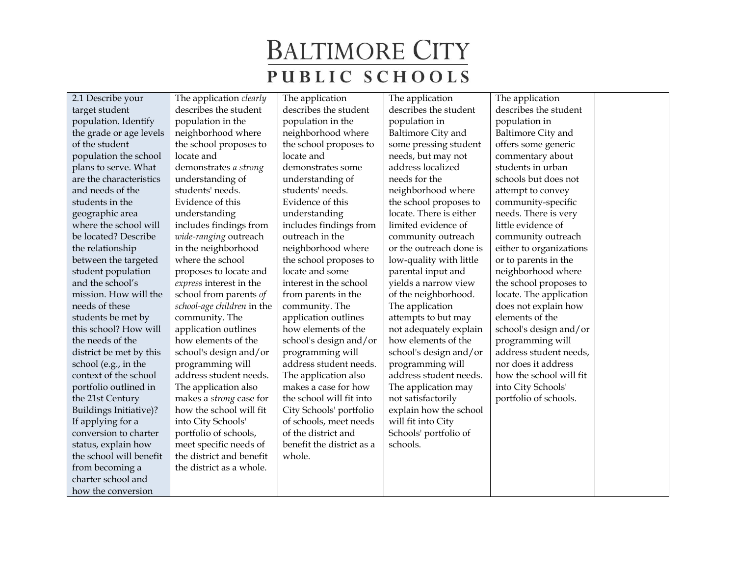2.1 Describe your target student population. Identify the grade or age levels of the student population the school plans to serve. What are the characteristics and needs of the students in the geographic area where the school will be located? Describe the relationship between the targeted student population and the school's mission. How will the needs of these students be met by this school? How will the needs of the district be met by this school (e.g., in the context of the school portfolio outlined in the 21st Century Buildings Initiative)? If applying for a conversion to charter status, explain how the school will benefit from becoming a charter school and how the conversion

The application *clearly* describes the student population in the neighborhood where the school proposes to locate and demonstrates *a strong* understanding of students' needs. Evidence of this understanding includes findings from *wide-ranging* outreach in the neighborhood where the school proposes to locate and *express* interest in the school from parents *of school-age children* in the community. The application outlines how elements of the school's design and/or programming will address student needs. The application also makes a *strong* case for how the school will fit into City Schools' portfolio of schools, meet specific needs of the district and benefit the district as a whole.

The application describes the student population in the neighborhood where the school proposes to locate and demonstrates some understanding of students' needs. Evidence of this understanding includes findings from outreach in the neighborhood where the school proposes to locate and some interest in the school from parents in the community. The application outlines how elements of the school's design and/or programming will address student needs. The application also makes a case for how the school will fit into City Schools' portfolio of schools, meet needs of the district and benefit the district as a whole.

The application describes the student population in Baltimore City and some pressing student needs, but may not address localized needs for the neighborhood where the school proposes to locate. There is either limited evidence of community outreach or the outreach done is low-quality with little parental input and yields a narrow view of the neighborhood. The application attempts to but may not adequately explain how elements of the school's design and/or programming will address student needs. The application may not satisfactorily explain how the school will fit into City Schools' portfolio of schools.

The application describes the student population in Baltimore City and offers some generic commentary about students in urban schools but does not attempt to convey community-specific needs. There is very little evidence of community outreach either to organizations or to parents in the neighborhood where the school proposes to locate. The application does not explain how elements of the school's design and/or programming will address student needs, nor does it address how the school will fit into City Schools' portfolio of schools.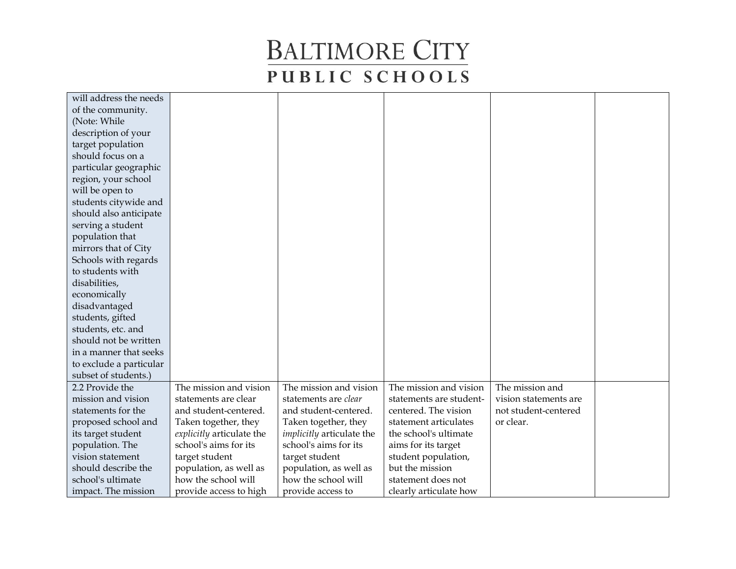| will address the needs  |                           |                                  |                         |                       |  |
|-------------------------|---------------------------|----------------------------------|-------------------------|-----------------------|--|
| of the community.       |                           |                                  |                         |                       |  |
| (Note: While            |                           |                                  |                         |                       |  |
| description of your     |                           |                                  |                         |                       |  |
| target population       |                           |                                  |                         |                       |  |
| should focus on a       |                           |                                  |                         |                       |  |
| particular geographic   |                           |                                  |                         |                       |  |
| region, your school     |                           |                                  |                         |                       |  |
| will be open to         |                           |                                  |                         |                       |  |
| students citywide and   |                           |                                  |                         |                       |  |
| should also anticipate  |                           |                                  |                         |                       |  |
| serving a student       |                           |                                  |                         |                       |  |
| population that         |                           |                                  |                         |                       |  |
| mirrors that of City    |                           |                                  |                         |                       |  |
| Schools with regards    |                           |                                  |                         |                       |  |
| to students with        |                           |                                  |                         |                       |  |
| disabilities,           |                           |                                  |                         |                       |  |
| economically            |                           |                                  |                         |                       |  |
| disadvantaged           |                           |                                  |                         |                       |  |
| students, gifted        |                           |                                  |                         |                       |  |
| students, etc. and      |                           |                                  |                         |                       |  |
| should not be written   |                           |                                  |                         |                       |  |
| in a manner that seeks  |                           |                                  |                         |                       |  |
| to exclude a particular |                           |                                  |                         |                       |  |
| subset of students.)    |                           |                                  |                         |                       |  |
| 2.2 Provide the         | The mission and vision    | The mission and vision           | The mission and vision  | The mission and       |  |
| mission and vision      | statements are clear      | statements are clear             | statements are student- | vision statements are |  |
| statements for the      | and student-centered.     | and student-centered.            | centered. The vision    | not student-centered  |  |
| proposed school and     | Taken together, they      | Taken together, they             | statement articulates   | or clear.             |  |
| its target student      | explicitly articulate the | <i>implicitly</i> articulate the | the school's ultimate   |                       |  |
| population. The         | school's aims for its     | school's aims for its            | aims for its target     |                       |  |
| vision statement        | target student            | target student                   | student population,     |                       |  |
| should describe the     | population, as well as    | population, as well as           | but the mission         |                       |  |
| school's ultimate       | how the school will       | how the school will              | statement does not      |                       |  |
| impact. The mission     | provide access to high    | provide access to                | clearly articulate how  |                       |  |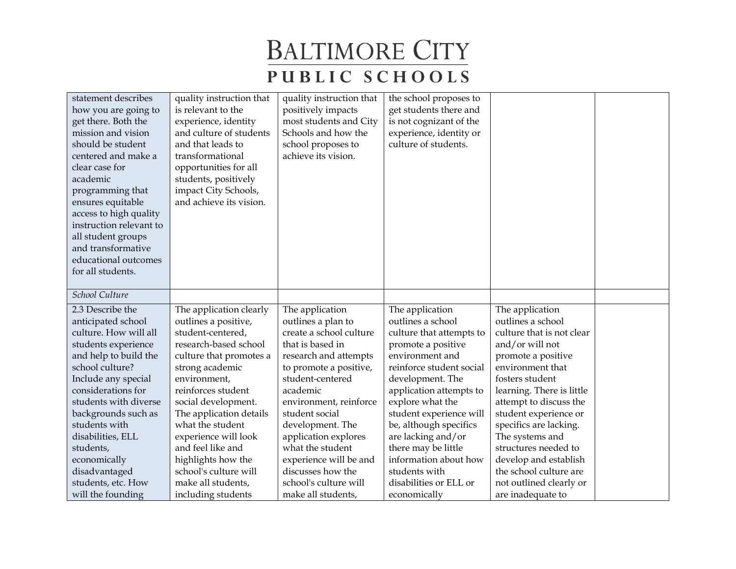| statement describes<br>how you are going to<br>get there. Both the<br>mission and vision<br>should be student<br>centered and make a<br>clear case for<br>academic<br>programming that<br>ensures equitable<br>access to high quality<br>instruction relevant to<br>all student groups<br>and transformative<br>educational outcomes<br>for all students. | quality instruction that<br>is relevant to the<br>experience, identity<br>and culture of students<br>and that leads to<br>transformational<br>opportunities for all<br>students, positively<br>impact City Schools,<br>and achieve its vision. | quality instruction that<br>positively impacts<br>most students and City<br>Schools and how the<br>school proposes to<br>achieve its vision. | the school proposes to<br>get students there and<br>is not cognizant of the<br>experience, identity or<br>culture of students. |                           |  |
|-----------------------------------------------------------------------------------------------------------------------------------------------------------------------------------------------------------------------------------------------------------------------------------------------------------------------------------------------------------|------------------------------------------------------------------------------------------------------------------------------------------------------------------------------------------------------------------------------------------------|----------------------------------------------------------------------------------------------------------------------------------------------|--------------------------------------------------------------------------------------------------------------------------------|---------------------------|--|
| School Culture                                                                                                                                                                                                                                                                                                                                            |                                                                                                                                                                                                                                                |                                                                                                                                              |                                                                                                                                |                           |  |
| 2.3 Describe the                                                                                                                                                                                                                                                                                                                                          | The application clearly                                                                                                                                                                                                                        | The application                                                                                                                              | The application                                                                                                                | The application           |  |
| anticipated school                                                                                                                                                                                                                                                                                                                                        | outlines a positive,                                                                                                                                                                                                                           | outlines a plan to                                                                                                                           | outlines a school                                                                                                              | outlines a school         |  |
| culture. How will all                                                                                                                                                                                                                                                                                                                                     | student-centered,                                                                                                                                                                                                                              | create a school culture                                                                                                                      | culture that attempts to                                                                                                       | culture that is not clear |  |
| students experience                                                                                                                                                                                                                                                                                                                                       | research-based school                                                                                                                                                                                                                          | that is based in                                                                                                                             | promote a positive                                                                                                             | and/or will not           |  |
| and help to build the                                                                                                                                                                                                                                                                                                                                     | culture that promotes a                                                                                                                                                                                                                        | research and attempts                                                                                                                        | environment and                                                                                                                | promote a positive        |  |
| school culture?                                                                                                                                                                                                                                                                                                                                           | strong academic                                                                                                                                                                                                                                | to promote a positive,                                                                                                                       | reinforce student social                                                                                                       | environment that          |  |
| Include any special                                                                                                                                                                                                                                                                                                                                       | environment,                                                                                                                                                                                                                                   | student-centered                                                                                                                             | development. The                                                                                                               | fosters student           |  |
| considerations for                                                                                                                                                                                                                                                                                                                                        | reinforces student                                                                                                                                                                                                                             | academic                                                                                                                                     | application attempts to                                                                                                        | learning. There is little |  |
| students with diverse                                                                                                                                                                                                                                                                                                                                     | social development.                                                                                                                                                                                                                            | environment, reinforce                                                                                                                       | explore what the                                                                                                               | attempt to discuss the    |  |
| backgrounds such as                                                                                                                                                                                                                                                                                                                                       | The application details                                                                                                                                                                                                                        | student social                                                                                                                               | student experience will                                                                                                        | student experience or     |  |
| students with                                                                                                                                                                                                                                                                                                                                             | what the student                                                                                                                                                                                                                               | development. The                                                                                                                             | be, although specifics                                                                                                         | specifics are lacking.    |  |
| disabilities, ELL                                                                                                                                                                                                                                                                                                                                         | experience will look                                                                                                                                                                                                                           | application explores                                                                                                                         | are lacking and/or                                                                                                             | The systems and           |  |
| students,                                                                                                                                                                                                                                                                                                                                                 | and feel like and                                                                                                                                                                                                                              | what the student                                                                                                                             | there may be little                                                                                                            | structures needed to      |  |
| economically                                                                                                                                                                                                                                                                                                                                              | highlights how the                                                                                                                                                                                                                             | experience will be and                                                                                                                       | information about how                                                                                                          | develop and establish     |  |
| disadvantaged                                                                                                                                                                                                                                                                                                                                             | school's culture will                                                                                                                                                                                                                          | discusses how the                                                                                                                            | students with                                                                                                                  | the school culture are    |  |
| students, etc. How                                                                                                                                                                                                                                                                                                                                        | make all students,                                                                                                                                                                                                                             | school's culture will                                                                                                                        | disabilities or ELL or                                                                                                         | not outlined clearly or   |  |
| will the founding                                                                                                                                                                                                                                                                                                                                         | including students                                                                                                                                                                                                                             | make all students,                                                                                                                           | economically                                                                                                                   | are inadequate to         |  |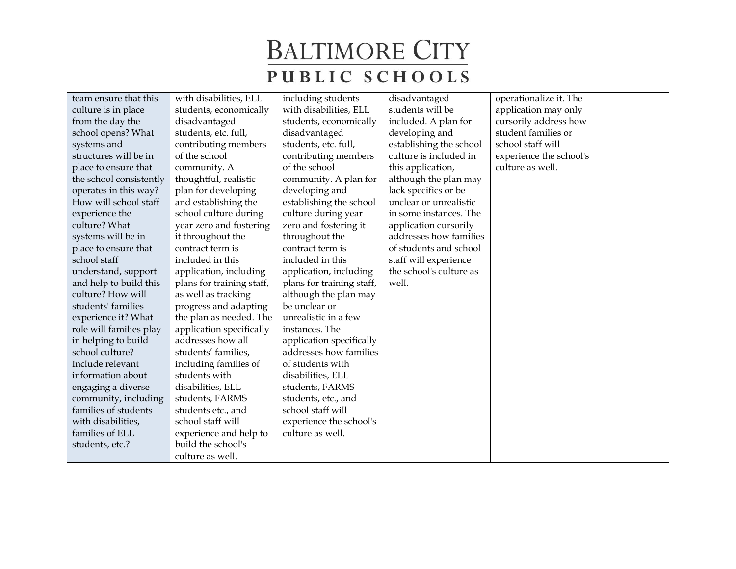| team ensure that this   | with disabilities, ELL    | including students        | disadvantaged           | operationalize it. The  |  |
|-------------------------|---------------------------|---------------------------|-------------------------|-------------------------|--|
| culture is in place     | students, economically    | with disabilities, ELL    | students will be        | application may only    |  |
| from the day the        | disadvantaged             | students, economically    | included. A plan for    | cursorily address how   |  |
| school opens? What      | students, etc. full,      | disadvantaged             | developing and          | student families or     |  |
| systems and             | contributing members      | students, etc. full,      | establishing the school | school staff will       |  |
| structures will be in   | of the school             | contributing members      | culture is included in  | experience the school's |  |
| place to ensure that    | community. A              | of the school             | this application,       | culture as well.        |  |
| the school consistently | thoughtful, realistic     | community. A plan for     | although the plan may   |                         |  |
| operates in this way?   | plan for developing       | developing and            | lack specifics or be    |                         |  |
| How will school staff   | and establishing the      | establishing the school   | unclear or unrealistic  |                         |  |
| experience the          | school culture during     | culture during year       | in some instances. The  |                         |  |
| culture? What           | year zero and fostering   | zero and fostering it     | application cursorily   |                         |  |
| systems will be in      | it throughout the         | throughout the            | addresses how families  |                         |  |
| place to ensure that    | contract term is          | contract term is          | of students and school  |                         |  |
| school staff            | included in this          | included in this          | staff will experience   |                         |  |
| understand, support     | application, including    | application, including    | the school's culture as |                         |  |
| and help to build this  | plans for training staff, | plans for training staff, | well.                   |                         |  |
| culture? How will       | as well as tracking       | although the plan may     |                         |                         |  |
| students' families      | progress and adapting     | be unclear or             |                         |                         |  |
| experience it? What     | the plan as needed. The   | unrealistic in a few      |                         |                         |  |
| role will families play | application specifically  | instances. The            |                         |                         |  |
| in helping to build     | addresses how all         | application specifically  |                         |                         |  |
| school culture?         | students' families,       | addresses how families    |                         |                         |  |
| Include relevant        | including families of     | of students with          |                         |                         |  |
| information about       | students with             | disabilities, ELL         |                         |                         |  |
| engaging a diverse      | disabilities, ELL         | students, FARMS           |                         |                         |  |
| community, including    | students, FARMS           | students, etc., and       |                         |                         |  |
| families of students    | students etc., and        | school staff will         |                         |                         |  |
| with disabilities,      | school staff will         | experience the school's   |                         |                         |  |
| families of ELL         | experience and help to    | culture as well.          |                         |                         |  |
| students, etc.?         | build the school's        |                           |                         |                         |  |
|                         | culture as well.          |                           |                         |                         |  |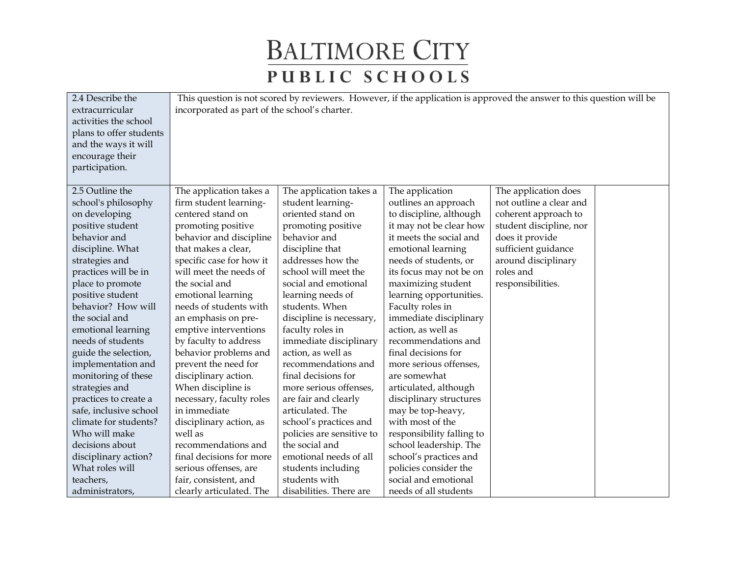| 2.4 Describe the        | This question is not scored by reviewers. However, if the application is approved the answer to this question will be |                           |                           |                         |  |  |
|-------------------------|-----------------------------------------------------------------------------------------------------------------------|---------------------------|---------------------------|-------------------------|--|--|
| extracurricular         | incorporated as part of the school's charter.                                                                         |                           |                           |                         |  |  |
| activities the school   |                                                                                                                       |                           |                           |                         |  |  |
| plans to offer students |                                                                                                                       |                           |                           |                         |  |  |
| and the ways it will    |                                                                                                                       |                           |                           |                         |  |  |
| encourage their         |                                                                                                                       |                           |                           |                         |  |  |
| participation.          |                                                                                                                       |                           |                           |                         |  |  |
|                         |                                                                                                                       |                           |                           |                         |  |  |
| 2.5 Outline the         | The application takes a                                                                                               | The application takes a   | The application           | The application does    |  |  |
| school's philosophy     | firm student learning-                                                                                                | student learning-         | outlines an approach      | not outline a clear and |  |  |
| on developing           | centered stand on                                                                                                     | oriented stand on         | to discipline, although   | coherent approach to    |  |  |
| positive student        | promoting positive                                                                                                    | promoting positive        | it may not be clear how   | student discipline, nor |  |  |
| behavior and            | behavior and discipline                                                                                               | behavior and              | it meets the social and   | does it provide         |  |  |
| discipline. What        | that makes a clear,                                                                                                   | discipline that           | emotional learning        | sufficient guidance     |  |  |
| strategies and          | specific case for how it                                                                                              | addresses how the         | needs of students, or     | around disciplinary     |  |  |
| practices will be in    | will meet the needs of                                                                                                | school will meet the      | its focus may not be on   | roles and               |  |  |
| place to promote        | the social and                                                                                                        | social and emotional      | maximizing student        | responsibilities.       |  |  |
| positive student        | emotional learning                                                                                                    | learning needs of         | learning opportunities.   |                         |  |  |
| behavior? How will      | needs of students with                                                                                                | students. When            | Faculty roles in          |                         |  |  |
| the social and          | an emphasis on pre-                                                                                                   | discipline is necessary,  | immediate disciplinary    |                         |  |  |
| emotional learning      | emptive interventions                                                                                                 | faculty roles in          | action, as well as        |                         |  |  |
| needs of students       | by faculty to address                                                                                                 | immediate disciplinary    | recommendations and       |                         |  |  |
| guide the selection,    | behavior problems and                                                                                                 | action, as well as        | final decisions for       |                         |  |  |
| implementation and      | prevent the need for                                                                                                  | recommendations and       | more serious offenses,    |                         |  |  |
| monitoring of these     | disciplinary action.                                                                                                  | final decisions for       | are somewhat              |                         |  |  |
| strategies and          | When discipline is                                                                                                    | more serious offenses,    | articulated, although     |                         |  |  |
| practices to create a   | necessary, faculty roles                                                                                              | are fair and clearly      | disciplinary structures   |                         |  |  |
| safe, inclusive school  | in immediate                                                                                                          | articulated. The          | may be top-heavy,         |                         |  |  |
| climate for students?   | disciplinary action, as                                                                                               | school's practices and    | with most of the          |                         |  |  |
| Who will make           | well as                                                                                                               | policies are sensitive to | responsibility falling to |                         |  |  |
| decisions about         | recommendations and                                                                                                   | the social and            | school leadership. The    |                         |  |  |
| disciplinary action?    | final decisions for more                                                                                              | emotional needs of all    | school's practices and    |                         |  |  |
| What roles will         | serious offenses, are                                                                                                 | students including        | policies consider the     |                         |  |  |
| teachers,               | fair, consistent, and                                                                                                 | students with             | social and emotional      |                         |  |  |
| administrators,         | clearly articulated. The                                                                                              | disabilities. There are   | needs of all students     |                         |  |  |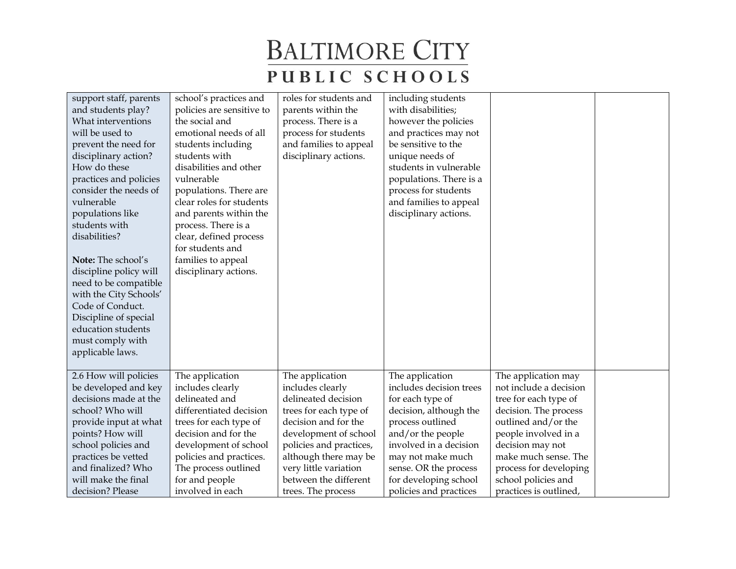| support staff, parents<br>and students play?<br>What interventions<br>will be used to<br>prevent the need for<br>disciplinary action?<br>How do these<br>practices and policies<br>consider the needs of<br>vulnerable<br>populations like<br>students with<br>disabilities?<br>Note: The school's<br>discipline policy will<br>need to be compatible<br>with the City Schools'<br>Code of Conduct.<br>Discipline of special<br>education students<br>must comply with<br>applicable laws. | school's practices and<br>policies are sensitive to<br>the social and<br>emotional needs of all<br>students including<br>students with<br>disabilities and other<br>vulnerable<br>populations. There are<br>clear roles for students<br>and parents within the<br>process. There is a<br>clear, defined process<br>for students and<br>families to appeal<br>disciplinary actions. | roles for students and<br>parents within the<br>process. There is a<br>process for students<br>and families to appeal<br>disciplinary actions. | including students<br>with disabilities;<br>however the policies<br>and practices may not<br>be sensitive to the<br>unique needs of<br>students in vulnerable<br>populations. There is a<br>process for students<br>and families to appeal<br>disciplinary actions. |                        |  |
|--------------------------------------------------------------------------------------------------------------------------------------------------------------------------------------------------------------------------------------------------------------------------------------------------------------------------------------------------------------------------------------------------------------------------------------------------------------------------------------------|------------------------------------------------------------------------------------------------------------------------------------------------------------------------------------------------------------------------------------------------------------------------------------------------------------------------------------------------------------------------------------|------------------------------------------------------------------------------------------------------------------------------------------------|---------------------------------------------------------------------------------------------------------------------------------------------------------------------------------------------------------------------------------------------------------------------|------------------------|--|
| 2.6 How will policies                                                                                                                                                                                                                                                                                                                                                                                                                                                                      | The application                                                                                                                                                                                                                                                                                                                                                                    | The application                                                                                                                                | The application                                                                                                                                                                                                                                                     | The application may    |  |
| be developed and key                                                                                                                                                                                                                                                                                                                                                                                                                                                                       | includes clearly                                                                                                                                                                                                                                                                                                                                                                   | includes clearly                                                                                                                               | includes decision trees                                                                                                                                                                                                                                             | not include a decision |  |
| decisions made at the                                                                                                                                                                                                                                                                                                                                                                                                                                                                      | delineated and                                                                                                                                                                                                                                                                                                                                                                     | delineated decision                                                                                                                            | for each type of                                                                                                                                                                                                                                                    | tree for each type of  |  |
| school? Who will                                                                                                                                                                                                                                                                                                                                                                                                                                                                           | differentiated decision                                                                                                                                                                                                                                                                                                                                                            | trees for each type of                                                                                                                         | decision, although the                                                                                                                                                                                                                                              | decision. The process  |  |
| provide input at what                                                                                                                                                                                                                                                                                                                                                                                                                                                                      | trees for each type of                                                                                                                                                                                                                                                                                                                                                             | decision and for the                                                                                                                           | process outlined                                                                                                                                                                                                                                                    | outlined and/or the    |  |
| points? How will                                                                                                                                                                                                                                                                                                                                                                                                                                                                           | decision and for the                                                                                                                                                                                                                                                                                                                                                               | development of school                                                                                                                          | and/or the people                                                                                                                                                                                                                                                   | people involved in a   |  |
| school policies and                                                                                                                                                                                                                                                                                                                                                                                                                                                                        | development of school                                                                                                                                                                                                                                                                                                                                                              | policies and practices,                                                                                                                        | involved in a decision                                                                                                                                                                                                                                              | decision may not       |  |
| practices be vetted                                                                                                                                                                                                                                                                                                                                                                                                                                                                        | policies and practices.                                                                                                                                                                                                                                                                                                                                                            | although there may be                                                                                                                          | may not make much                                                                                                                                                                                                                                                   | make much sense. The   |  |
| and finalized? Who                                                                                                                                                                                                                                                                                                                                                                                                                                                                         | The process outlined                                                                                                                                                                                                                                                                                                                                                               | very little variation                                                                                                                          | sense. OR the process                                                                                                                                                                                                                                               | process for developing |  |
| will make the final                                                                                                                                                                                                                                                                                                                                                                                                                                                                        | for and people                                                                                                                                                                                                                                                                                                                                                                     | between the different                                                                                                                          | for developing school                                                                                                                                                                                                                                               | school policies and    |  |
| decision? Please                                                                                                                                                                                                                                                                                                                                                                                                                                                                           | involved in each                                                                                                                                                                                                                                                                                                                                                                   | trees. The process                                                                                                                             | policies and practices                                                                                                                                                                                                                                              | practices is outlined, |  |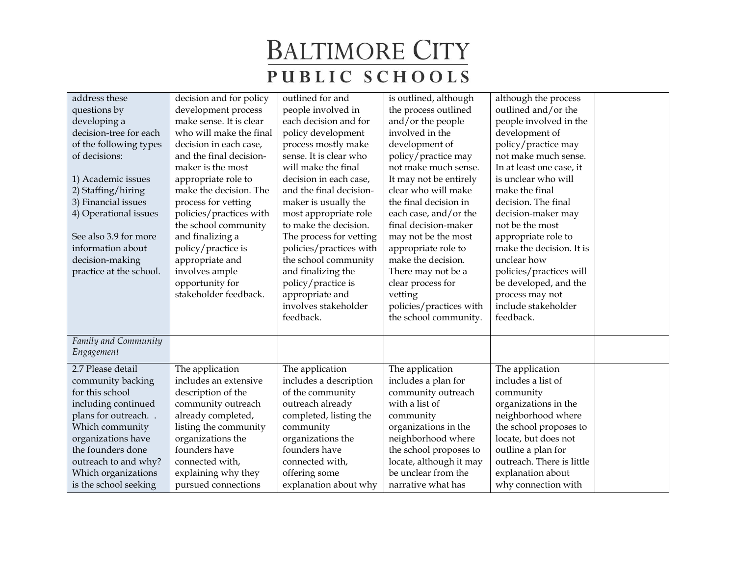| address these<br>questions by<br>developing a<br>decision-tree for each<br>of the following types<br>of decisions:<br>1) Academic issues<br>2) Staffing/hiring<br>3) Financial issues<br>4) Operational issues<br>See also 3.9 for more<br>information about<br>decision-making<br>practice at the school. | decision and for policy<br>development process<br>make sense. It is clear<br>who will make the final<br>decision in each case,<br>and the final decision-<br>maker is the most<br>appropriate role to<br>make the decision. The<br>process for vetting<br>policies/practices with<br>the school community<br>and finalizing a<br>policy/practice is<br>appropriate and<br>involves ample<br>opportunity for<br>stakeholder feedback. | outlined for and<br>people involved in<br>each decision and for<br>policy development<br>process mostly make<br>sense. It is clear who<br>will make the final<br>decision in each case,<br>and the final decision-<br>maker is usually the<br>most appropriate role<br>to make the decision.<br>The process for vetting<br>policies/practices with<br>the school community<br>and finalizing the<br>policy/practice is<br>appropriate and<br>involves stakeholder<br>feedback. | is outlined, although<br>the process outlined<br>and/or the people<br>involved in the<br>development of<br>policy/practice may<br>not make much sense.<br>It may not be entirely<br>clear who will make<br>the final decision in<br>each case, and/or the<br>final decision-maker<br>may not be the most<br>appropriate role to<br>make the decision.<br>There may not be a<br>clear process for<br>vetting<br>policies/practices with<br>the school community. | although the process<br>outlined and/or the<br>people involved in the<br>development of<br>policy/practice may<br>not make much sense.<br>In at least one case, it<br>is unclear who will<br>make the final<br>decision. The final<br>decision-maker may<br>not be the most<br>appropriate role to<br>make the decision. It is<br>unclear how<br>policies/practices will<br>be developed, and the<br>process may not<br>include stakeholder<br>feedback. |  |
|------------------------------------------------------------------------------------------------------------------------------------------------------------------------------------------------------------------------------------------------------------------------------------------------------------|--------------------------------------------------------------------------------------------------------------------------------------------------------------------------------------------------------------------------------------------------------------------------------------------------------------------------------------------------------------------------------------------------------------------------------------|--------------------------------------------------------------------------------------------------------------------------------------------------------------------------------------------------------------------------------------------------------------------------------------------------------------------------------------------------------------------------------------------------------------------------------------------------------------------------------|-----------------------------------------------------------------------------------------------------------------------------------------------------------------------------------------------------------------------------------------------------------------------------------------------------------------------------------------------------------------------------------------------------------------------------------------------------------------|----------------------------------------------------------------------------------------------------------------------------------------------------------------------------------------------------------------------------------------------------------------------------------------------------------------------------------------------------------------------------------------------------------------------------------------------------------|--|
| Family and Community<br>Engagement                                                                                                                                                                                                                                                                         |                                                                                                                                                                                                                                                                                                                                                                                                                                      |                                                                                                                                                                                                                                                                                                                                                                                                                                                                                |                                                                                                                                                                                                                                                                                                                                                                                                                                                                 |                                                                                                                                                                                                                                                                                                                                                                                                                                                          |  |
| 2.7 Please detail<br>community backing<br>for this school<br>including continued<br>plans for outreach<br>Which community<br>organizations have<br>the founders done<br>outreach to and why?<br>Which organizations<br>is the school seeking                                                               | The application<br>includes an extensive<br>description of the<br>community outreach<br>already completed,<br>listing the community<br>organizations the<br>founders have<br>connected with,<br>explaining why they<br>pursued connections                                                                                                                                                                                           | The application<br>includes a description<br>of the community<br>outreach already<br>completed, listing the<br>community<br>organizations the<br>founders have<br>connected with,<br>offering some<br>explanation about why                                                                                                                                                                                                                                                    | The application<br>includes a plan for<br>community outreach<br>with a list of<br>community<br>organizations in the<br>neighborhood where<br>the school proposes to<br>locate, although it may<br>be unclear from the<br>narrative what has                                                                                                                                                                                                                     | The application<br>includes a list of<br>community<br>organizations in the<br>neighborhood where<br>the school proposes to<br>locate, but does not<br>outline a plan for<br>outreach. There is little<br>explanation about<br>why connection with                                                                                                                                                                                                        |  |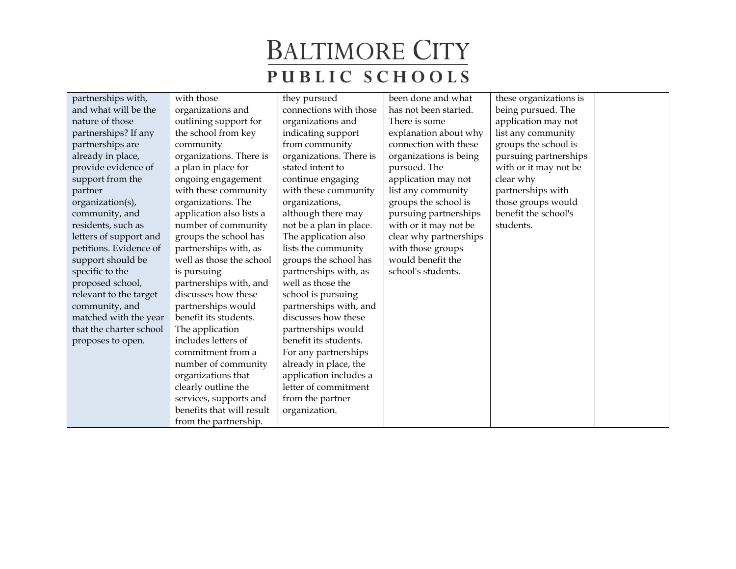| partnerships with,      | with those                | they pursued            | been done and what     | these organizations is |  |
|-------------------------|---------------------------|-------------------------|------------------------|------------------------|--|
| and what will be the    | organizations and         | connections with those  | has not been started.  | being pursued. The     |  |
| nature of those         | outlining support for     | organizations and       | There is some          | application may not    |  |
| partnerships? If any    | the school from key       | indicating support      | explanation about why  | list any community     |  |
| partnerships are        | community                 | from community          | connection with these  | groups the school is   |  |
| already in place,       | organizations. There is   | organizations. There is | organizations is being | pursuing partnerships  |  |
| provide evidence of     | a plan in place for       | stated intent to        | pursued. The           | with or it may not be  |  |
| support from the        | ongoing engagement        | continue engaging       | application may not    | clear why              |  |
| partner                 | with these community      | with these community    | list any community     | partnerships with      |  |
| organization(s),        | organizations. The        | organizations,          | groups the school is   | those groups would     |  |
| community, and          | application also lists a  | although there may      | pursuing partnerships  | benefit the school's   |  |
| residents, such as      | number of community       | not be a plan in place. | with or it may not be  | students.              |  |
| letters of support and  | groups the school has     | The application also    | clear why partnerships |                        |  |
| petitions. Evidence of  | partnerships with, as     | lists the community     | with those groups      |                        |  |
| support should be       | well as those the school  | groups the school has   | would benefit the      |                        |  |
| specific to the         | is pursuing               | partnerships with, as   | school's students.     |                        |  |
| proposed school,        | partnerships with, and    | well as those the       |                        |                        |  |
| relevant to the target  | discusses how these       | school is pursuing      |                        |                        |  |
| community, and          | partnerships would        | partnerships with, and  |                        |                        |  |
| matched with the year   | benefit its students.     | discusses how these     |                        |                        |  |
| that the charter school | The application           | partnerships would      |                        |                        |  |
| proposes to open.       | includes letters of       | benefit its students.   |                        |                        |  |
|                         | commitment from a         | For any partnerships    |                        |                        |  |
|                         | number of community       | already in place, the   |                        |                        |  |
|                         | organizations that        | application includes a  |                        |                        |  |
|                         | clearly outline the       | letter of commitment    |                        |                        |  |
|                         | services, supports and    | from the partner        |                        |                        |  |
|                         | benefits that will result | organization.           |                        |                        |  |
|                         | from the partnership.     |                         |                        |                        |  |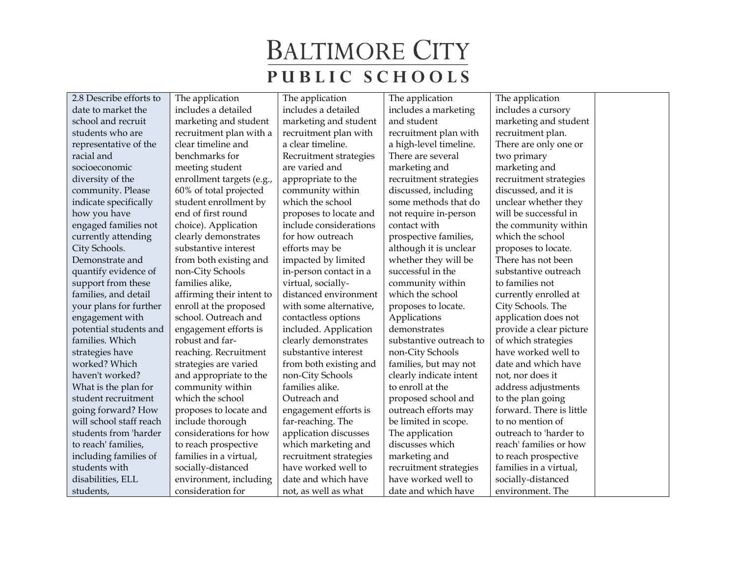2.8 Describe efforts to date to market the school and recruit students who are representative of the racial and socioeconomic diversity of the community. Please indicate specifically how you have engaged families not currently attending City Schools. Demonstrate and quantify evidence of support from these families, and detail your plans for further engagement with potential students and families. Which strategies have worked? Which haven't worked? What is the plan for student recruitment going forward? How will school staff reach students from 'harder to reach' families, including families of students with disabilities, ELL students,

The application includes a detailed marketing and student recruitment plan with a clear timeline and benchmarks for meeting student enrollment targets (e.g., 60% of total projected student enrollment by end of first round choice). Application clearly demonstrates substantive interest from both existing and non-City Schools families alike, affirming their intent to enroll at the proposed school. Outreach and engagement efforts is robust and farreaching. Recruitment strategies are varied and appropriate to the community within which the school proposes to locate and include thorough considerations for how to reach prospective families in a virtual, socially-distanced environment, including consideration for

The application includes a detailed marketing and student recruitment plan with a clear timeline. Recruitment strategies are varied and appropriate to the community within which the school proposes to locate and include considerations for how outreach efforts may be impacted by limited in-person contact in a virtual, sociallydistanced environment with some alternative, contactless options included. Application clearly demonstrates substantive interest from both existing and non-City Schools families alike. Outreach and engagement efforts is far-reaching. The application discusses which marketing and recruitment strategies have worked well to date and which have not, as well as what

The application includes a marketing and student recruitment plan with a high-level timeline. There are several marketing and recruitment strategies discussed, including some methods that do not require in-person contact with prospective families, although it is unclear whether they will be successful in the community within which the school proposes to locate. Applications demonstrates substantive outreach to non-City Schools families, but may not clearly indicate intent to enroll at the proposed school and outreach efforts may be limited in scope. The application discusses which marketing and recruitment strategies have worked well to

date and which have

The application includes a cursory marketing and student recruitment plan. There are only one or two primary marketing and recruitment strategies discussed, and it is unclear whether they will be successful in the community within which the school proposes to locate. There has not been substantive outreach to families not currently enrolled at City Schools. The application does not provide a clear picture of which strategies have worked well to date and which have not, nor does it address adjustments to the plan going forward. There is little to no mention of outreach to 'harder to reach' families or how to reach prospective families in a virtual, socially-distanced environment. The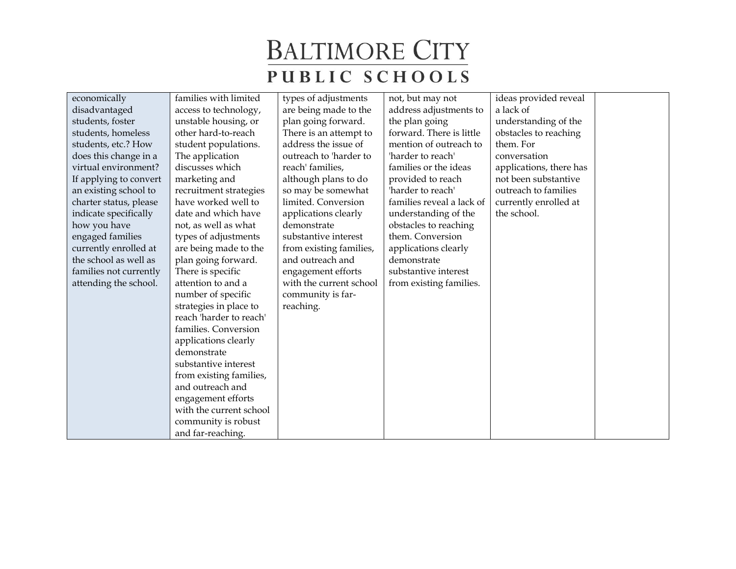| economically           | families with limited   | types of adjustments    | not, but may not          | ideas provided reveal   |  |
|------------------------|-------------------------|-------------------------|---------------------------|-------------------------|--|
| disadvantaged          | access to technology,   | are being made to the   | address adjustments to    | a lack of               |  |
| students, foster       | unstable housing, or    | plan going forward.     | the plan going            | understanding of the    |  |
| students, homeless     | other hard-to-reach     | There is an attempt to  | forward. There is little  | obstacles to reaching   |  |
| students, etc.? How    | student populations.    | address the issue of    | mention of outreach to    | them. For               |  |
| does this change in a  | The application         | outreach to 'harder to  | 'harder to reach'         | conversation            |  |
| virtual environment?   | discusses which         | reach' families,        | families or the ideas     | applications, there has |  |
| If applying to convert | marketing and           | although plans to do    | provided to reach         | not been substantive    |  |
| an existing school to  | recruitment strategies  | so may be somewhat      | 'harder to reach'         | outreach to families    |  |
| charter status, please | have worked well to     | limited. Conversion     | families reveal a lack of | currently enrolled at   |  |
| indicate specifically  | date and which have     | applications clearly    | understanding of the      | the school.             |  |
| how you have           | not, as well as what    | demonstrate             | obstacles to reaching     |                         |  |
| engaged families       | types of adjustments    | substantive interest    | them. Conversion          |                         |  |
| currently enrolled at  | are being made to the   | from existing families, | applications clearly      |                         |  |
| the school as well as  | plan going forward.     | and outreach and        | demonstrate               |                         |  |
| families not currently | There is specific       | engagement efforts      | substantive interest      |                         |  |
| attending the school.  | attention to and a      | with the current school | from existing families.   |                         |  |
|                        | number of specific      | community is far-       |                           |                         |  |
|                        | strategies in place to  | reaching.               |                           |                         |  |
|                        | reach 'harder to reach' |                         |                           |                         |  |
|                        | families. Conversion    |                         |                           |                         |  |
|                        | applications clearly    |                         |                           |                         |  |
|                        | demonstrate             |                         |                           |                         |  |
|                        | substantive interest    |                         |                           |                         |  |
|                        | from existing families, |                         |                           |                         |  |
|                        | and outreach and        |                         |                           |                         |  |
|                        | engagement efforts      |                         |                           |                         |  |
|                        | with the current school |                         |                           |                         |  |
|                        | community is robust     |                         |                           |                         |  |
|                        | and far-reaching.       |                         |                           |                         |  |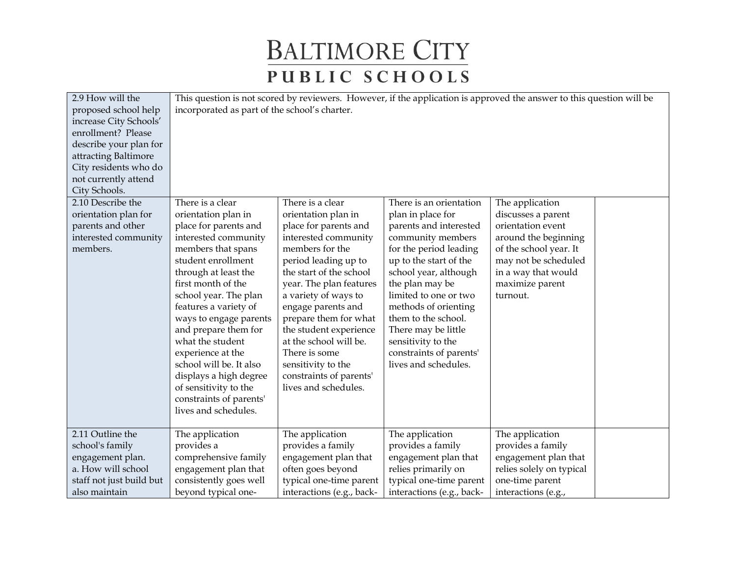| 2.9 How will the         |                                               |                           | This question is not scored by reviewers. However, if the application is approved the answer to this question will be |                          |  |
|--------------------------|-----------------------------------------------|---------------------------|-----------------------------------------------------------------------------------------------------------------------|--------------------------|--|
| proposed school help     | incorporated as part of the school's charter. |                           |                                                                                                                       |                          |  |
| increase City Schools'   |                                               |                           |                                                                                                                       |                          |  |
| enrollment? Please       |                                               |                           |                                                                                                                       |                          |  |
| describe your plan for   |                                               |                           |                                                                                                                       |                          |  |
| attracting Baltimore     |                                               |                           |                                                                                                                       |                          |  |
| City residents who do    |                                               |                           |                                                                                                                       |                          |  |
| not currently attend     |                                               |                           |                                                                                                                       |                          |  |
| City Schools.            |                                               |                           |                                                                                                                       |                          |  |
| 2.10 Describe the        | There is a clear                              | There is a clear          | There is an orientation                                                                                               | The application          |  |
| orientation plan for     | orientation plan in                           | orientation plan in       | plan in place for                                                                                                     | discusses a parent       |  |
| parents and other        | place for parents and                         | place for parents and     | parents and interested                                                                                                | orientation event        |  |
| interested community     | interested community                          | interested community      | community members                                                                                                     | around the beginning     |  |
| members.                 | members that spans                            | members for the           | for the period leading                                                                                                | of the school year. It   |  |
|                          | student enrollment                            | period leading up to      | up to the start of the                                                                                                | may not be scheduled     |  |
|                          | through at least the                          | the start of the school   | school year, although                                                                                                 | in a way that would      |  |
|                          | first month of the                            | year. The plan features   | the plan may be                                                                                                       | maximize parent          |  |
|                          | school year. The plan                         | a variety of ways to      | limited to one or two                                                                                                 | turnout.                 |  |
|                          | features a variety of                         | engage parents and        | methods of orienting                                                                                                  |                          |  |
|                          | ways to engage parents                        | prepare them for what     | them to the school.                                                                                                   |                          |  |
|                          | and prepare them for                          | the student experience    | There may be little                                                                                                   |                          |  |
|                          | what the student                              | at the school will be.    | sensitivity to the                                                                                                    |                          |  |
|                          | experience at the                             | There is some             | constraints of parents'                                                                                               |                          |  |
|                          | school will be. It also                       | sensitivity to the        | lives and schedules.                                                                                                  |                          |  |
|                          | displays a high degree                        | constraints of parents'   |                                                                                                                       |                          |  |
|                          | of sensitivity to the                         | lives and schedules.      |                                                                                                                       |                          |  |
|                          | constraints of parents'                       |                           |                                                                                                                       |                          |  |
|                          | lives and schedules.                          |                           |                                                                                                                       |                          |  |
|                          |                                               |                           |                                                                                                                       |                          |  |
| 2.11 Outline the         | The application                               | The application           | The application                                                                                                       | The application          |  |
| school's family          | provides a                                    | provides a family         | provides a family                                                                                                     | provides a family        |  |
| engagement plan.         | comprehensive family                          | engagement plan that      | engagement plan that                                                                                                  | engagement plan that     |  |
| a. How will school       | engagement plan that                          | often goes beyond         | relies primarily on                                                                                                   | relies solely on typical |  |
| staff not just build but | consistently goes well                        | typical one-time parent   | typical one-time parent                                                                                               | one-time parent          |  |
| also maintain            | beyond typical one-                           | interactions (e.g., back- | interactions (e.g., back-                                                                                             | interactions (e.g.,      |  |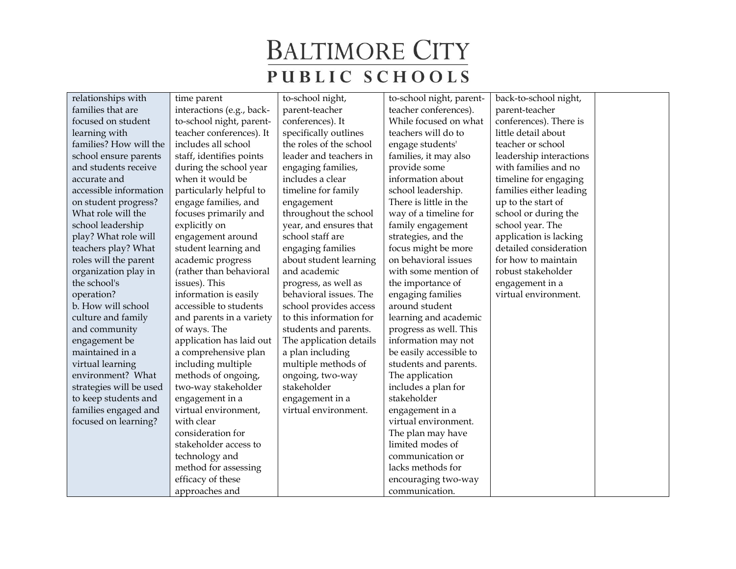| relationships with      | time parent               | to-school night,        | to-school night, parent- | back-to-school night,   |
|-------------------------|---------------------------|-------------------------|--------------------------|-------------------------|
| families that are       | interactions (e.g., back- | parent-teacher          | teacher conferences).    | parent-teacher          |
| focused on student      | to-school night, parent-  | conferences). It        | While focused on what    | conferences). There is  |
| learning with           | teacher conferences). It  | specifically outlines   | teachers will do to      | little detail about     |
| families? How will the  | includes all school       | the roles of the school | engage students'         | teacher or school       |
| school ensure parents   | staff, identifies points  | leader and teachers in  | families, it may also    | leadership interactions |
| and students receive    | during the school year    | engaging families,      | provide some             | with families and no    |
| accurate and            | when it would be          | includes a clear        | information about        | timeline for engaging   |
| accessible information  | particularly helpful to   | timeline for family     | school leadership.       | families either leading |
| on student progress?    | engage families, and      | engagement              | There is little in the   | up to the start of      |
| What role will the      | focuses primarily and     | throughout the school   | way of a timeline for    | school or during the    |
| school leadership       | explicitly on             | year, and ensures that  | family engagement        | school year. The        |
| play? What role will    | engagement around         | school staff are        | strategies, and the      | application is lacking  |
| teachers play? What     | student learning and      | engaging families       | focus might be more      | detailed consideration  |
| roles will the parent   | academic progress         | about student learning  | on behavioral issues     | for how to maintain     |
| organization play in    | (rather than behavioral   | and academic            | with some mention of     | robust stakeholder      |
| the school's            | issues). This             | progress, as well as    | the importance of        | engagement in a         |
| operation?              | information is easily     | behavioral issues. The  | engaging families        | virtual environment.    |
| b. How will school      | accessible to students    | school provides access  | around student           |                         |
| culture and family      | and parents in a variety  | to this information for | learning and academic    |                         |
| and community           | of ways. The              | students and parents.   | progress as well. This   |                         |
| engagement be           | application has laid out  | The application details | information may not      |                         |
| maintained in a         | a comprehensive plan      | a plan including        | be easily accessible to  |                         |
| virtual learning        | including multiple        | multiple methods of     | students and parents.    |                         |
| environment? What       | methods of ongoing,       | ongoing, two-way        | The application          |                         |
| strategies will be used | two-way stakeholder       | stakeholder             | includes a plan for      |                         |
| to keep students and    | engagement in a           | engagement in a         | stakeholder              |                         |
| families engaged and    | virtual environment,      | virtual environment.    | engagement in a          |                         |
| focused on learning?    | with clear                |                         | virtual environment.     |                         |
|                         | consideration for         |                         | The plan may have        |                         |
|                         | stakeholder access to     |                         | limited modes of         |                         |
|                         | technology and            |                         | communication or         |                         |
|                         | method for assessing      |                         | lacks methods for        |                         |
|                         | efficacy of these         |                         | encouraging two-way      |                         |
|                         | approaches and            |                         | communication.           |                         |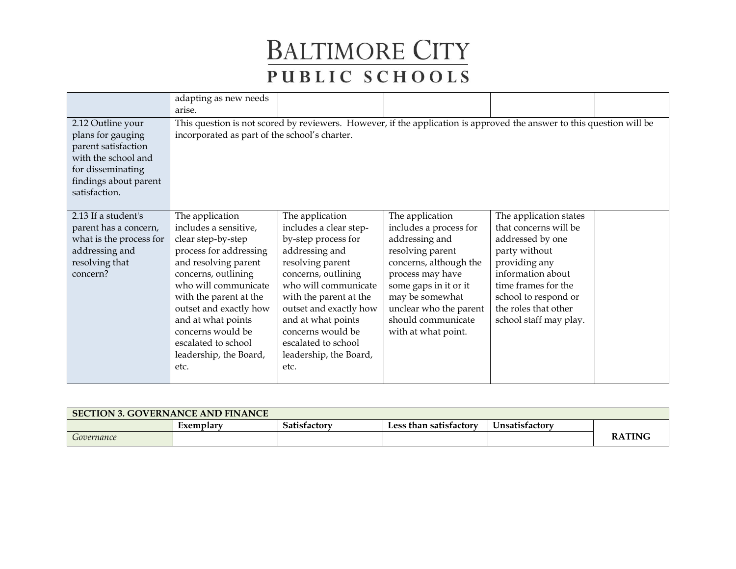|                                                                                                                                                     | adapting as new needs<br>arise.                                                                                                                                                                                                                                                                                         |                                                                                                                                                                                                                                                                                                               |                                                                                                                                                                                                                                                  |                                                                                                                                                                                                                             |  |
|-----------------------------------------------------------------------------------------------------------------------------------------------------|-------------------------------------------------------------------------------------------------------------------------------------------------------------------------------------------------------------------------------------------------------------------------------------------------------------------------|---------------------------------------------------------------------------------------------------------------------------------------------------------------------------------------------------------------------------------------------------------------------------------------------------------------|--------------------------------------------------------------------------------------------------------------------------------------------------------------------------------------------------------------------------------------------------|-----------------------------------------------------------------------------------------------------------------------------------------------------------------------------------------------------------------------------|--|
| 2.12 Outline your<br>plans for gauging<br>parent satisfaction<br>with the school and<br>for disseminating<br>findings about parent<br>satisfaction. | incorporated as part of the school's charter.                                                                                                                                                                                                                                                                           |                                                                                                                                                                                                                                                                                                               | This question is not scored by reviewers. However, if the application is approved the answer to this question will be                                                                                                                            |                                                                                                                                                                                                                             |  |
| 2.13 If a student's<br>parent has a concern,<br>what is the process for<br>addressing and<br>resolving that<br>concern?                             | The application<br>includes a sensitive,<br>clear step-by-step<br>process for addressing<br>and resolving parent<br>concerns, outlining<br>who will communicate<br>with the parent at the<br>outset and exactly how<br>and at what points<br>concerns would be<br>escalated to school<br>leadership, the Board,<br>etc. | The application<br>includes a clear step-<br>by-step process for<br>addressing and<br>resolving parent<br>concerns, outlining<br>who will communicate<br>with the parent at the<br>outset and exactly how<br>and at what points<br>concerns would be<br>escalated to school<br>leadership, the Board,<br>etc. | The application<br>includes a process for<br>addressing and<br>resolving parent<br>concerns, although the<br>process may have<br>some gaps in it or it<br>may be somewhat<br>unclear who the parent<br>should communicate<br>with at what point. | The application states<br>that concerns will be<br>addressed by one<br>party without<br>providing any<br>information about<br>time frames for the<br>school to respond or<br>the roles that other<br>school staff may play. |  |

| <b>SECTION 3. GOVERNANCE AND FINANCE</b> |           |              |                        |                |               |  |
|------------------------------------------|-----------|--------------|------------------------|----------------|---------------|--|
|                                          | Exemplary | Satisfactory | Less than satisfactory | Unsatisfactory |               |  |
| Governance                               |           |              |                        |                | <b>RATING</b> |  |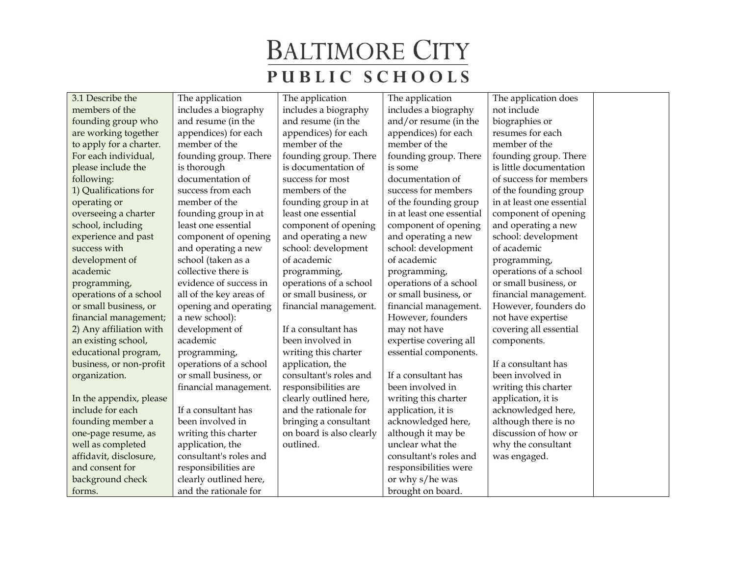| 3.1 Describe the        | The application         | The application          | The application           | The application does      |  |
|-------------------------|-------------------------|--------------------------|---------------------------|---------------------------|--|
| members of the          | includes a biography    | includes a biography     | includes a biography      | not include               |  |
| founding group who      | and resume (in the      | and resume (in the       | and/or resume (in the     | biographies or            |  |
| are working together    | appendices) for each    | appendices) for each     | appendices) for each      | resumes for each          |  |
| to apply for a charter. | member of the           | member of the            | member of the             | member of the             |  |
| For each individual,    | founding group. There   | founding group. There    | founding group. There     | founding group. There     |  |
| please include the      | is thorough             | is documentation of      | is some                   | is little documentation   |  |
| following:              | documentation of        | success for most         | documentation of          | of success for members    |  |
| 1) Qualifications for   | success from each       | members of the           | success for members       | of the founding group     |  |
| operating or            | member of the           | founding group in at     | of the founding group     | in at least one essential |  |
| overseeing a charter    | founding group in at    | least one essential      | in at least one essential | component of opening      |  |
| school, including       | least one essential     | component of opening     | component of opening      | and operating a new       |  |
| experience and past     | component of opening    | and operating a new      | and operating a new       | school: development       |  |
| success with            | and operating a new     | school: development      | school: development       | of academic               |  |
| development of          | school (taken as a      | of academic              | of academic               | programming,              |  |
| academic                | collective there is     | programming,             | programming,              | operations of a school    |  |
| programming,            | evidence of success in  | operations of a school   | operations of a school    | or small business, or     |  |
| operations of a school  | all of the key areas of | or small business, or    | or small business, or     | financial management.     |  |
| or small business, or   | opening and operating   | financial management.    | financial management.     | However, founders do      |  |
| financial management;   | a new school):          |                          | However, founders         | not have expertise        |  |
| 2) Any affiliation with | development of          | If a consultant has      | may not have              | covering all essential    |  |
| an existing school,     | academic                | been involved in         | expertise covering all    | components.               |  |
| educational program,    | programming,            | writing this charter     | essential components.     |                           |  |
| business, or non-profit | operations of a school  | application, the         |                           | If a consultant has       |  |
| organization.           | or small business, or   | consultant's roles and   | If a consultant has       | been involved in          |  |
|                         | financial management.   | responsibilities are     | been involved in          | writing this charter      |  |
| In the appendix, please |                         | clearly outlined here,   | writing this charter      | application, it is        |  |
| include for each        | If a consultant has     | and the rationale for    | application, it is        | acknowledged here,        |  |
| founding member a       | been involved in        | bringing a consultant    | acknowledged here,        | although there is no      |  |
| one-page resume, as     | writing this charter    | on board is also clearly | although it may be        | discussion of how or      |  |
| well as completed       | application, the        | outlined.                | unclear what the          | why the consultant        |  |
| affidavit, disclosure,  | consultant's roles and  |                          | consultant's roles and    | was engaged.              |  |
| and consent for         | responsibilities are    |                          | responsibilities were     |                           |  |
| background check        | clearly outlined here,  |                          | or why s/he was           |                           |  |
| forms.                  | and the rationale for   |                          | brought on board.         |                           |  |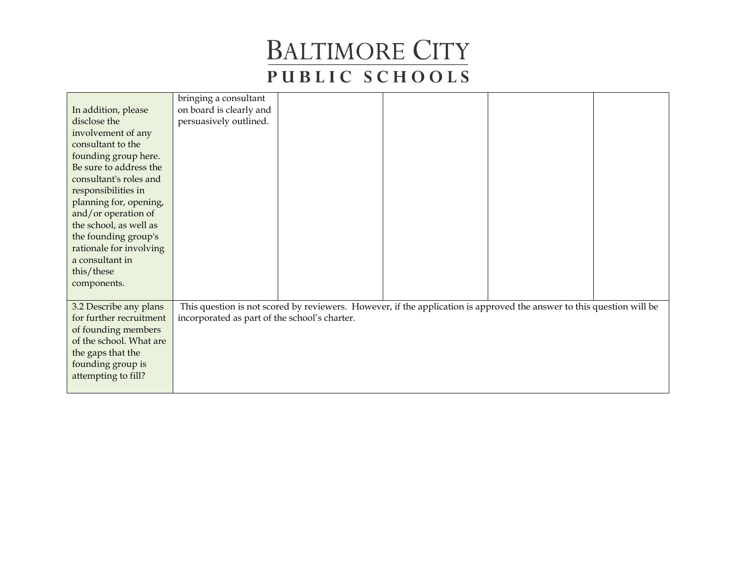|                         | bringing a consultant                         |                                                                                                                       |  |  |
|-------------------------|-----------------------------------------------|-----------------------------------------------------------------------------------------------------------------------|--|--|
| In addition, please     | on board is clearly and                       |                                                                                                                       |  |  |
| disclose the            | persuasively outlined.                        |                                                                                                                       |  |  |
| involvement of any      |                                               |                                                                                                                       |  |  |
| consultant to the       |                                               |                                                                                                                       |  |  |
| founding group here.    |                                               |                                                                                                                       |  |  |
| Be sure to address the  |                                               |                                                                                                                       |  |  |
| consultant's roles and  |                                               |                                                                                                                       |  |  |
| responsibilities in     |                                               |                                                                                                                       |  |  |
| planning for, opening,  |                                               |                                                                                                                       |  |  |
| and/or operation of     |                                               |                                                                                                                       |  |  |
| the school, as well as  |                                               |                                                                                                                       |  |  |
| the founding group's    |                                               |                                                                                                                       |  |  |
| rationale for involving |                                               |                                                                                                                       |  |  |
| a consultant in         |                                               |                                                                                                                       |  |  |
| this/these              |                                               |                                                                                                                       |  |  |
| components.             |                                               |                                                                                                                       |  |  |
|                         |                                               |                                                                                                                       |  |  |
| 3.2 Describe any plans  |                                               | This question is not scored by reviewers. However, if the application is approved the answer to this question will be |  |  |
| for further recruitment | incorporated as part of the school's charter. |                                                                                                                       |  |  |
| of founding members     |                                               |                                                                                                                       |  |  |
| of the school. What are |                                               |                                                                                                                       |  |  |
| the gaps that the       |                                               |                                                                                                                       |  |  |
| founding group is       |                                               |                                                                                                                       |  |  |
| attempting to fill?     |                                               |                                                                                                                       |  |  |
|                         |                                               |                                                                                                                       |  |  |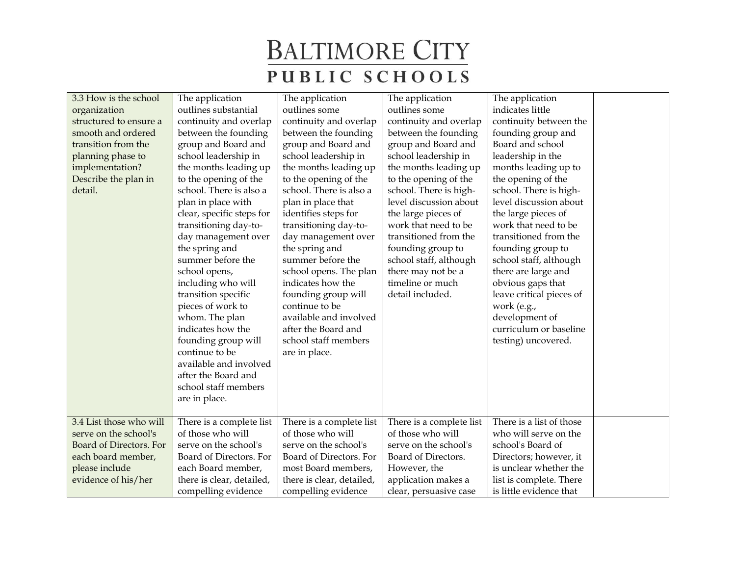| 3.3 How is the school   | The application           | The application           | The application          | The application          |  |
|-------------------------|---------------------------|---------------------------|--------------------------|--------------------------|--|
| organization            | outlines substantial      | outlines some             | outlines some            | indicates little         |  |
| structured to ensure a  | continuity and overlap    | continuity and overlap    | continuity and overlap   | continuity between the   |  |
| smooth and ordered      | between the founding      | between the founding      | between the founding     | founding group and       |  |
| transition from the     | group and Board and       | group and Board and       | group and Board and      | Board and school         |  |
| planning phase to       | school leadership in      | school leadership in      | school leadership in     | leadership in the        |  |
| implementation?         | the months leading up     | the months leading up     | the months leading up    | months leading up to     |  |
| Describe the plan in    | to the opening of the     | to the opening of the     | to the opening of the    | the opening of the       |  |
| detail.                 | school. There is also a   | school. There is also a   | school. There is high-   | school. There is high-   |  |
|                         | plan in place with        | plan in place that        | level discussion about   | level discussion about   |  |
|                         | clear, specific steps for | identifies steps for      | the large pieces of      | the large pieces of      |  |
|                         | transitioning day-to-     | transitioning day-to-     | work that need to be     | work that need to be     |  |
|                         | day management over       | day management over       | transitioned from the    | transitioned from the    |  |
|                         | the spring and            | the spring and            | founding group to        | founding group to        |  |
|                         | summer before the         | summer before the         | school staff, although   | school staff, although   |  |
|                         | school opens,             | school opens. The plan    | there may not be a       | there are large and      |  |
|                         | including who will        | indicates how the         | timeline or much         | obvious gaps that        |  |
|                         | transition specific       | founding group will       | detail included.         | leave critical pieces of |  |
|                         | pieces of work to         | continue to be            |                          | work (e.g.,              |  |
|                         | whom. The plan            | available and involved    |                          | development of           |  |
|                         | indicates how the         | after the Board and       |                          | curriculum or baseline   |  |
|                         | founding group will       | school staff members      |                          | testing) uncovered.      |  |
|                         | continue to be            | are in place.             |                          |                          |  |
|                         | available and involved    |                           |                          |                          |  |
|                         | after the Board and       |                           |                          |                          |  |
|                         | school staff members      |                           |                          |                          |  |
|                         | are in place.             |                           |                          |                          |  |
|                         |                           |                           |                          |                          |  |
| 3.4 List those who will | There is a complete list  | There is a complete list  | There is a complete list | There is a list of those |  |
| serve on the school's   | of those who will         | of those who will         | of those who will        | who will serve on the    |  |
| Board of Directors. For | serve on the school's     | serve on the school's     | serve on the school's    | school's Board of        |  |
| each board member,      | Board of Directors. For   | Board of Directors. For   | Board of Directors.      | Directors; however, it   |  |
| please include          | each Board member,        | most Board members,       | However, the             | is unclear whether the   |  |
| evidence of his/her     | there is clear, detailed, | there is clear, detailed, | application makes a      | list is complete. There  |  |
|                         | compelling evidence       | compelling evidence       | clear, persuasive case   | is little evidence that  |  |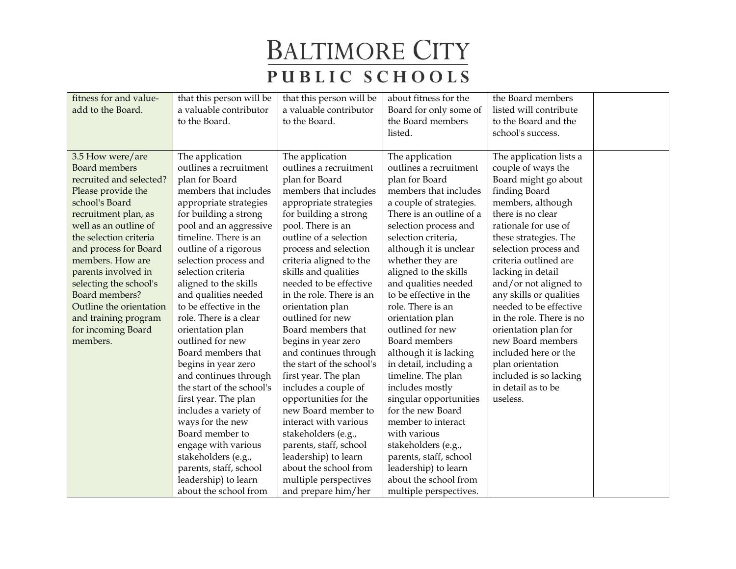| fitness for and value-  | that this person will be  | that this person will be  | about fitness for the    | the Board members        |  |
|-------------------------|---------------------------|---------------------------|--------------------------|--------------------------|--|
| add to the Board.       | a valuable contributor    | a valuable contributor    | Board for only some of   | listed will contribute   |  |
|                         | to the Board.             | to the Board.             | the Board members        | to the Board and the     |  |
|                         |                           |                           | listed.                  | school's success.        |  |
|                         |                           |                           |                          |                          |  |
| 3.5 How were/are        | The application           | The application           | The application          | The application lists a  |  |
| <b>Board</b> members    | outlines a recruitment    | outlines a recruitment    | outlines a recruitment   | couple of ways the       |  |
| recruited and selected? | plan for Board            | plan for Board            | plan for Board           | Board might go about     |  |
| Please provide the      | members that includes     | members that includes     | members that includes    | finding Board            |  |
| school's Board          | appropriate strategies    | appropriate strategies    | a couple of strategies.  | members, although        |  |
| recruitment plan, as    | for building a strong     | for building a strong     | There is an outline of a | there is no clear        |  |
| well as an outline of   | pool and an aggressive    | pool. There is an         | selection process and    | rationale for use of     |  |
| the selection criteria  | timeline. There is an     | outline of a selection    | selection criteria,      | these strategies. The    |  |
| and process for Board   | outline of a rigorous     | process and selection     | although it is unclear   | selection process and    |  |
| members. How are        | selection process and     | criteria aligned to the   | whether they are         | criteria outlined are    |  |
| parents involved in     | selection criteria        | skills and qualities      | aligned to the skills    | lacking in detail        |  |
| selecting the school's  | aligned to the skills     | needed to be effective    | and qualities needed     | and/or not aligned to    |  |
| Board members?          | and qualities needed      | in the role. There is an  | to be effective in the   | any skills or qualities  |  |
| Outline the orientation | to be effective in the    | orientation plan          | role. There is an        | needed to be effective   |  |
| and training program    | role. There is a clear    | outlined for new          | orientation plan         | in the role. There is no |  |
| for incoming Board      | orientation plan          | Board members that        | outlined for new         | orientation plan for     |  |
| members.                | outlined for new          | begins in year zero       | Board members            | new Board members        |  |
|                         | Board members that        | and continues through     | although it is lacking   | included here or the     |  |
|                         | begins in year zero       | the start of the school's | in detail, including a   | plan orientation         |  |
|                         | and continues through     | first year. The plan      | timeline. The plan       | included is so lacking   |  |
|                         | the start of the school's | includes a couple of      | includes mostly          | in detail as to be       |  |
|                         | first year. The plan      | opportunities for the     | singular opportunities   | useless.                 |  |
|                         | includes a variety of     | new Board member to       | for the new Board        |                          |  |
|                         | ways for the new          | interact with various     | member to interact       |                          |  |
|                         | Board member to           | stakeholders (e.g.,       | with various             |                          |  |
|                         | engage with various       | parents, staff, school    | stakeholders (e.g.,      |                          |  |
|                         | stakeholders (e.g.,       | leadership) to learn      | parents, staff, school   |                          |  |
|                         | parents, staff, school    | about the school from     | leadership) to learn     |                          |  |
|                         | leadership) to learn      | multiple perspectives     | about the school from    |                          |  |
|                         | about the school from     | and prepare him/her       | multiple perspectives.   |                          |  |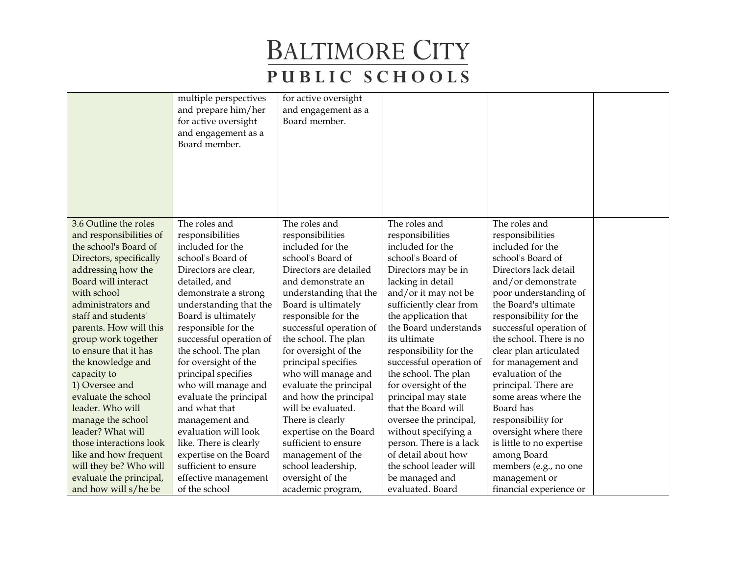|                         | multiple perspectives<br>and prepare him/her | for active oversight<br>and engagement as a |                         |                           |  |
|-------------------------|----------------------------------------------|---------------------------------------------|-------------------------|---------------------------|--|
|                         | for active oversight                         | Board member.                               |                         |                           |  |
|                         | and engagement as a                          |                                             |                         |                           |  |
|                         | Board member.                                |                                             |                         |                           |  |
|                         |                                              |                                             |                         |                           |  |
|                         |                                              |                                             |                         |                           |  |
|                         |                                              |                                             |                         |                           |  |
|                         |                                              |                                             |                         |                           |  |
|                         |                                              |                                             |                         |                           |  |
| 3.6 Outline the roles   | The roles and                                | The roles and                               | The roles and           | The roles and             |  |
| and responsibilities of | responsibilities                             | responsibilities                            | responsibilities        | responsibilities          |  |
| the school's Board of   | included for the                             | included for the                            | included for the        | included for the          |  |
| Directors, specifically | school's Board of                            | school's Board of                           | school's Board of       | school's Board of         |  |
| addressing how the      | Directors are clear,                         | Directors are detailed                      | Directors may be in     | Directors lack detail     |  |
| Board will interact     | detailed, and                                | and demonstrate an                          | lacking in detail       | and/or demonstrate        |  |
| with school             | demonstrate a strong                         | understanding that the                      | and/or it may not be    | poor understanding of     |  |
| administrators and      | understanding that the                       | Board is ultimately                         | sufficiently clear from | the Board's ultimate      |  |
| staff and students'     | Board is ultimately                          | responsible for the                         | the application that    | responsibility for the    |  |
| parents. How will this  | responsible for the                          | successful operation of                     | the Board understands   | successful operation of   |  |
| group work together     | successful operation of                      | the school. The plan                        | its ultimate            | the school. There is no   |  |
| to ensure that it has   | the school. The plan                         | for oversight of the                        | responsibility for the  | clear plan articulated    |  |
| the knowledge and       | for oversight of the                         | principal specifies                         | successful operation of | for management and        |  |
| capacity to             | principal specifies                          | who will manage and                         | the school. The plan    | evaluation of the         |  |
| 1) Oversee and          | who will manage and                          | evaluate the principal                      | for oversight of the    | principal. There are      |  |
| evaluate the school     | evaluate the principal                       | and how the principal                       | principal may state     | some areas where the      |  |
| leader. Who will        | and what that                                | will be evaluated.                          | that the Board will     | Board has                 |  |
| manage the school       | management and                               | There is clearly                            | oversee the principal,  | responsibility for        |  |
| leader? What will       | evaluation will look                         | expertise on the Board                      | without specifying a    | oversight where there     |  |
| those interactions look | like. There is clearly                       | sufficient to ensure                        | person. There is a lack | is little to no expertise |  |
| like and how frequent   | expertise on the Board                       | management of the                           | of detail about how     | among Board               |  |
| will they be? Who will  | sufficient to ensure                         | school leadership,                          | the school leader will  | members (e.g., no one     |  |
| evaluate the principal, | effective management                         | oversight of the                            | be managed and          | management or             |  |
| and how will s/he be    | of the school                                | academic program,                           | evaluated. Board        | financial experience or   |  |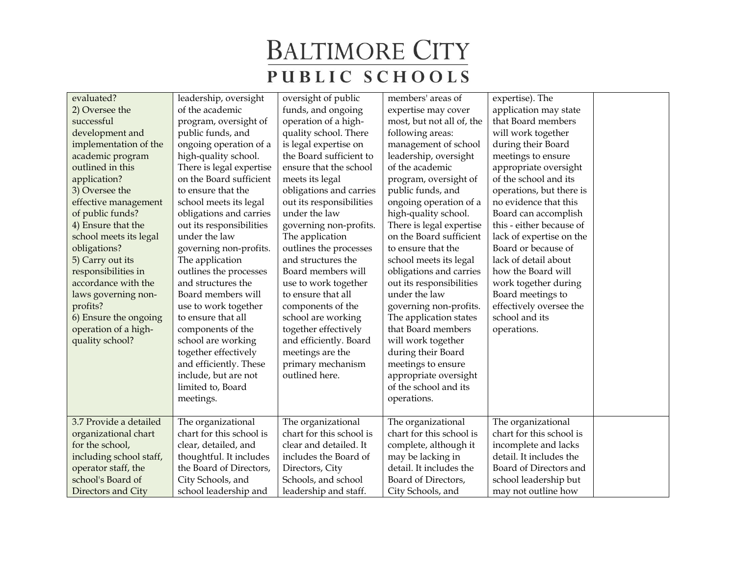| evaluated?              | leadership, oversight    | oversight of public      | members' areas of         | expertise). The          |  |
|-------------------------|--------------------------|--------------------------|---------------------------|--------------------------|--|
| 2) Oversee the          | of the academic          | funds, and ongoing       | expertise may cover       | application may state    |  |
| successful              | program, oversight of    | operation of a high-     | most, but not all of, the | that Board members       |  |
| development and         | public funds, and        | quality school. There    | following areas:          | will work together       |  |
| implementation of the   | ongoing operation of a   | is legal expertise on    | management of school      | during their Board       |  |
| academic program        | high-quality school.     | the Board sufficient to  | leadership, oversight     | meetings to ensure       |  |
| outlined in this        | There is legal expertise | ensure that the school   | of the academic           | appropriate oversight    |  |
| application?            | on the Board sufficient  | meets its legal          | program, oversight of     | of the school and its    |  |
| 3) Oversee the          | to ensure that the       | obligations and carries  | public funds, and         | operations, but there is |  |
| effective management    | school meets its legal   | out its responsibilities | ongoing operation of a    | no evidence that this    |  |
| of public funds?        | obligations and carries  | under the law            | high-quality school.      | Board can accomplish     |  |
| 4) Ensure that the      | out its responsibilities | governing non-profits.   | There is legal expertise  | this - either because of |  |
| school meets its legal  | under the law            | The application          | on the Board sufficient   | lack of expertise on the |  |
| obligations?            | governing non-profits.   | outlines the processes   | to ensure that the        | Board or because of      |  |
| 5) Carry out its        | The application          | and structures the       | school meets its legal    | lack of detail about     |  |
| responsibilities in     | outlines the processes   | Board members will       | obligations and carries   | how the Board will       |  |
| accordance with the     | and structures the       | use to work together     | out its responsibilities  | work together during     |  |
| laws governing non-     | Board members will       | to ensure that all       | under the law             | Board meetings to        |  |
| profits?                | use to work together     | components of the        | governing non-profits.    | effectively oversee the  |  |
| 6) Ensure the ongoing   | to ensure that all       | school are working       | The application states    | school and its           |  |
| operation of a high-    | components of the        | together effectively     | that Board members        | operations.              |  |
| quality school?         | school are working       | and efficiently. Board   | will work together        |                          |  |
|                         | together effectively     | meetings are the         | during their Board        |                          |  |
|                         | and efficiently. These   | primary mechanism        | meetings to ensure        |                          |  |
|                         | include, but are not     | outlined here.           | appropriate oversight     |                          |  |
|                         | limited to, Board        |                          | of the school and its     |                          |  |
|                         | meetings.                |                          | operations.               |                          |  |
|                         |                          |                          |                           |                          |  |
| 3.7 Provide a detailed  | The organizational       | The organizational       | The organizational        | The organizational       |  |
| organizational chart    | chart for this school is | chart for this school is | chart for this school is  | chart for this school is |  |
| for the school,         | clear, detailed, and     | clear and detailed. It   | complete, although it     | incomplete and lacks     |  |
| including school staff, | thoughtful. It includes  | includes the Board of    | may be lacking in         | detail. It includes the  |  |
| operator staff, the     | the Board of Directors,  | Directors, City          | detail. It includes the   | Board of Directors and   |  |
| school's Board of       | City Schools, and        | Schools, and school      | Board of Directors,       | school leadership but    |  |
| Directors and City      | school leadership and    | leadership and staff.    | City Schools, and         | may not outline how      |  |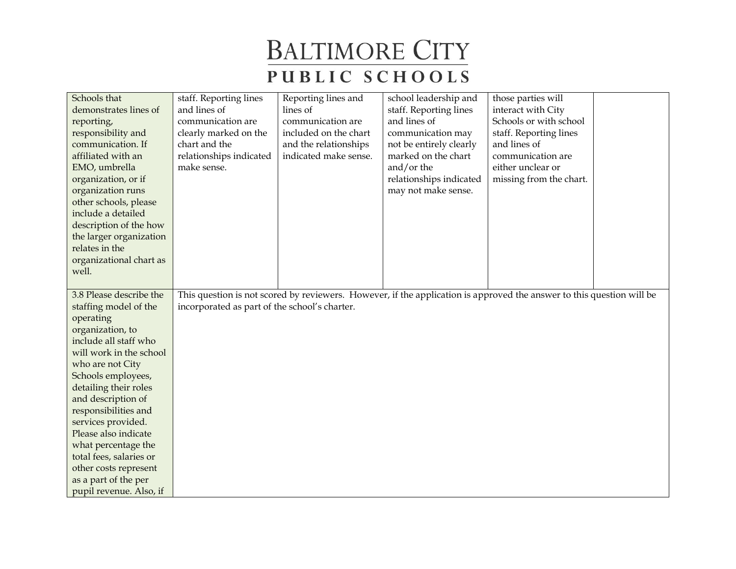| Schools that<br>demonstrates lines of<br>reporting,<br>responsibility and<br>communication. If<br>affiliated with an<br>EMO, umbrella<br>organization, or if | staff. Reporting lines<br>and lines of<br>communication are<br>clearly marked on the<br>chart and the<br>relationships indicated<br>make sense. | Reporting lines and<br>lines of<br>communication are<br>included on the chart<br>and the relationships<br>indicated make sense. | school leadership and<br>staff. Reporting lines<br>and lines of<br>communication may<br>not be entirely clearly<br>marked on the chart<br>and/or the<br>relationships indicated | those parties will<br>interact with City<br>Schools or with school<br>staff. Reporting lines<br>and lines of<br>communication are<br>either unclear or<br>missing from the chart. |  |
|--------------------------------------------------------------------------------------------------------------------------------------------------------------|-------------------------------------------------------------------------------------------------------------------------------------------------|---------------------------------------------------------------------------------------------------------------------------------|---------------------------------------------------------------------------------------------------------------------------------------------------------------------------------|-----------------------------------------------------------------------------------------------------------------------------------------------------------------------------------|--|
| organization runs<br>other schools, please                                                                                                                   |                                                                                                                                                 |                                                                                                                                 | may not make sense.                                                                                                                                                             |                                                                                                                                                                                   |  |
| include a detailed                                                                                                                                           |                                                                                                                                                 |                                                                                                                                 |                                                                                                                                                                                 |                                                                                                                                                                                   |  |
| description of the how<br>the larger organization                                                                                                            |                                                                                                                                                 |                                                                                                                                 |                                                                                                                                                                                 |                                                                                                                                                                                   |  |
| relates in the                                                                                                                                               |                                                                                                                                                 |                                                                                                                                 |                                                                                                                                                                                 |                                                                                                                                                                                   |  |
| organizational chart as                                                                                                                                      |                                                                                                                                                 |                                                                                                                                 |                                                                                                                                                                                 |                                                                                                                                                                                   |  |
| well.                                                                                                                                                        |                                                                                                                                                 |                                                                                                                                 |                                                                                                                                                                                 |                                                                                                                                                                                   |  |
| 3.8 Please describe the                                                                                                                                      |                                                                                                                                                 |                                                                                                                                 |                                                                                                                                                                                 | This question is not scored by reviewers. However, if the application is approved the answer to this question will be                                                             |  |
| staffing model of the                                                                                                                                        | incorporated as part of the school's charter.                                                                                                   |                                                                                                                                 |                                                                                                                                                                                 |                                                                                                                                                                                   |  |
| operating                                                                                                                                                    |                                                                                                                                                 |                                                                                                                                 |                                                                                                                                                                                 |                                                                                                                                                                                   |  |
| organization, to                                                                                                                                             |                                                                                                                                                 |                                                                                                                                 |                                                                                                                                                                                 |                                                                                                                                                                                   |  |
| include all staff who<br>will work in the school                                                                                                             |                                                                                                                                                 |                                                                                                                                 |                                                                                                                                                                                 |                                                                                                                                                                                   |  |
| who are not City                                                                                                                                             |                                                                                                                                                 |                                                                                                                                 |                                                                                                                                                                                 |                                                                                                                                                                                   |  |
| Schools employees,                                                                                                                                           |                                                                                                                                                 |                                                                                                                                 |                                                                                                                                                                                 |                                                                                                                                                                                   |  |
| detailing their roles                                                                                                                                        |                                                                                                                                                 |                                                                                                                                 |                                                                                                                                                                                 |                                                                                                                                                                                   |  |
| and description of                                                                                                                                           |                                                                                                                                                 |                                                                                                                                 |                                                                                                                                                                                 |                                                                                                                                                                                   |  |
| responsibilities and                                                                                                                                         |                                                                                                                                                 |                                                                                                                                 |                                                                                                                                                                                 |                                                                                                                                                                                   |  |
| services provided.                                                                                                                                           |                                                                                                                                                 |                                                                                                                                 |                                                                                                                                                                                 |                                                                                                                                                                                   |  |
| Please also indicate                                                                                                                                         |                                                                                                                                                 |                                                                                                                                 |                                                                                                                                                                                 |                                                                                                                                                                                   |  |
| what percentage the                                                                                                                                          |                                                                                                                                                 |                                                                                                                                 |                                                                                                                                                                                 |                                                                                                                                                                                   |  |
| total fees, salaries or                                                                                                                                      |                                                                                                                                                 |                                                                                                                                 |                                                                                                                                                                                 |                                                                                                                                                                                   |  |
| other costs represent<br>as a part of the per                                                                                                                |                                                                                                                                                 |                                                                                                                                 |                                                                                                                                                                                 |                                                                                                                                                                                   |  |
| pupil revenue. Also, if                                                                                                                                      |                                                                                                                                                 |                                                                                                                                 |                                                                                                                                                                                 |                                                                                                                                                                                   |  |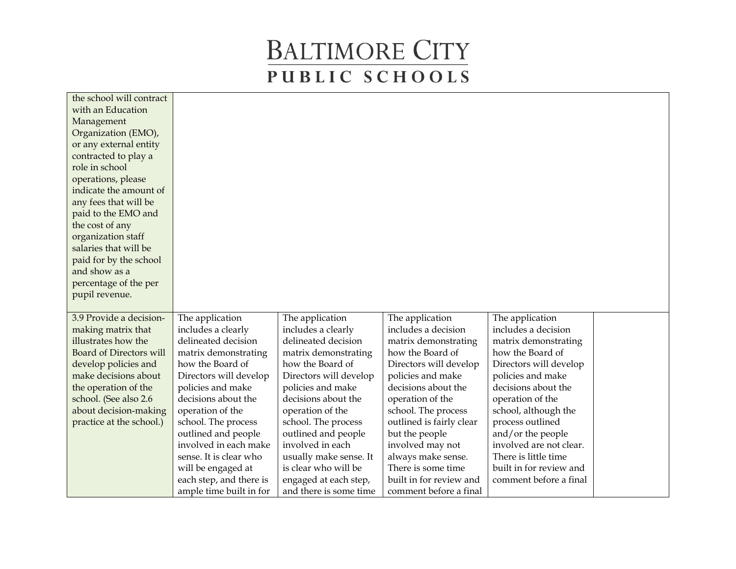| the school will contract |                                                    |                                                 |                                                   |                         |  |
|--------------------------|----------------------------------------------------|-------------------------------------------------|---------------------------------------------------|-------------------------|--|
| with an Education        |                                                    |                                                 |                                                   |                         |  |
| Management               |                                                    |                                                 |                                                   |                         |  |
| Organization (EMO),      |                                                    |                                                 |                                                   |                         |  |
| or any external entity   |                                                    |                                                 |                                                   |                         |  |
| contracted to play a     |                                                    |                                                 |                                                   |                         |  |
| role in school           |                                                    |                                                 |                                                   |                         |  |
| operations, please       |                                                    |                                                 |                                                   |                         |  |
| indicate the amount of   |                                                    |                                                 |                                                   |                         |  |
| any fees that will be    |                                                    |                                                 |                                                   |                         |  |
| paid to the EMO and      |                                                    |                                                 |                                                   |                         |  |
| the cost of any          |                                                    |                                                 |                                                   |                         |  |
| organization staff       |                                                    |                                                 |                                                   |                         |  |
| salaries that will be    |                                                    |                                                 |                                                   |                         |  |
| paid for by the school   |                                                    |                                                 |                                                   |                         |  |
| and show as a            |                                                    |                                                 |                                                   |                         |  |
| percentage of the per    |                                                    |                                                 |                                                   |                         |  |
| pupil revenue.           |                                                    |                                                 |                                                   |                         |  |
|                          |                                                    |                                                 |                                                   |                         |  |
| 3.9 Provide a decision-  | The application                                    | The application                                 | The application                                   | The application         |  |
| making matrix that       | includes a clearly                                 | includes a clearly                              | includes a decision                               | includes a decision     |  |
| illustrates how the      | delineated decision                                | delineated decision                             | matrix demonstrating                              | matrix demonstrating    |  |
| Board of Directors will  | matrix demonstrating                               | matrix demonstrating                            | how the Board of                                  | how the Board of        |  |
| develop policies and     | how the Board of                                   | how the Board of                                | Directors will develop                            | Directors will develop  |  |
| make decisions about     | Directors will develop                             | Directors will develop                          | policies and make                                 | policies and make       |  |
| the operation of the     | policies and make                                  | policies and make                               | decisions about the                               | decisions about the     |  |
| school. (See also 2.6    | decisions about the                                | decisions about the                             | operation of the                                  | operation of the        |  |
| about decision-making    | operation of the                                   | operation of the                                | school. The process                               | school, although the    |  |
| practice at the school.) | school. The process                                | school. The process                             | outlined is fairly clear                          | process outlined        |  |
|                          | outlined and people                                | outlined and people                             | but the people                                    | and/or the people       |  |
|                          | involved in each make                              | involved in each                                | involved may not                                  | involved are not clear. |  |
|                          |                                                    |                                                 |                                                   |                         |  |
|                          | sense. It is clear who                             | usually make sense. It                          | always make sense.                                | There is little time    |  |
|                          | will be engaged at                                 | is clear who will be                            | There is some time                                | built in for review and |  |
|                          | each step, and there is<br>ample time built in for | engaged at each step,<br>and there is some time | built in for review and<br>comment before a final | comment before a final  |  |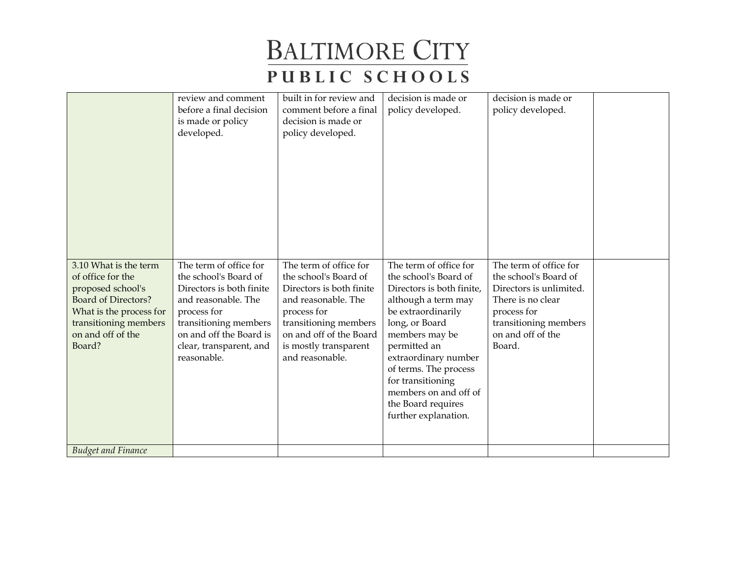|                                                                                                                                                                                  | review and comment<br>before a final decision<br>is made or policy<br>developed.                                                                                                                                | built in for review and<br>comment before a final<br>decision is made or<br>policy developed.                                                                                                                     | decision is made or<br>policy developed.                                                                                                                                                                                                                                                                                   | decision is made or<br>policy developed.                                                                                                                               |  |
|----------------------------------------------------------------------------------------------------------------------------------------------------------------------------------|-----------------------------------------------------------------------------------------------------------------------------------------------------------------------------------------------------------------|-------------------------------------------------------------------------------------------------------------------------------------------------------------------------------------------------------------------|----------------------------------------------------------------------------------------------------------------------------------------------------------------------------------------------------------------------------------------------------------------------------------------------------------------------------|------------------------------------------------------------------------------------------------------------------------------------------------------------------------|--|
| 3.10 What is the term<br>of office for the<br>proposed school's<br><b>Board of Directors?</b><br>What is the process for<br>transitioning members<br>on and off of the<br>Board? | The term of office for<br>the school's Board of<br>Directors is both finite<br>and reasonable. The<br>process for<br>transitioning members<br>on and off the Board is<br>clear, transparent, and<br>reasonable. | The term of office for<br>the school's Board of<br>Directors is both finite<br>and reasonable. The<br>process for<br>transitioning members<br>on and off of the Board<br>is mostly transparent<br>and reasonable. | The term of office for<br>the school's Board of<br>Directors is both finite,<br>although a term may<br>be extraordinarily<br>long, or Board<br>members may be<br>permitted an<br>extraordinary number<br>of terms. The process<br>for transitioning<br>members on and off of<br>the Board requires<br>further explanation. | The term of office for<br>the school's Board of<br>Directors is unlimited.<br>There is no clear<br>process for<br>transitioning members<br>on and off of the<br>Board. |  |
| <b>Budget and Finance</b>                                                                                                                                                        |                                                                                                                                                                                                                 |                                                                                                                                                                                                                   |                                                                                                                                                                                                                                                                                                                            |                                                                                                                                                                        |  |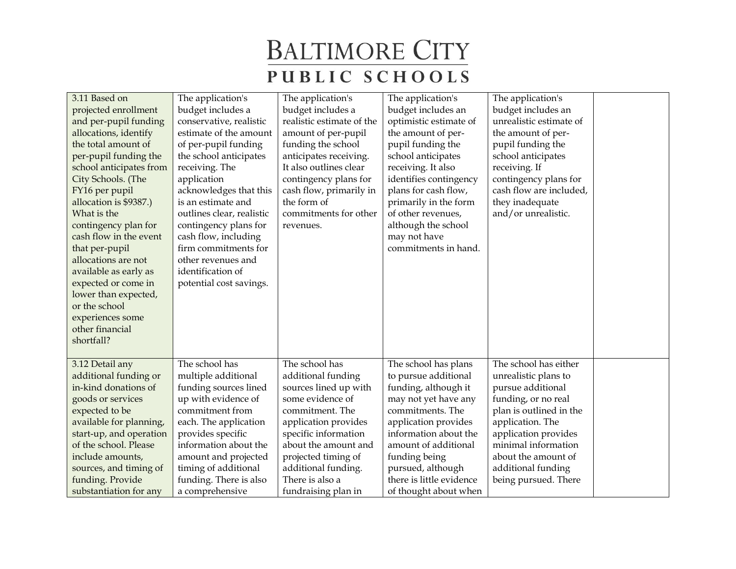| 3.11 Based on<br>projected enrollment<br>and per-pupil funding<br>allocations, identify<br>the total amount of<br>per-pupil funding the<br>school anticipates from<br>City Schools. (The<br>FY16 per pupil<br>allocation is \$9387.)<br>What is the<br>contingency plan for<br>cash flow in the event<br>that per-pupil<br>allocations are not<br>available as early as<br>expected or come in<br>lower than expected,<br>or the school<br>experiences some<br>other financial<br>shortfall? | The application's<br>budget includes a<br>conservative, realistic<br>estimate of the amount<br>of per-pupil funding<br>the school anticipates<br>receiving. The<br>application<br>acknowledges that this<br>is an estimate and<br>outlines clear, realistic<br>contingency plans for<br>cash flow, including<br>firm commitments for<br>other revenues and<br>identification of<br>potential cost savings. | The application's<br>budget includes a<br>realistic estimate of the<br>amount of per-pupil<br>funding the school<br>anticipates receiving.<br>It also outlines clear<br>contingency plans for<br>cash flow, primarily in<br>the form of<br>commitments for other<br>revenues. | The application's<br>budget includes an<br>optimistic estimate of<br>the amount of per-<br>pupil funding the<br>school anticipates<br>receiving. It also<br>identifies contingency<br>plans for cash flow,<br>primarily in the form<br>of other revenues,<br>although the school<br>may not have<br>commitments in hand. | The application's<br>budget includes an<br>unrealistic estimate of<br>the amount of per-<br>pupil funding the<br>school anticipates<br>receiving. If<br>contingency plans for<br>cash flow are included,<br>they inadequate<br>and/or unrealistic.           |  |
|----------------------------------------------------------------------------------------------------------------------------------------------------------------------------------------------------------------------------------------------------------------------------------------------------------------------------------------------------------------------------------------------------------------------------------------------------------------------------------------------|------------------------------------------------------------------------------------------------------------------------------------------------------------------------------------------------------------------------------------------------------------------------------------------------------------------------------------------------------------------------------------------------------------|-------------------------------------------------------------------------------------------------------------------------------------------------------------------------------------------------------------------------------------------------------------------------------|--------------------------------------------------------------------------------------------------------------------------------------------------------------------------------------------------------------------------------------------------------------------------------------------------------------------------|--------------------------------------------------------------------------------------------------------------------------------------------------------------------------------------------------------------------------------------------------------------|--|
| 3.12 Detail any<br>additional funding or<br>in-kind donations of<br>goods or services<br>expected to be<br>available for planning,<br>start-up, and operation<br>of the school. Please<br>include amounts,<br>sources, and timing of<br>funding. Provide<br>substantiation for any                                                                                                                                                                                                           | The school has<br>multiple additional<br>funding sources lined<br>up with evidence of<br>commitment from<br>each. The application<br>provides specific<br>information about the<br>amount and projected<br>timing of additional<br>funding. There is also<br>a comprehensive                                                                                                                               | The school has<br>additional funding<br>sources lined up with<br>some evidence of<br>commitment. The<br>application provides<br>specific information<br>about the amount and<br>projected timing of<br>additional funding.<br>There is also a<br>fundraising plan in          | The school has plans<br>to pursue additional<br>funding, although it<br>may not yet have any<br>commitments. The<br>application provides<br>information about the<br>amount of additional<br>funding being<br>pursued, although<br>there is little evidence<br>of thought about when                                     | The school has either<br>unrealistic plans to<br>pursue additional<br>funding, or no real<br>plan is outlined in the<br>application. The<br>application provides<br>minimal information<br>about the amount of<br>additional funding<br>being pursued. There |  |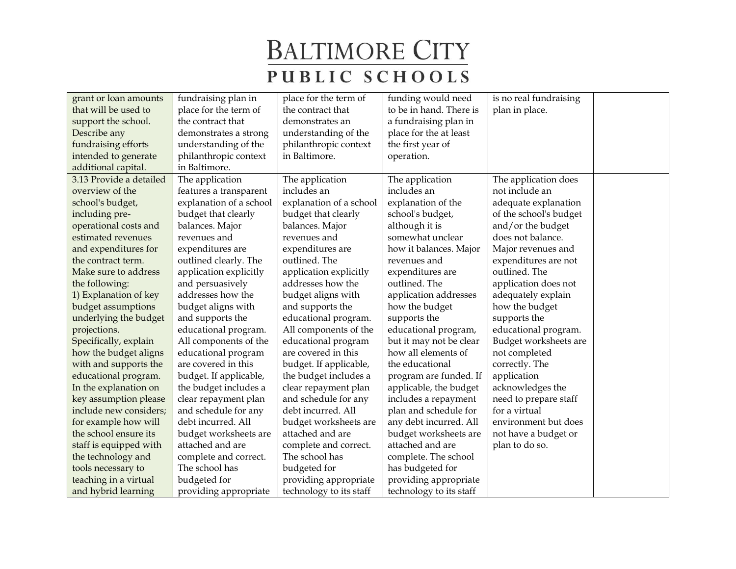| grant or loan amounts   | fundraising plan in     | place for the term of   | funding would need      | is no real fundraising |  |
|-------------------------|-------------------------|-------------------------|-------------------------|------------------------|--|
| that will be used to    | place for the term of   | the contract that       | to be in hand. There is | plan in place.         |  |
| support the school.     | the contract that       | demonstrates an         | a fundraising plan in   |                        |  |
| Describe any            | demonstrates a strong   | understanding of the    | place for the at least  |                        |  |
| fundraising efforts     | understanding of the    | philanthropic context   | the first year of       |                        |  |
| intended to generate    | philanthropic context   | in Baltimore.           | operation.              |                        |  |
| additional capital.     | in Baltimore.           |                         |                         |                        |  |
| 3.13 Provide a detailed | The application         | The application         | The application         | The application does   |  |
| overview of the         | features a transparent  | includes an             | includes an             | not include an         |  |
| school's budget,        | explanation of a school | explanation of a school | explanation of the      | adequate explanation   |  |
| including pre-          | budget that clearly     | budget that clearly     | school's budget,        | of the school's budget |  |
| operational costs and   | balances. Major         | balances. Major         | although it is          | and/or the budget      |  |
| estimated revenues      | revenues and            | revenues and            | somewhat unclear        | does not balance.      |  |
| and expenditures for    | expenditures are        | expenditures are        | how it balances. Major  | Major revenues and     |  |
| the contract term.      | outlined clearly. The   | outlined. The           | revenues and            | expenditures are not   |  |
| Make sure to address    | application explicitly  | application explicitly  | expenditures are        | outlined. The          |  |
| the following:          | and persuasively        | addresses how the       | outlined. The           | application does not   |  |
| 1) Explanation of key   | addresses how the       | budget aligns with      | application addresses   | adequately explain     |  |
| budget assumptions      | budget aligns with      | and supports the        | how the budget          | how the budget         |  |
| underlying the budget   | and supports the        | educational program.    | supports the            | supports the           |  |
| projections.            | educational program.    | All components of the   | educational program,    | educational program.   |  |
| Specifically, explain   | All components of the   | educational program     | but it may not be clear | Budget worksheets are  |  |
| how the budget aligns   | educational program     | are covered in this     | how all elements of     | not completed          |  |
| with and supports the   | are covered in this     | budget. If applicable,  | the educational         | correctly. The         |  |
| educational program.    | budget. If applicable,  | the budget includes a   | program are funded. If  | application            |  |
| In the explanation on   | the budget includes a   | clear repayment plan    | applicable, the budget  | acknowledges the       |  |
| key assumption please   | clear repayment plan    | and schedule for any    | includes a repayment    | need to prepare staff  |  |
| include new considers;  | and schedule for any    | debt incurred. All      | plan and schedule for   | for a virtual          |  |
| for example how will    | debt incurred. All      | budget worksheets are   | any debt incurred. All  | environment but does   |  |
| the school ensure its   | budget worksheets are   | attached and are        | budget worksheets are   | not have a budget or   |  |
| staff is equipped with  | attached and are        | complete and correct.   | attached and are        | plan to do so.         |  |
| the technology and      | complete and correct.   | The school has          | complete. The school    |                        |  |
| tools necessary to      | The school has          | budgeted for            | has budgeted for        |                        |  |
| teaching in a virtual   | budgeted for            | providing appropriate   | providing appropriate   |                        |  |
| and hybrid learning     | providing appropriate   | technology to its staff | technology to its staff |                        |  |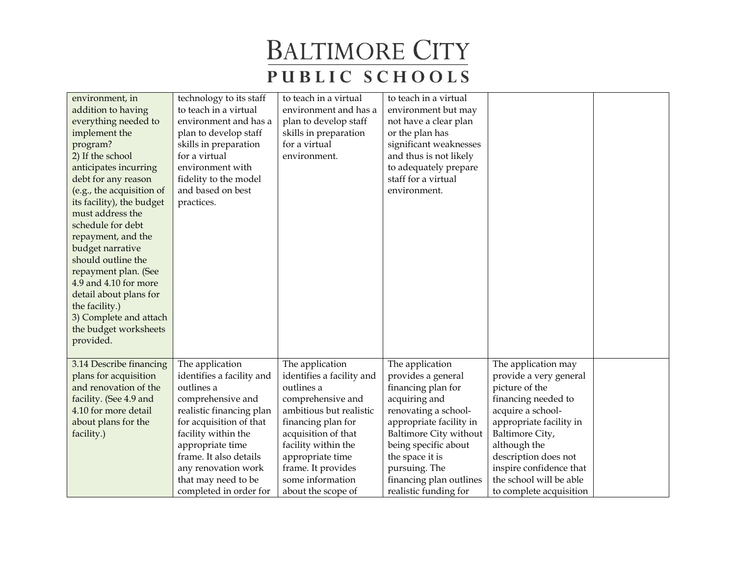| environment, in<br>addition to having<br>everything needed to<br>implement the<br>program?<br>2) If the school<br>anticipates incurring<br>debt for any reason<br>(e.g., the acquisition of<br>its facility), the budget<br>must address the<br>schedule for debt<br>repayment, and the<br>budget narrative<br>should outline the<br>repayment plan. (See<br>4.9 and 4.10 for more<br>detail about plans for<br>the facility.)<br>3) Complete and attach<br>the budget worksheets<br>provided. | technology to its staff<br>to teach in a virtual<br>environment and has a<br>plan to develop staff<br>skills in preparation<br>for a virtual<br>environment with<br>fidelity to the model<br>and based on best<br>practices. | to teach in a virtual<br>environment and has a<br>plan to develop staff<br>skills in preparation<br>for a virtual<br>environment. | to teach in a virtual<br>environment but may<br>not have a clear plan<br>or the plan has<br>significant weaknesses<br>and thus is not likely<br>to adequately prepare<br>staff for a virtual<br>environment. |                                      |  |
|------------------------------------------------------------------------------------------------------------------------------------------------------------------------------------------------------------------------------------------------------------------------------------------------------------------------------------------------------------------------------------------------------------------------------------------------------------------------------------------------|------------------------------------------------------------------------------------------------------------------------------------------------------------------------------------------------------------------------------|-----------------------------------------------------------------------------------------------------------------------------------|--------------------------------------------------------------------------------------------------------------------------------------------------------------------------------------------------------------|--------------------------------------|--|
| 3.14 Describe financing                                                                                                                                                                                                                                                                                                                                                                                                                                                                        | The application                                                                                                                                                                                                              | The application                                                                                                                   | The application                                                                                                                                                                                              | The application may                  |  |
| plans for acquisition                                                                                                                                                                                                                                                                                                                                                                                                                                                                          | identifies a facility and                                                                                                                                                                                                    | identifies a facility and                                                                                                         | provides a general                                                                                                                                                                                           | provide a very general               |  |
| and renovation of the                                                                                                                                                                                                                                                                                                                                                                                                                                                                          | outlines a                                                                                                                                                                                                                   | outlines a                                                                                                                        | financing plan for                                                                                                                                                                                           | picture of the                       |  |
| facility. (See 4.9 and                                                                                                                                                                                                                                                                                                                                                                                                                                                                         | comprehensive and                                                                                                                                                                                                            | comprehensive and                                                                                                                 | acquiring and                                                                                                                                                                                                | financing needed to                  |  |
| 4.10 for more detail                                                                                                                                                                                                                                                                                                                                                                                                                                                                           | realistic financing plan                                                                                                                                                                                                     | ambitious but realistic                                                                                                           | renovating a school-                                                                                                                                                                                         | acquire a school-                    |  |
| about plans for the                                                                                                                                                                                                                                                                                                                                                                                                                                                                            | for acquisition of that                                                                                                                                                                                                      | financing plan for                                                                                                                | appropriate facility in                                                                                                                                                                                      | appropriate facility in              |  |
| facility.)                                                                                                                                                                                                                                                                                                                                                                                                                                                                                     | facility within the                                                                                                                                                                                                          | acquisition of that                                                                                                               | <b>Baltimore City without</b>                                                                                                                                                                                | Baltimore City,                      |  |
|                                                                                                                                                                                                                                                                                                                                                                                                                                                                                                | appropriate time<br>frame. It also details                                                                                                                                                                                   | facility within the<br>appropriate time                                                                                           | being specific about<br>the space it is                                                                                                                                                                      | although the<br>description does not |  |
|                                                                                                                                                                                                                                                                                                                                                                                                                                                                                                | any renovation work                                                                                                                                                                                                          | frame. It provides                                                                                                                | pursuing. The                                                                                                                                                                                                | inspire confidence that              |  |
|                                                                                                                                                                                                                                                                                                                                                                                                                                                                                                | that may need to be                                                                                                                                                                                                          | some information                                                                                                                  | financing plan outlines                                                                                                                                                                                      | the school will be able              |  |
|                                                                                                                                                                                                                                                                                                                                                                                                                                                                                                | completed in order for                                                                                                                                                                                                       | about the scope of                                                                                                                | realistic funding for                                                                                                                                                                                        | to complete acquisition              |  |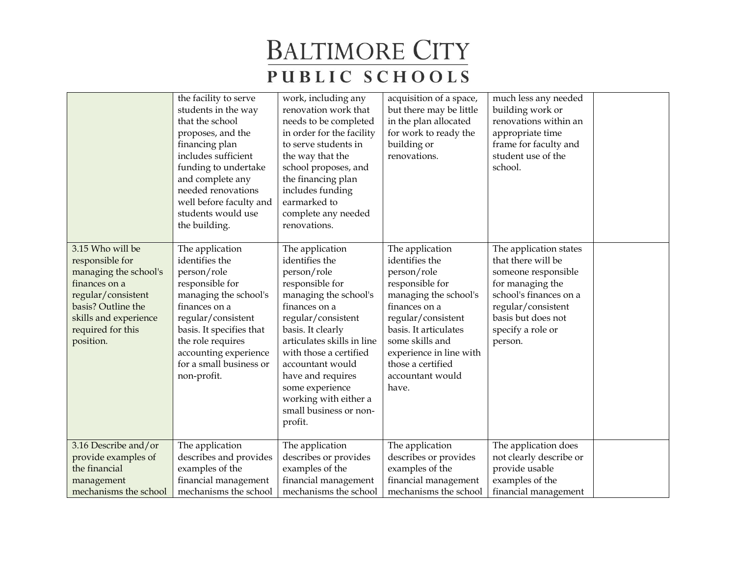|                                                                                                                                                                                      | the facility to serve<br>students in the way<br>that the school<br>proposes, and the<br>financing plan<br>includes sufficient<br>funding to undertake<br>and complete any<br>needed renovations<br>well before faculty and<br>students would use<br>the building. | work, including any<br>renovation work that<br>needs to be completed<br>in order for the facility<br>to serve students in<br>the way that the<br>school proposes, and<br>the financing plan<br>includes funding<br>earmarked to<br>complete any needed<br>renovations.                                                                     | acquisition of a space,<br>but there may be little<br>in the plan allocated<br>for work to ready the<br>building or<br>renovations.                                                                                                                          | much less any needed<br>building work or<br>renovations within an<br>appropriate time<br>frame for faculty and<br>student use of the<br>school.                                               |  |
|--------------------------------------------------------------------------------------------------------------------------------------------------------------------------------------|-------------------------------------------------------------------------------------------------------------------------------------------------------------------------------------------------------------------------------------------------------------------|--------------------------------------------------------------------------------------------------------------------------------------------------------------------------------------------------------------------------------------------------------------------------------------------------------------------------------------------|--------------------------------------------------------------------------------------------------------------------------------------------------------------------------------------------------------------------------------------------------------------|-----------------------------------------------------------------------------------------------------------------------------------------------------------------------------------------------|--|
| 3.15 Who will be<br>responsible for<br>managing the school's<br>finances on a<br>regular/consistent<br>basis? Outline the<br>skills and experience<br>required for this<br>position. | The application<br>identifies the<br>person/role<br>responsible for<br>managing the school's<br>finances on a<br>regular/consistent<br>basis. It specifies that<br>the role requires<br>accounting experience<br>for a small business or<br>non-profit.           | The application<br>identifies the<br>person/role<br>responsible for<br>managing the school's<br>finances on a<br>regular/consistent<br>basis. It clearly<br>articulates skills in line<br>with those a certified<br>accountant would<br>have and requires<br>some experience<br>working with either a<br>small business or non-<br>profit. | The application<br>identifies the<br>person/role<br>responsible for<br>managing the school's<br>finances on a<br>regular/consistent<br>basis. It articulates<br>some skills and<br>experience in line with<br>those a certified<br>accountant would<br>have. | The application states<br>that there will be<br>someone responsible<br>for managing the<br>school's finances on a<br>regular/consistent<br>basis but does not<br>specify a role or<br>person. |  |
| 3.16 Describe and/or<br>provide examples of                                                                                                                                          | The application<br>describes and provides                                                                                                                                                                                                                         | The application<br>describes or provides                                                                                                                                                                                                                                                                                                   | The application<br>describes or provides                                                                                                                                                                                                                     | The application does<br>not clearly describe or                                                                                                                                               |  |
| the financial                                                                                                                                                                        | examples of the                                                                                                                                                                                                                                                   | examples of the                                                                                                                                                                                                                                                                                                                            | examples of the                                                                                                                                                                                                                                              | provide usable                                                                                                                                                                                |  |
| management                                                                                                                                                                           | financial management                                                                                                                                                                                                                                              | financial management                                                                                                                                                                                                                                                                                                                       | financial management                                                                                                                                                                                                                                         | examples of the                                                                                                                                                                               |  |
| mechanisms the school                                                                                                                                                                | mechanisms the school                                                                                                                                                                                                                                             | mechanisms the school                                                                                                                                                                                                                                                                                                                      | mechanisms the school                                                                                                                                                                                                                                        | financial management                                                                                                                                                                          |  |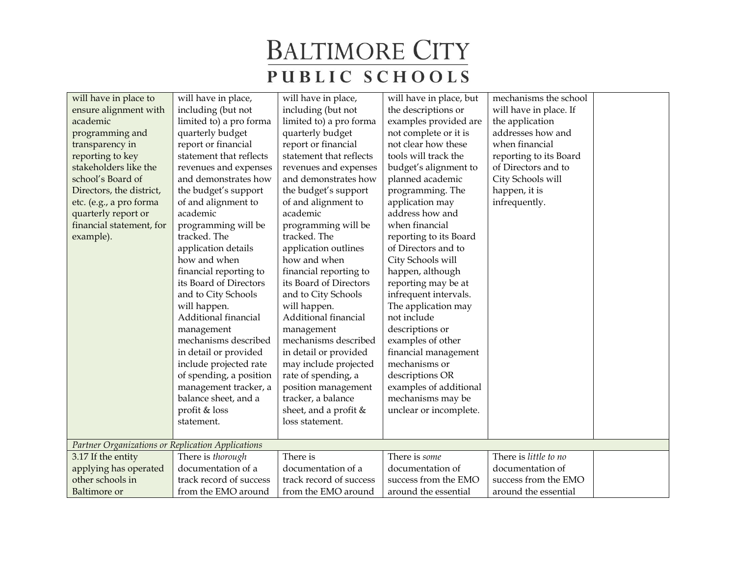| will have in place to                             | will have in place,     | will have in place,     | will have in place, but | mechanisms the school  |  |
|---------------------------------------------------|-------------------------|-------------------------|-------------------------|------------------------|--|
| ensure alignment with                             | including (but not      | including (but not      | the descriptions or     | will have in place. If |  |
| academic                                          | limited to) a pro forma | limited to) a pro forma | examples provided are   | the application        |  |
| programming and                                   | quarterly budget        | quarterly budget        | not complete or it is   | addresses how and      |  |
| transparency in                                   | report or financial     | report or financial     | not clear how these     | when financial         |  |
| reporting to key                                  | statement that reflects | statement that reflects | tools will track the    | reporting to its Board |  |
| stakeholders like the                             | revenues and expenses   | revenues and expenses   | budget's alignment to   | of Directors and to    |  |
| school's Board of                                 | and demonstrates how    | and demonstrates how    | planned academic        | City Schools will      |  |
| Directors, the district,                          | the budget's support    | the budget's support    | programming. The        | happen, it is          |  |
| etc. (e.g., a pro forma                           | of and alignment to     | of and alignment to     | application may         | infrequently.          |  |
| quarterly report or                               | academic                | academic                | address how and         |                        |  |
| financial statement, for                          | programming will be     | programming will be     | when financial          |                        |  |
| example).                                         | tracked. The            | tracked. The            | reporting to its Board  |                        |  |
|                                                   | application details     | application outlines    | of Directors and to     |                        |  |
|                                                   | how and when            | how and when            | City Schools will       |                        |  |
|                                                   | financial reporting to  | financial reporting to  | happen, although        |                        |  |
|                                                   | its Board of Directors  | its Board of Directors  | reporting may be at     |                        |  |
|                                                   | and to City Schools     | and to City Schools     | infrequent intervals.   |                        |  |
|                                                   | will happen.            | will happen.            | The application may     |                        |  |
|                                                   | Additional financial    | Additional financial    | not include             |                        |  |
|                                                   | management              | management              | descriptions or         |                        |  |
|                                                   | mechanisms described    | mechanisms described    | examples of other       |                        |  |
|                                                   | in detail or provided   | in detail or provided   | financial management    |                        |  |
|                                                   | include projected rate  | may include projected   | mechanisms or           |                        |  |
|                                                   | of spending, a position | rate of spending, a     | descriptions OR         |                        |  |
|                                                   | management tracker, a   | position management     | examples of additional  |                        |  |
|                                                   | balance sheet, and a    | tracker, a balance      | mechanisms may be       |                        |  |
|                                                   | profit & loss           | sheet, and a profit $&$ | unclear or incomplete.  |                        |  |
|                                                   | statement.              | loss statement.         |                         |                        |  |
|                                                   |                         |                         |                         |                        |  |
| Partner Organizations or Replication Applications |                         |                         |                         |                        |  |
| 3.17 If the entity                                | There is thorough       | There is                | There is some           | There is little to no  |  |
| applying has operated                             | documentation of a      | documentation of a      | documentation of        | documentation of       |  |
| other schools in                                  | track record of success | track record of success | success from the EMO    | success from the EMO   |  |
| <b>Baltimore</b> or                               | from the EMO around     | from the EMO around     | around the essential    | around the essential   |  |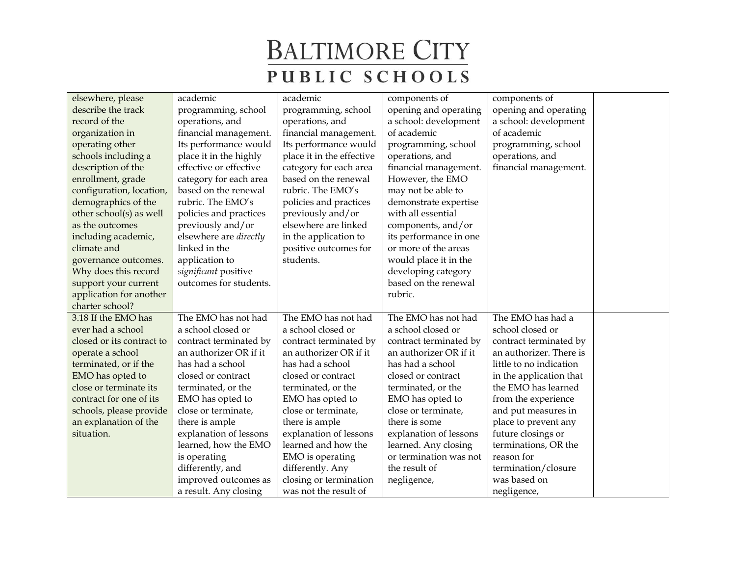| elsewhere, please         | academic               | academic                  | components of          | components of           |  |
|---------------------------|------------------------|---------------------------|------------------------|-------------------------|--|
| describe the track        | programming, school    | programming, school       | opening and operating  | opening and operating   |  |
| record of the             | operations, and        | operations, and           | a school: development  | a school: development   |  |
| organization in           | financial management.  | financial management.     | of academic            | of academic             |  |
| operating other           | Its performance would  | Its performance would     | programming, school    | programming, school     |  |
| schools including a       | place it in the highly | place it in the effective | operations, and        | operations, and         |  |
| description of the        | effective or effective | category for each area    | financial management.  | financial management.   |  |
| enrollment, grade         | category for each area | based on the renewal      | However, the EMO       |                         |  |
| configuration, location,  | based on the renewal   | rubric. The EMO's         | may not be able to     |                         |  |
| demographics of the       | rubric. The EMO's      | policies and practices    | demonstrate expertise  |                         |  |
| other school(s) as well   | policies and practices | previously and/or         | with all essential     |                         |  |
| as the outcomes           | previously and/or      | elsewhere are linked      | components, and/or     |                         |  |
| including academic,       | elsewhere are directly | in the application to     | its performance in one |                         |  |
| climate and               | linked in the          | positive outcomes for     | or more of the areas   |                         |  |
| governance outcomes.      | application to         | students.                 | would place it in the  |                         |  |
| Why does this record      | significant positive   |                           | developing category    |                         |  |
| support your current      | outcomes for students. |                           | based on the renewal   |                         |  |
| application for another   |                        |                           | rubric.                |                         |  |
| charter school?           |                        |                           |                        |                         |  |
| 3.18 If the EMO has       | The EMO has not had    | The EMO has not had       | The EMO has not had    | The EMO has had a       |  |
| ever had a school         | a school closed or     | a school closed or        | a school closed or     | school closed or        |  |
| closed or its contract to | contract terminated by | contract terminated by    | contract terminated by | contract terminated by  |  |
| operate a school          | an authorizer OR if it | an authorizer OR if it    | an authorizer OR if it | an authorizer. There is |  |
| terminated, or if the     | has had a school       | has had a school          | has had a school       | little to no indication |  |
| EMO has opted to          | closed or contract     | closed or contract        | closed or contract     | in the application that |  |
| close or terminate its    | terminated, or the     | terminated, or the        | terminated, or the     | the EMO has learned     |  |
| contract for one of its   | EMO has opted to       | EMO has opted to          | EMO has opted to       | from the experience     |  |
| schools, please provide   | close or terminate,    | close or terminate,       | close or terminate,    | and put measures in     |  |
| an explanation of the     | there is ample         | there is ample            | there is some          | place to prevent any    |  |
| situation.                | explanation of lessons | explanation of lessons    | explanation of lessons | future closings or      |  |
|                           | learned, how the EMO   | learned and how the       | learned. Any closing   | terminations, OR the    |  |
|                           | is operating           | EMO is operating          | or termination was not | reason for              |  |
|                           | differently, and       | differently. Any          | the result of          | termination/closure     |  |
|                           | improved outcomes as   | closing or termination    | negligence,            | was based on            |  |
|                           | a result. Any closing  | was not the result of     |                        | negligence,             |  |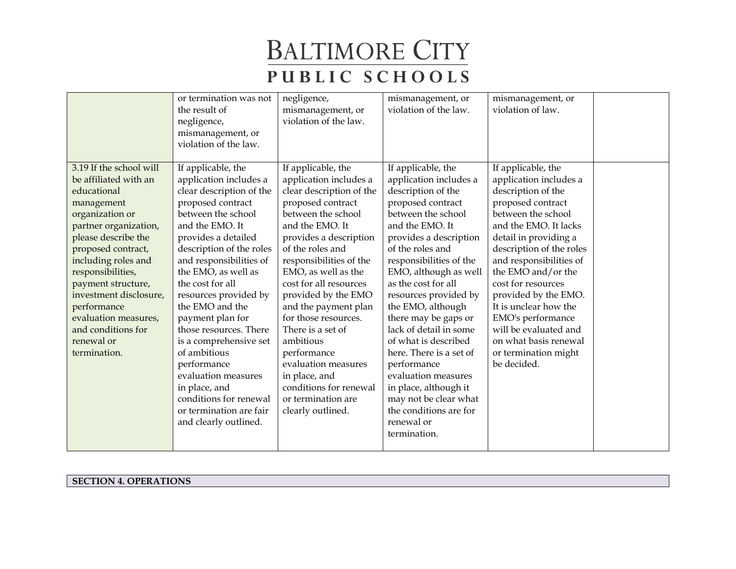|                                                                                                                                                                                                                                                                                                                                                               | or termination was not<br>the result of<br>negligence,<br>mismanagement, or<br>violation of the law.                                                                                                                                                                                                                                                                                                                                                                                                                                     | negligence,<br>mismanagement, or<br>violation of the law.                                                                                                                                                                                                                                                                                                                                                                                                                                             | mismanagement, or<br>violation of the law.                                                                                                                                                                                                                                                                                                                                                                                                                                                                                                                   | mismanagement, or<br>violation of law.                                                                                                                                                                                                                                                                                                                                                                                            |  |
|---------------------------------------------------------------------------------------------------------------------------------------------------------------------------------------------------------------------------------------------------------------------------------------------------------------------------------------------------------------|------------------------------------------------------------------------------------------------------------------------------------------------------------------------------------------------------------------------------------------------------------------------------------------------------------------------------------------------------------------------------------------------------------------------------------------------------------------------------------------------------------------------------------------|-------------------------------------------------------------------------------------------------------------------------------------------------------------------------------------------------------------------------------------------------------------------------------------------------------------------------------------------------------------------------------------------------------------------------------------------------------------------------------------------------------|--------------------------------------------------------------------------------------------------------------------------------------------------------------------------------------------------------------------------------------------------------------------------------------------------------------------------------------------------------------------------------------------------------------------------------------------------------------------------------------------------------------------------------------------------------------|-----------------------------------------------------------------------------------------------------------------------------------------------------------------------------------------------------------------------------------------------------------------------------------------------------------------------------------------------------------------------------------------------------------------------------------|--|
| 3.19 If the school will<br>be affiliated with an<br>educational<br>management<br>organization or<br>partner organization,<br>please describe the<br>proposed contract,<br>including roles and<br>responsibilities,<br>payment structure,<br>investment disclosure,<br>performance<br>evaluation measures,<br>and conditions for<br>renewal or<br>termination. | If applicable, the<br>application includes a<br>clear description of the<br>proposed contract<br>between the school<br>and the EMO. It<br>provides a detailed<br>description of the roles<br>and responsibilities of<br>the EMO, as well as<br>the cost for all<br>resources provided by<br>the EMO and the<br>payment plan for<br>those resources. There<br>is a comprehensive set<br>of ambitious<br>performance<br>evaluation measures<br>in place, and<br>conditions for renewal<br>or termination are fair<br>and clearly outlined. | If applicable, the<br>application includes a<br>clear description of the<br>proposed contract<br>between the school<br>and the EMO. It<br>provides a description<br>of the roles and<br>responsibilities of the<br>EMO, as well as the<br>cost for all resources<br>provided by the EMO<br>and the payment plan<br>for those resources.<br>There is a set of<br>ambitious<br>performance<br>evaluation measures<br>in place, and<br>conditions for renewal<br>or termination are<br>clearly outlined. | If applicable, the<br>application includes a<br>description of the<br>proposed contract<br>between the school<br>and the EMO. It<br>provides a description<br>of the roles and<br>responsibilities of the<br>EMO, although as well<br>as the cost for all<br>resources provided by<br>the EMO, although<br>there may be gaps or<br>lack of detail in some<br>of what is described<br>here. There is a set of<br>performance<br>evaluation measures<br>in place, although it<br>may not be clear what<br>the conditions are for<br>renewal or<br>termination. | If applicable, the<br>application includes a<br>description of the<br>proposed contract<br>between the school<br>and the EMO. It lacks<br>detail in providing a<br>description of the roles<br>and responsibilities of<br>the EMO and/or the<br>cost for resources<br>provided by the EMO.<br>It is unclear how the<br>EMO's performance<br>will be evaluated and<br>on what basis renewal<br>or termination might<br>be decided. |  |

**SECTION 4. OPERATIONS**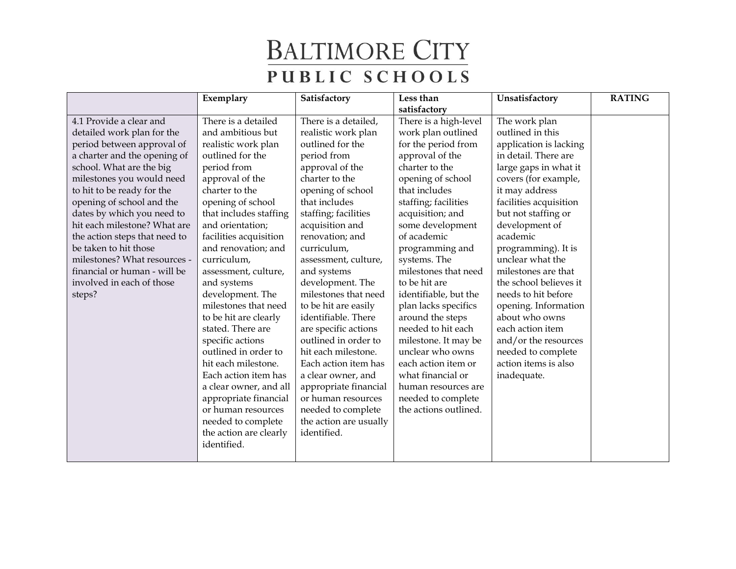|                               | Exemplary              | Satisfactory           | Less than             | Unsatisfactory         | <b>RATING</b> |
|-------------------------------|------------------------|------------------------|-----------------------|------------------------|---------------|
|                               |                        |                        | satisfactory          |                        |               |
| 4.1 Provide a clear and       | There is a detailed    | There is a detailed,   | There is a high-level | The work plan          |               |
| detailed work plan for the    | and ambitious but      | realistic work plan    | work plan outlined    | outlined in this       |               |
| period between approval of    | realistic work plan    | outlined for the       | for the period from   | application is lacking |               |
| a charter and the opening of  | outlined for the       | period from            | approval of the       | in detail. There are   |               |
| school. What are the big      | period from            | approval of the        | charter to the        | large gaps in what it  |               |
| milestones you would need     | approval of the        | charter to the         | opening of school     | covers (for example,   |               |
| to hit to be ready for the    | charter to the         | opening of school      | that includes         | it may address         |               |
| opening of school and the     | opening of school      | that includes          | staffing; facilities  | facilities acquisition |               |
| dates by which you need to    | that includes staffing | staffing; facilities   | acquisition; and      | but not staffing or    |               |
| hit each milestone? What are  | and orientation;       | acquisition and        | some development      | development of         |               |
| the action steps that need to | facilities acquisition | renovation; and        | of academic           | academic               |               |
| be taken to hit those         | and renovation; and    | curriculum,            | programming and       | programming). It is    |               |
| milestones? What resources -  | curriculum,            | assessment, culture,   | systems. The          | unclear what the       |               |
| financial or human - will be  | assessment, culture,   | and systems            | milestones that need  | milestones are that    |               |
| involved in each of those     | and systems            | development. The       | to be hit are         | the school believes it |               |
| steps?                        | development. The       | milestones that need   | identifiable, but the | needs to hit before    |               |
|                               | milestones that need   | to be hit are easily   | plan lacks specifics  | opening. Information   |               |
|                               | to be hit are clearly  | identifiable. There    | around the steps      | about who owns         |               |
|                               | stated. There are      | are specific actions   | needed to hit each    | each action item       |               |
|                               | specific actions       | outlined in order to   | milestone. It may be  | and/or the resources   |               |
|                               | outlined in order to   | hit each milestone.    | unclear who owns      | needed to complete     |               |
|                               | hit each milestone.    | Each action item has   | each action item or   | action items is also   |               |
|                               | Each action item has   | a clear owner, and     | what financial or     | inadequate.            |               |
|                               | a clear owner, and all | appropriate financial  | human resources are   |                        |               |
|                               | appropriate financial  | or human resources     | needed to complete    |                        |               |
|                               | or human resources     | needed to complete     | the actions outlined. |                        |               |
|                               | needed to complete     | the action are usually |                       |                        |               |
|                               | the action are clearly | identified.            |                       |                        |               |
|                               | identified.            |                        |                       |                        |               |
|                               |                        |                        |                       |                        |               |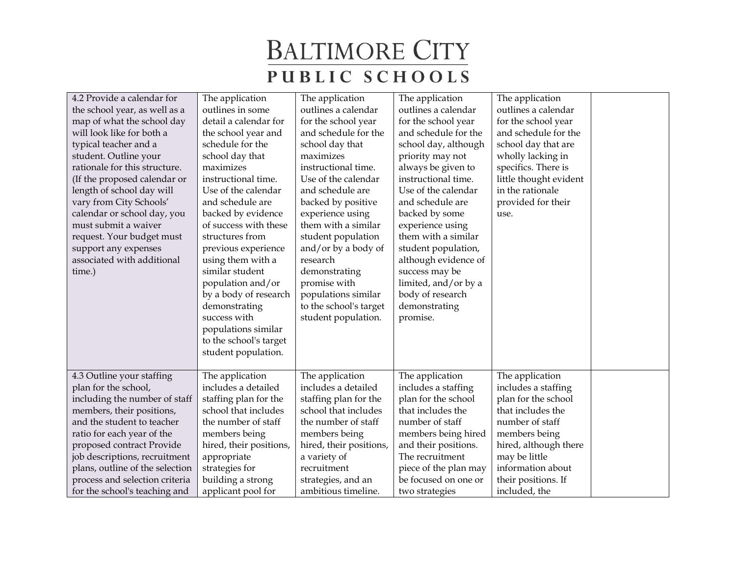| 4.2 Provide a calendar for<br>the school year, as well as a<br>map of what the school day<br>will look like for both a<br>typical teacher and a<br>student. Outline your<br>rationale for this structure.<br>(If the proposed calendar or<br>length of school day will<br>vary from City Schools'<br>calendar or school day, you<br>must submit a waiver<br>request. Your budget must<br>support any expenses<br>associated with additional | The application<br>outlines in some<br>detail a calendar for<br>the school year and<br>schedule for the<br>school day that<br>maximizes<br>instructional time.<br>Use of the calendar<br>and schedule are<br>backed by evidence<br>of success with these<br>structures from<br>previous experience<br>using them with a | The application<br>outlines a calendar<br>for the school year<br>and schedule for the<br>school day that<br>maximizes<br>instructional time.<br>Use of the calendar<br>and schedule are<br>backed by positive<br>experience using<br>them with a similar<br>student population<br>and/or by a body of<br>research | The application<br>outlines a calendar<br>for the school year<br>and schedule for the<br>school day, although<br>priority may not<br>always be given to<br>instructional time.<br>Use of the calendar<br>and schedule are<br>backed by some<br>experience using<br>them with a similar<br>student population,<br>although evidence of | The application<br>outlines a calendar<br>for the school year<br>and schedule for the<br>school day that are<br>wholly lacking in<br>specifics. There is<br>little thought evident<br>in the rationale<br>provided for their<br>use. |  |
|---------------------------------------------------------------------------------------------------------------------------------------------------------------------------------------------------------------------------------------------------------------------------------------------------------------------------------------------------------------------------------------------------------------------------------------------|-------------------------------------------------------------------------------------------------------------------------------------------------------------------------------------------------------------------------------------------------------------------------------------------------------------------------|-------------------------------------------------------------------------------------------------------------------------------------------------------------------------------------------------------------------------------------------------------------------------------------------------------------------|---------------------------------------------------------------------------------------------------------------------------------------------------------------------------------------------------------------------------------------------------------------------------------------------------------------------------------------|--------------------------------------------------------------------------------------------------------------------------------------------------------------------------------------------------------------------------------------|--|
| time.)                                                                                                                                                                                                                                                                                                                                                                                                                                      | similar student<br>population and/or<br>by a body of research<br>demonstrating<br>success with<br>populations similar                                                                                                                                                                                                   | demonstrating<br>promise with<br>populations similar<br>to the school's target<br>student population.                                                                                                                                                                                                             | success may be<br>limited, and/or by a<br>body of research<br>demonstrating<br>promise.                                                                                                                                                                                                                                               |                                                                                                                                                                                                                                      |  |
|                                                                                                                                                                                                                                                                                                                                                                                                                                             | to the school's target<br>student population.                                                                                                                                                                                                                                                                           |                                                                                                                                                                                                                                                                                                                   |                                                                                                                                                                                                                                                                                                                                       |                                                                                                                                                                                                                                      |  |
| 4.3 Outline your staffing<br>plan for the school,<br>including the number of staff<br>members, their positions,<br>and the student to teacher<br>ratio for each year of the                                                                                                                                                                                                                                                                 | The application<br>includes a detailed<br>staffing plan for the<br>school that includes<br>the number of staff<br>members being                                                                                                                                                                                         | The application<br>includes a detailed<br>staffing plan for the<br>school that includes<br>the number of staff<br>members being                                                                                                                                                                                   | The application<br>includes a staffing<br>plan for the school<br>that includes the<br>number of staff<br>members being hired                                                                                                                                                                                                          | The application<br>includes a staffing<br>plan for the school<br>that includes the<br>number of staff<br>members being                                                                                                               |  |
| proposed contract Provide<br>job descriptions, recruitment<br>plans, outline of the selection<br>process and selection criteria<br>for the school's teaching and                                                                                                                                                                                                                                                                            | hired, their positions,<br>appropriate<br>strategies for<br>building a strong<br>applicant pool for                                                                                                                                                                                                                     | hired, their positions,<br>a variety of<br>recruitment<br>strategies, and an<br>ambitious timeline.                                                                                                                                                                                                               | and their positions.<br>The recruitment<br>piece of the plan may<br>be focused on one or<br>two strategies                                                                                                                                                                                                                            | hired, although there<br>may be little<br>information about<br>their positions. If<br>included, the                                                                                                                                  |  |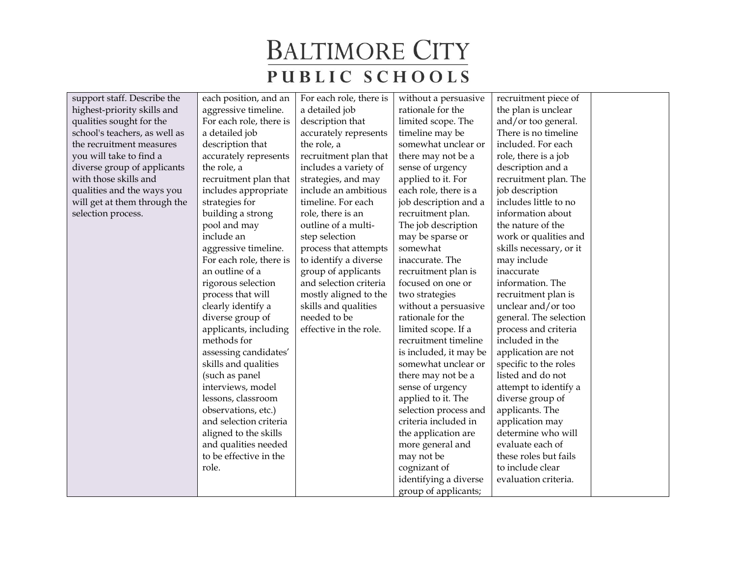| support staff. Describe the   | each position, and an   | For each role, there is | without a persuasive   | recruitment piece of    |  |
|-------------------------------|-------------------------|-------------------------|------------------------|-------------------------|--|
| highest-priority skills and   | aggressive timeline.    | a detailed job          | rationale for the      | the plan is unclear     |  |
| qualities sought for the      | For each role, there is | description that        | limited scope. The     | and/or too general.     |  |
| school's teachers, as well as | a detailed job          | accurately represents   | timeline may be        | There is no timeline    |  |
| the recruitment measures      | description that        | the role, a             | somewhat unclear or    | included. For each      |  |
| you will take to find a       | accurately represents   | recruitment plan that   | there may not be a     | role, there is a job    |  |
| diverse group of applicants   | the role, a             | includes a variety of   | sense of urgency       | description and a       |  |
| with those skills and         | recruitment plan that   | strategies, and may     | applied to it. For     | recruitment plan. The   |  |
| qualities and the ways you    | includes appropriate    | include an ambitious    | each role, there is a  | job description         |  |
| will get at them through the  | strategies for          | timeline. For each      | job description and a  | includes little to no   |  |
| selection process.            | building a strong       | role, there is an       | recruitment plan.      | information about       |  |
|                               | pool and may            | outline of a multi-     | The job description    | the nature of the       |  |
|                               | include an              | step selection          | may be sparse or       | work or qualities and   |  |
|                               | aggressive timeline.    | process that attempts   | somewhat               | skills necessary, or it |  |
|                               | For each role, there is | to identify a diverse   | inaccurate. The        | may include             |  |
|                               | an outline of a         | group of applicants     | recruitment plan is    | inaccurate              |  |
|                               | rigorous selection      | and selection criteria  | focused on one or      | information. The        |  |
|                               | process that will       | mostly aligned to the   | two strategies         | recruitment plan is     |  |
|                               | clearly identify a      | skills and qualities    | without a persuasive   | unclear and/or too      |  |
|                               | diverse group of        | needed to be            | rationale for the      | general. The selection  |  |
|                               | applicants, including   | effective in the role.  | limited scope. If a    | process and criteria    |  |
|                               | methods for             |                         | recruitment timeline   | included in the         |  |
|                               | assessing candidates'   |                         | is included, it may be | application are not     |  |
|                               | skills and qualities    |                         | somewhat unclear or    | specific to the roles   |  |
|                               | (such as panel          |                         | there may not be a     | listed and do not       |  |
|                               | interviews, model       |                         | sense of urgency       | attempt to identify a   |  |
|                               | lessons, classroom      |                         | applied to it. The     | diverse group of        |  |
|                               | observations, etc.)     |                         | selection process and  | applicants. The         |  |
|                               | and selection criteria  |                         | criteria included in   | application may         |  |
|                               | aligned to the skills   |                         | the application are    | determine who will      |  |
|                               | and qualities needed    |                         | more general and       | evaluate each of        |  |
|                               | to be effective in the  |                         | may not be             | these roles but fails   |  |
|                               | role.                   |                         | cognizant of           | to include clear        |  |
|                               |                         |                         | identifying a diverse  | evaluation criteria.    |  |
|                               |                         |                         | group of applicants;   |                         |  |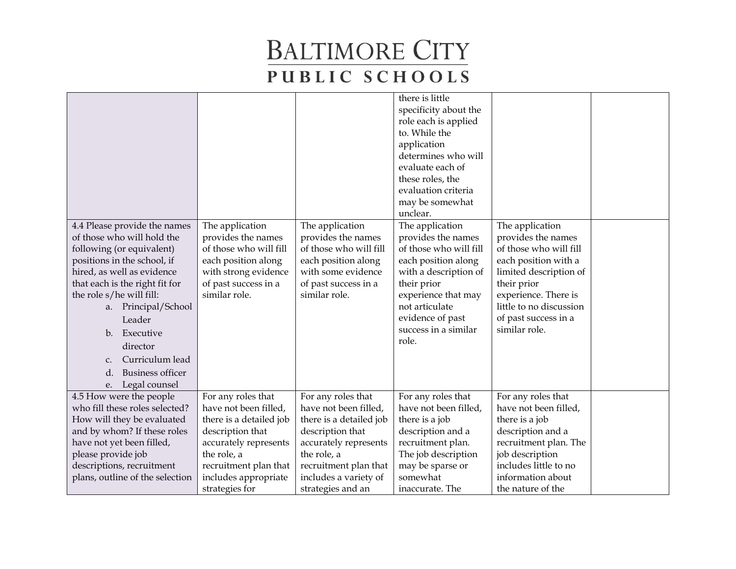|                                                                                                                                                                                                                                                                                                                                                                                          |                                                                                                                                                                                                       |                                                                                                                                                                                                           | there is little<br>specificity about the<br>role each is applied<br>to. While the<br>application<br>determines who will<br>evaluate each of<br>these roles, the<br>evaluation criteria<br>may be somewhat<br>unclear.        |                                                                                                                                                                                                                              |  |
|------------------------------------------------------------------------------------------------------------------------------------------------------------------------------------------------------------------------------------------------------------------------------------------------------------------------------------------------------------------------------------------|-------------------------------------------------------------------------------------------------------------------------------------------------------------------------------------------------------|-----------------------------------------------------------------------------------------------------------------------------------------------------------------------------------------------------------|------------------------------------------------------------------------------------------------------------------------------------------------------------------------------------------------------------------------------|------------------------------------------------------------------------------------------------------------------------------------------------------------------------------------------------------------------------------|--|
| 4.4 Please provide the names<br>of those who will hold the<br>following (or equivalent)<br>positions in the school, if<br>hired, as well as evidence<br>that each is the right fit for<br>the role s/he will fill:<br>a. Principal/School<br>Leader<br>Executive<br>$\mathbf{b}$ .<br>director<br>Curriculum lead<br>$C_{\star}$<br><b>Business officer</b><br>d.<br>Legal counsel<br>e. | The application<br>provides the names<br>of those who will fill<br>each position along<br>with strong evidence<br>of past success in a<br>similar role.                                               | The application<br>provides the names<br>of those who will fill<br>each position along<br>with some evidence<br>of past success in a<br>similar role.                                                     | The application<br>provides the names<br>of those who will fill<br>each position along<br>with a description of<br>their prior<br>experience that may<br>not articulate<br>evidence of past<br>success in a similar<br>role. | The application<br>provides the names<br>of those who will fill<br>each position with a<br>limited description of<br>their prior<br>experience. There is<br>little to no discussion<br>of past success in a<br>similar role. |  |
| 4.5 How were the people<br>who fill these roles selected?<br>How will they be evaluated<br>and by whom? If these roles<br>have not yet been filled,<br>please provide job<br>descriptions, recruitment<br>plans, outline of the selection                                                                                                                                                | For any roles that<br>have not been filled,<br>there is a detailed job<br>description that<br>accurately represents<br>the role, a<br>recruitment plan that<br>includes appropriate<br>strategies for | For any roles that<br>have not been filled,<br>there is a detailed job<br>description that<br>accurately represents<br>the role, a<br>recruitment plan that<br>includes a variety of<br>strategies and an | For any roles that<br>have not been filled,<br>there is a job<br>description and a<br>recruitment plan.<br>The job description<br>may be sparse or<br>somewhat<br>inaccurate. The                                            | For any roles that<br>have not been filled,<br>there is a job<br>description and a<br>recruitment plan. The<br>job description<br>includes little to no<br>information about<br>the nature of the                            |  |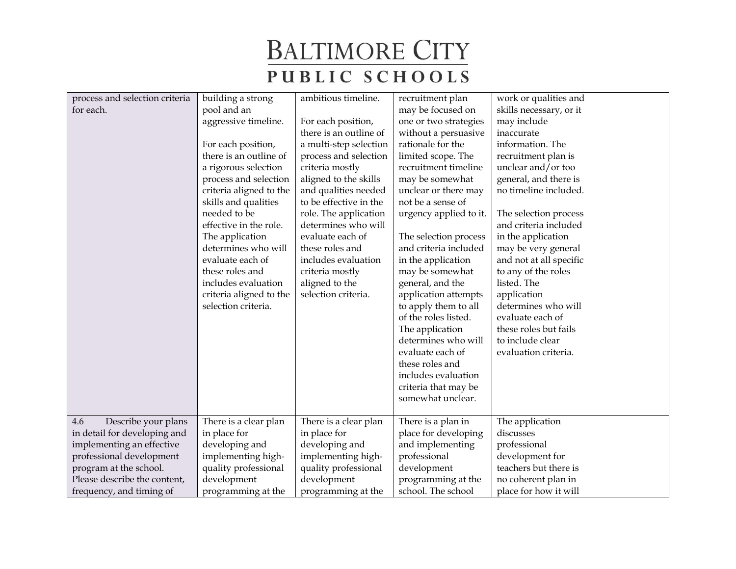| process and selection criteria<br>for each.                                                                                                                                                               | building a strong<br>pool and an<br>aggressive timeline.<br>For each position,<br>there is an outline of<br>a rigorous selection<br>process and selection<br>criteria aligned to the<br>skills and qualities<br>needed to be<br>effective in the role.<br>The application<br>determines who will<br>evaluate each of<br>these roles and<br>includes evaluation<br>criteria aligned to the<br>selection criteria. | ambitious timeline.<br>For each position,<br>there is an outline of<br>a multi-step selection<br>process and selection<br>criteria mostly<br>aligned to the skills<br>and qualities needed<br>to be effective in the<br>role. The application<br>determines who will<br>evaluate each of<br>these roles and<br>includes evaluation<br>criteria mostly<br>aligned to the<br>selection criteria. | recruitment plan<br>may be focused on<br>one or two strategies<br>without a persuasive<br>rationale for the<br>limited scope. The<br>recruitment timeline<br>may be somewhat<br>unclear or there may<br>not be a sense of<br>urgency applied to it.<br>The selection process<br>and criteria included<br>in the application<br>may be somewhat<br>general, and the<br>application attempts<br>to apply them to all<br>of the roles listed.<br>The application<br>determines who will<br>evaluate each of<br>these roles and<br>includes evaluation<br>criteria that may be<br>somewhat unclear. | work or qualities and<br>skills necessary, or it<br>may include<br>inaccurate<br>information. The<br>recruitment plan is<br>unclear and/or too<br>general, and there is<br>no timeline included.<br>The selection process<br>and criteria included<br>in the application<br>may be very general<br>and not at all specific<br>to any of the roles<br>listed. The<br>application<br>determines who will<br>evaluate each of<br>these roles but fails<br>to include clear<br>evaluation criteria. |  |
|-----------------------------------------------------------------------------------------------------------------------------------------------------------------------------------------------------------|------------------------------------------------------------------------------------------------------------------------------------------------------------------------------------------------------------------------------------------------------------------------------------------------------------------------------------------------------------------------------------------------------------------|------------------------------------------------------------------------------------------------------------------------------------------------------------------------------------------------------------------------------------------------------------------------------------------------------------------------------------------------------------------------------------------------|-------------------------------------------------------------------------------------------------------------------------------------------------------------------------------------------------------------------------------------------------------------------------------------------------------------------------------------------------------------------------------------------------------------------------------------------------------------------------------------------------------------------------------------------------------------------------------------------------|-------------------------------------------------------------------------------------------------------------------------------------------------------------------------------------------------------------------------------------------------------------------------------------------------------------------------------------------------------------------------------------------------------------------------------------------------------------------------------------------------|--|
| 4.6<br>Describe your plans<br>in detail for developing and<br>implementing an effective<br>professional development<br>program at the school.<br>Please describe the content,<br>frequency, and timing of | There is a clear plan<br>in place for<br>developing and<br>implementing high-<br>quality professional<br>development<br>programming at the                                                                                                                                                                                                                                                                       | There is a clear plan<br>in place for<br>developing and<br>implementing high-<br>quality professional<br>development<br>programming at the                                                                                                                                                                                                                                                     | There is a plan in<br>place for developing<br>and implementing<br>professional<br>development<br>programming at the<br>school. The school                                                                                                                                                                                                                                                                                                                                                                                                                                                       | The application<br>discusses<br>professional<br>development for<br>teachers but there is<br>no coherent plan in<br>place for how it will                                                                                                                                                                                                                                                                                                                                                        |  |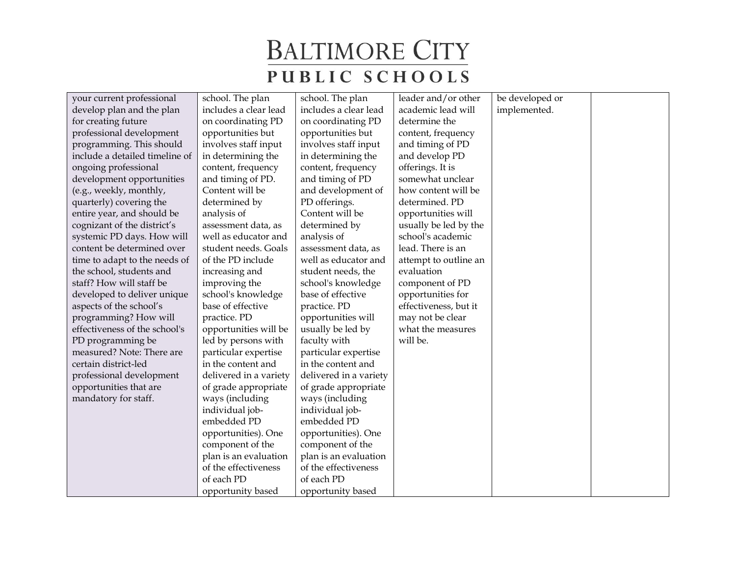| your current professional      | school. The plan       | school. The plan       | leader and/or other   | be developed or |  |
|--------------------------------|------------------------|------------------------|-----------------------|-----------------|--|
| develop plan and the plan      | includes a clear lead  | includes a clear lead  | academic lead will    | implemented.    |  |
| for creating future            | on coordinating PD     | on coordinating PD     | determine the         |                 |  |
| professional development       | opportunities but      | opportunities but      | content, frequency    |                 |  |
| programming. This should       | involves staff input   | involves staff input   | and timing of PD      |                 |  |
| include a detailed timeline of | in determining the     | in determining the     | and develop PD        |                 |  |
| ongoing professional           | content, frequency     | content, frequency     | offerings. It is      |                 |  |
| development opportunities      | and timing of PD.      | and timing of PD       | somewhat unclear      |                 |  |
| (e.g., weekly, monthly,        | Content will be        | and development of     | how content will be   |                 |  |
| quarterly) covering the        | determined by          | PD offerings.          | determined. PD        |                 |  |
| entire year, and should be     | analysis of            | Content will be        | opportunities will    |                 |  |
| cognizant of the district's    | assessment data, as    | determined by          | usually be led by the |                 |  |
| systemic PD days. How will     | well as educator and   | analysis of            | school's academic     |                 |  |
| content be determined over     | student needs. Goals   | assessment data, as    | lead. There is an     |                 |  |
| time to adapt to the needs of  | of the PD include      | well as educator and   | attempt to outline an |                 |  |
| the school, students and       | increasing and         | student needs, the     | evaluation            |                 |  |
| staff? How will staff be       | improving the          | school's knowledge     | component of PD       |                 |  |
| developed to deliver unique    | school's knowledge     | base of effective      | opportunities for     |                 |  |
| aspects of the school's        | base of effective      | practice. PD           | effectiveness, but it |                 |  |
| programming? How will          | practice. PD           | opportunities will     | may not be clear      |                 |  |
| effectiveness of the school's  | opportunities will be  | usually be led by      | what the measures     |                 |  |
| PD programming be              | led by persons with    | faculty with           | will be.              |                 |  |
| measured? Note: There are      | particular expertise   | particular expertise   |                       |                 |  |
| certain district-led           | in the content and     | in the content and     |                       |                 |  |
| professional development       | delivered in a variety | delivered in a variety |                       |                 |  |
| opportunities that are         | of grade appropriate   | of grade appropriate   |                       |                 |  |
| mandatory for staff.           | ways (including        | ways (including        |                       |                 |  |
|                                | individual job-        | individual job-        |                       |                 |  |
|                                | embedded PD            | embedded PD            |                       |                 |  |
|                                | opportunities). One    | opportunities). One    |                       |                 |  |
|                                | component of the       | component of the       |                       |                 |  |
|                                | plan is an evaluation  | plan is an evaluation  |                       |                 |  |
|                                | of the effectiveness   | of the effectiveness   |                       |                 |  |
|                                | of each PD             | of each PD             |                       |                 |  |
|                                | opportunity based      | opportunity based      |                       |                 |  |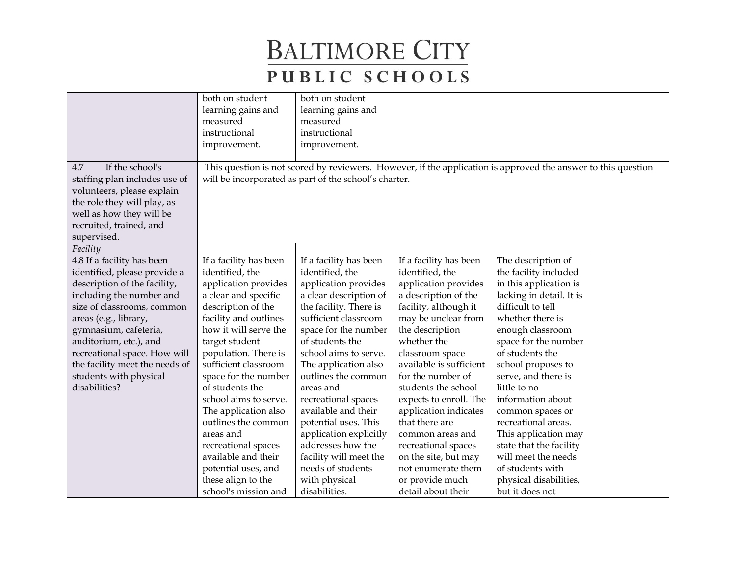|                                                                                                                                                                                                                                                                                                                                               | both on student<br>learning gains and<br>measured<br>instructional<br>improvement.                                                                                                                                                                                                                                                                                                                                | both on student<br>learning gains and<br>measured<br>instructional<br>improvement.                                                                                                                                                                                                                                                                                                                                           |                                                                                                                                                                                                                                                                                                                                                                                                               |                                                                                                                                                                                                                                                                                                                                                                                                                  |  |
|-----------------------------------------------------------------------------------------------------------------------------------------------------------------------------------------------------------------------------------------------------------------------------------------------------------------------------------------------|-------------------------------------------------------------------------------------------------------------------------------------------------------------------------------------------------------------------------------------------------------------------------------------------------------------------------------------------------------------------------------------------------------------------|------------------------------------------------------------------------------------------------------------------------------------------------------------------------------------------------------------------------------------------------------------------------------------------------------------------------------------------------------------------------------------------------------------------------------|---------------------------------------------------------------------------------------------------------------------------------------------------------------------------------------------------------------------------------------------------------------------------------------------------------------------------------------------------------------------------------------------------------------|------------------------------------------------------------------------------------------------------------------------------------------------------------------------------------------------------------------------------------------------------------------------------------------------------------------------------------------------------------------------------------------------------------------|--|
| If the school's<br>4.7<br>staffing plan includes use of<br>volunteers, please explain<br>the role they will play, as<br>well as how they will be<br>recruited, trained, and<br>supervised.<br>Facility                                                                                                                                        |                                                                                                                                                                                                                                                                                                                                                                                                                   | will be incorporated as part of the school's charter.                                                                                                                                                                                                                                                                                                                                                                        |                                                                                                                                                                                                                                                                                                                                                                                                               | This question is not scored by reviewers. However, if the application is approved the answer to this question                                                                                                                                                                                                                                                                                                    |  |
| 4.8 If a facility has been<br>identified, please provide a<br>description of the facility,<br>including the number and<br>size of classrooms, common<br>areas (e.g., library,<br>gymnasium, cafeteria,<br>auditorium, etc.), and<br>recreational space. How will<br>the facility meet the needs of<br>students with physical<br>disabilities? | If a facility has been<br>identified, the<br>application provides<br>a clear and specific<br>description of the<br>facility and outlines<br>how it will serve the<br>target student<br>population. There is<br>sufficient classroom<br>space for the number<br>of students the<br>school aims to serve.<br>The application also<br>outlines the common<br>areas and<br>recreational spaces<br>available and their | If a facility has been<br>identified, the<br>application provides<br>a clear description of<br>the facility. There is<br>sufficient classroom<br>space for the number<br>of students the<br>school aims to serve.<br>The application also<br>outlines the common<br>areas and<br>recreational spaces<br>available and their<br>potential uses. This<br>application explicitly<br>addresses how the<br>facility will meet the | If a facility has been<br>identified, the<br>application provides<br>a description of the<br>facility, although it<br>may be unclear from<br>the description<br>whether the<br>classroom space<br>available is sufficient<br>for the number of<br>students the school<br>expects to enroll. The<br>application indicates<br>that there are<br>common areas and<br>recreational spaces<br>on the site, but may | The description of<br>the facility included<br>in this application is<br>lacking in detail. It is<br>difficult to tell<br>whether there is<br>enough classroom<br>space for the number<br>of students the<br>school proposes to<br>serve, and there is<br>little to no<br>information about<br>common spaces or<br>recreational areas.<br>This application may<br>state that the facility<br>will meet the needs |  |
|                                                                                                                                                                                                                                                                                                                                               | potential uses, and<br>these align to the<br>school's mission and                                                                                                                                                                                                                                                                                                                                                 | needs of students<br>with physical<br>disabilities.                                                                                                                                                                                                                                                                                                                                                                          | not enumerate them<br>or provide much<br>detail about their                                                                                                                                                                                                                                                                                                                                                   | of students with<br>physical disabilities,<br>but it does not                                                                                                                                                                                                                                                                                                                                                    |  |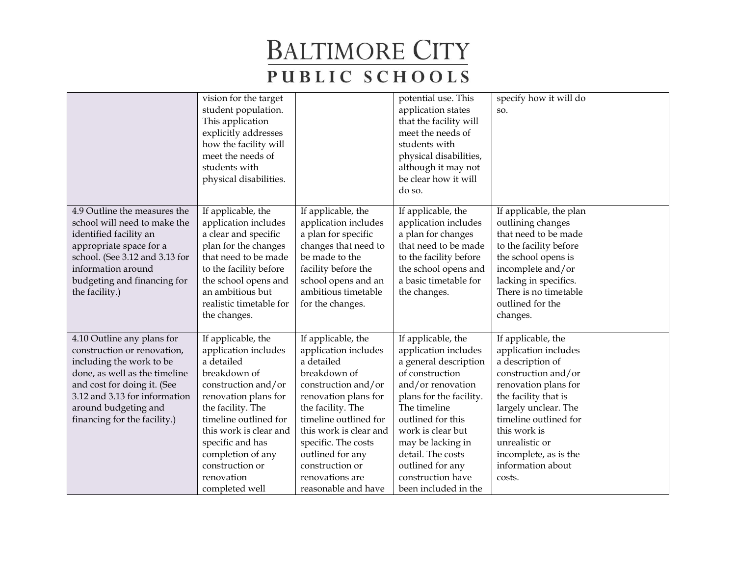|                                                                                                                                                                                                                                                | vision for the target<br>student population.<br>This application<br>explicitly addresses<br>how the facility will<br>meet the needs of<br>students with<br>physical disabilities.                                                                                                           |                                                                                                                                                                                                                                                                                                         | potential use. This<br>application states<br>that the facility will<br>meet the needs of<br>students with<br>physical disabilities,<br>although it may not<br>be clear how it will<br>do so.                                                                                                                | specify how it will do<br>SO.                                                                                                                                                                                                                                                    |  |
|------------------------------------------------------------------------------------------------------------------------------------------------------------------------------------------------------------------------------------------------|---------------------------------------------------------------------------------------------------------------------------------------------------------------------------------------------------------------------------------------------------------------------------------------------|---------------------------------------------------------------------------------------------------------------------------------------------------------------------------------------------------------------------------------------------------------------------------------------------------------|-------------------------------------------------------------------------------------------------------------------------------------------------------------------------------------------------------------------------------------------------------------------------------------------------------------|----------------------------------------------------------------------------------------------------------------------------------------------------------------------------------------------------------------------------------------------------------------------------------|--|
| 4.9 Outline the measures the<br>school will need to make the<br>identified facility an<br>appropriate space for a<br>school. (See 3.12 and 3.13 for<br>information around<br>budgeting and financing for<br>the facility.)                     | If applicable, the<br>application includes<br>a clear and specific<br>plan for the changes<br>that need to be made<br>to the facility before<br>the school opens and<br>an ambitious but<br>realistic timetable for<br>the changes.                                                         | If applicable, the<br>application includes<br>a plan for specific<br>changes that need to<br>be made to the<br>facility before the<br>school opens and an<br>ambitious timetable<br>for the changes.                                                                                                    | If applicable, the<br>application includes<br>a plan for changes<br>that need to be made<br>to the facility before<br>the school opens and<br>a basic timetable for<br>the changes.                                                                                                                         | If applicable, the plan<br>outlining changes<br>that need to be made<br>to the facility before<br>the school opens is<br>incomplete and/or<br>lacking in specifics.<br>There is no timetable<br>outlined for the<br>changes.                                                     |  |
| 4.10 Outline any plans for<br>construction or renovation,<br>including the work to be<br>done, as well as the timeline<br>and cost for doing it. (See<br>3.12 and 3.13 for information<br>around budgeting and<br>financing for the facility.) | If applicable, the<br>application includes<br>a detailed<br>breakdown of<br>construction and/or<br>renovation plans for<br>the facility. The<br>timeline outlined for<br>this work is clear and<br>specific and has<br>completion of any<br>construction or<br>renovation<br>completed well | If applicable, the<br>application includes<br>a detailed<br>breakdown of<br>construction and/or<br>renovation plans for<br>the facility. The<br>timeline outlined for<br>this work is clear and<br>specific. The costs<br>outlined for any<br>construction or<br>renovations are<br>reasonable and have | If applicable, the<br>application includes<br>a general description<br>of construction<br>and/or renovation<br>plans for the facility.<br>The timeline<br>outlined for this<br>work is clear but<br>may be lacking in<br>detail. The costs<br>outlined for any<br>construction have<br>been included in the | If applicable, the<br>application includes<br>a description of<br>construction and/or<br>renovation plans for<br>the facility that is<br>largely unclear. The<br>timeline outlined for<br>this work is<br>unrealistic or<br>incomplete, as is the<br>information about<br>costs. |  |